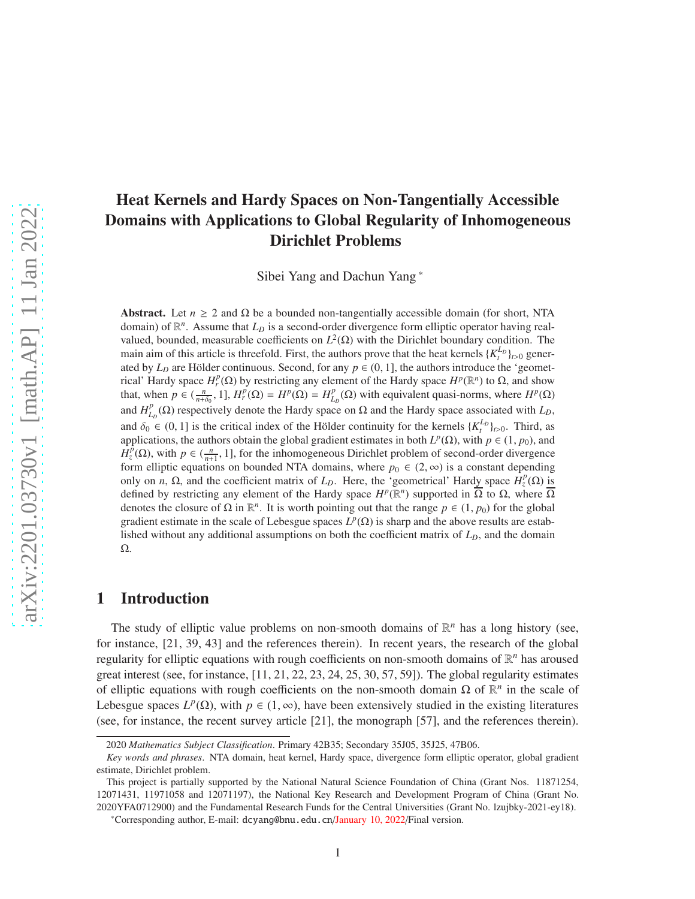# Heat Kernels and Hardy Spaces on Non-Tangentially Accessible Domains with Applications to Global Regularity of Inhomogeneous Dirichlet Problems

Sibei Yang and Dachun Yang \*

Abstract. Let  $n \geq 2$  and  $\Omega$  be a bounded non-tangentially accessible domain (for short, NTA domain) of R *n* . Assume that *L<sup>D</sup>* is a second-order divergence form elliptic operator having realvalued, bounded, measurable coefficients on  $L^2(\Omega)$  with the Dirichlet boundary condition. The main aim of this article is threefold. First, the authors prove that the heat kernels  $\{K_t^{L_D}\}_{t>0}$  generated by  $L<sub>D</sub>$  are Hölder continuous. Second, for any  $p \in (0, 1]$ , the authors introduce the 'geometrical' Hardy space  $H_r^p(\Omega)$  by restricting any element of the Hardy space  $H^p(\mathbb{R}^n)$  to  $\Omega$ , and show that, when  $p \in (\frac{n}{n+\delta_0}, 1], H_r^p(\Omega) = H^p(\Omega) = H_L^p$  $L_D^p(\Omega)$  with equivalent quasi-norms, where  $H^p(\Omega)$ and  $H_l^p$  $L_D^p(\Omega)$  respectively denote the Hardy space on  $\Omega$  and the Hardy space associated with *L<sub>D</sub>*, and  $\delta_0 \in (0, 1]$  is the critical index of the Hölder continuity for the kernels  $\{K_t^{L_D}\}_{t>0}$ . Third, as applications, the authors obtain the global gradient estimates in both  $L^p(\Omega)$ , with  $p \in (1, p_0)$ , and  $H_z^{\tilde{p}}(\Omega)$ , with  $p \in (\frac{n}{n+1}, 1]$ , for the inhomogeneous Dirichlet problem of second-order divergence form elliptic equations on bounded NTA domains, where  $p_0 \in (2, \infty)$  is a constant depending only on *n*, Ω, and the coefficient matrix of *L<sub>D</sub>*. Here, the 'geometrical' Hardy space  $H_z^p(\Omega)$  is defined by restricting any element of the Hardy space  $H^p(\mathbb{R}^n)$  supported in  $\overline{\Omega}$  to  $\Omega$ , where  $\overline{\Omega}$ denotes the closure of  $\Omega$  in  $\mathbb{R}^n$ . It is worth pointing out that the range  $p \in (1, p_0)$  for the global gradient estimate in the scale of Lebesgue spaces  $L^p(\Omega)$  is sharp and the above results are established without any additional assumptions on both the coefficient matrix of *LD*, and the domain Ω.

# 1 Introduction

The study of elliptic value problems on non-smooth domains of  $\mathbb{R}^n$  has a long history (see, for instance, [21, 39, 43] and the references therein). In recent years, the research of the global regularity for elliptic equations with rough coefficients on non-smooth domains of  $\mathbb{R}^n$  has aroused great interest (see, for instance,  $[11, 21, 22, 23, 24, 25, 30, 57, 59]$ ). The global regularity estimates of elliptic equations with rough coefficients on the non-smooth domain  $\Omega$  of  $\mathbb{R}^n$  in the scale of Lebesgue spaces  $L^p(\Omega)$ , with  $p \in (1, \infty)$ , have been extensively studied in the existing literatures (see, for instance, the recent survey article [21], the monograph [57], and the references therein).

<sup>2020</sup> *Mathematics Subject Classification*. Primary 42B35; Secondary 35J05, 35J25, 47B06.

*Key words and phrases*. NTA domain, heat kernel, Hardy space, divergence form elliptic operator, global gradient estimate, Dirichlet problem.

This project is partially supported by the National Natural Science Foundation of China (Grant Nos. 11871254, 12071431, 11971058 and 12071197), the National Key Research and Development Program of China (Grant No. 2020YFA0712900) and the Fundamental Research Funds for the Central Universities (Grant No. lzujbky-2021-ey18).

<sup>\*</sup>Corresponding author, E-mail: dcyang@bnu.edu.cn/January 10, 2022/Final version.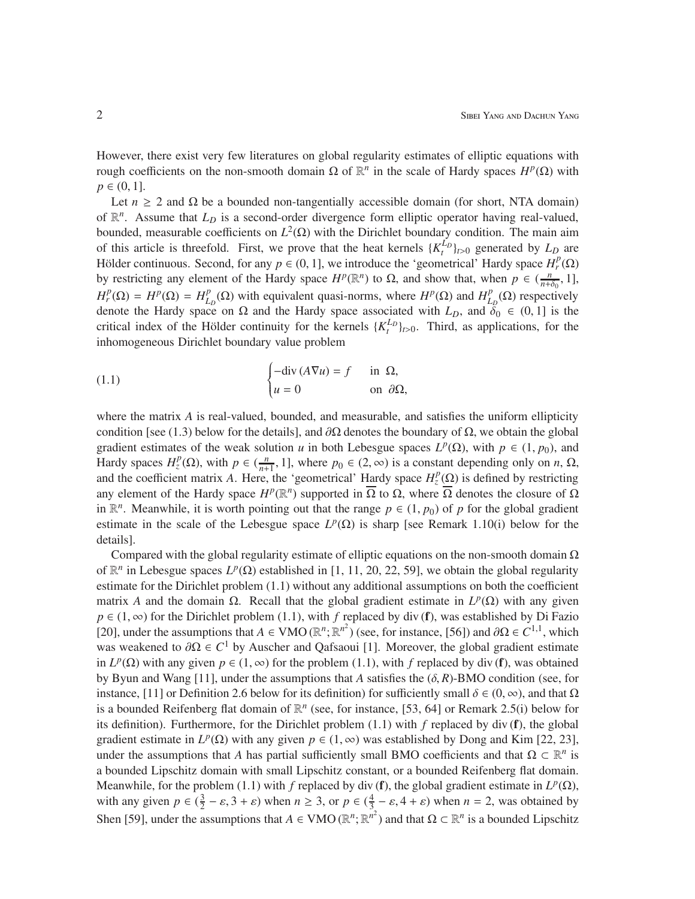However, there exist very few literatures on global regularity estimates of elliptic equations with rough coefficients on the non-smooth domain Ω of  $\mathbb{R}^n$  in the scale of Hardy spaces  $H^p(\Omega)$  with  $p \in (0, 1].$ 

Let  $n \geq 2$  and  $\Omega$  be a bounded non-tangentially accessible domain (for short, NTA domain) of  $\mathbb{R}^n$ . Assume that  $L_D$  is a second-order divergence form elliptic operator having real-valued, bounded, measurable coefficients on  $L^2(Ω)$  with the Dirichlet boundary condition. The main aim of this article is threefold. First, we prove that the heat kernels  $\{K_t^{L_p}\}_{t>0}$  generated by  $L_p$  are Hölder continuous. Second, for any  $p \in (0, 1]$ , we introduce the 'geometrical' Hardy space  $H_r^p(\Omega)$ by restricting any element of the Hardy space  $H^p(\mathbb{R}^n)$  to Ω, and show that, when  $p \in (\frac{n}{n+\delta_0}, 1]$ ,  $H_r^p(\Omega) = H^p(\Omega) = H_L^p$  $L_D^p(\Omega)$  with equivalent quasi-norms, where  $H^p(\Omega)$  and  $H^p_L$  $_{L_D}^{p}(\Omega)$  respectively denote the Hardy space on  $\Omega$  and the Hardy space associated with  $L_D$ , and  $\delta_0 \in (0, 1]$  is the critical index of the Hölder continuity for the kernels  $\{K_t^{L_D}\}_{t>0}$ . Third, as applications, for the inhomogeneous Dirichlet boundary value problem

(1.1) 
$$
\begin{cases} -\operatorname{div}(A\nabla u) = f & \text{in } \Omega, \\ u = 0 & \text{on } \partial\Omega, \end{cases}
$$

where the matrix *A* is real-valued, bounded, and measurable, and satisfies the uniform ellipticity condition [see (1.3) below for the details], and  $\partial\Omega$  denotes the boundary of  $\Omega$ , we obtain the global gradient estimates of the weak solution *u* in both Lebesgue spaces  $L^p(\Omega)$ , with  $p \in (1, p_0)$ , and Hardy spaces  $H_z^p(\Omega)$ , with  $p \in (\frac{n}{n+1}, 1]$ , where  $p_0 \in (2, \infty)$  is a constant depending only on *n*,  $\Omega$ , and the coefficient matrix *A*. Here, the 'geometrical' Hardy space  $H_z^p(\Omega)$  is defined by restricting any element of the Hardy space  $H^p(\mathbb{R}^n)$  supported in  $\overline{\Omega}$  to  $\Omega$ , where  $\overline{\Omega}$  denotes the closure of  $\Omega$ in  $\mathbb{R}^n$ . Meanwhile, it is worth pointing out that the range  $p \in (1, p_0)$  of *p* for the global gradient estimate in the scale of the Lebesgue space  $L^p(\Omega)$  is sharp [see Remark 1.10(i) below for the details].

Compared with the global regularity estimate of elliptic equations on the non-smooth domain  $\Omega$ of  $\mathbb{R}^n$  in Lebesgue spaces  $L^p(\Omega)$  established in [1, 11, 20, 22, 59], we obtain the global regularity estimate for the Dirichlet problem (1.1) without any additional assumptions on both the coefficient matrix *A* and the domain Ω. Recall that the global gradient estimate in  $L^p(\Omega)$  with any given  $p \in (1, \infty)$  for the Dirichlet problem (1.1), with *f* replaced by div (**f**), was established by Di Fazio [20], under the assumptions that  $A \in VMO(\mathbb{R}^n; \mathbb{R}^{n^2})$  (see, for instance, [56]) and  $\partial\Omega \in C^{1,1}$ , which was weakened to  $\partial \Omega \in C^1$  by Auscher and Qafsaoui [1]. Moreover, the global gradient estimate in  $L^p(\Omega)$  with any given  $p \in (1, \infty)$  for the problem (1.1), with *f* replaced by div (**f**), was obtained by Byun and Wang [11], under the assumptions that *A* satisfies the (δ, *R*)-BMO condition (see, for instance, [11] or Definition 2.6 below for its definition) for sufficiently small  $\delta \in (0, \infty)$ , and that  $\Omega$ is a bounded Reifenberg flat domain of  $\mathbb{R}^n$  (see, for instance, [53, 64] or Remark 2.5(i) below for its definition). Furthermore, for the Dirichlet problem (1.1) with *f* replaced by div (f), the global gradient estimate in  $L^p(\Omega)$  with any given  $p \in (1, \infty)$  was established by Dong and Kim [22, 23], under the assumptions that *A* has partial sufficiently small BMO coefficients and that  $\Omega \subset \mathbb{R}^n$  is a bounded Lipschitz domain with small Lipschitz constant, or a bounded Reifenberg flat domain. Meanwhile, for the problem (1.1) with *f* replaced by div (f), the global gradient estimate in  $L^p(\Omega)$ , with any given  $p \in (\frac{3}{2})$  $\frac{3}{2} - \varepsilon$ , 3 +  $\varepsilon$ ) when  $n \ge 3$ , or  $p \in (\frac{4}{3})$  $\frac{4}{3} - \varepsilon$ , 4 +  $\varepsilon$ ) when  $n = 2$ , was obtained by Shen [59], under the assumptions that  $A \in VMO(\mathbb{R}^n; \mathbb{R}^{n^2})$  and that  $\Omega \subset \mathbb{R}^n$  is a bounded Lipschitz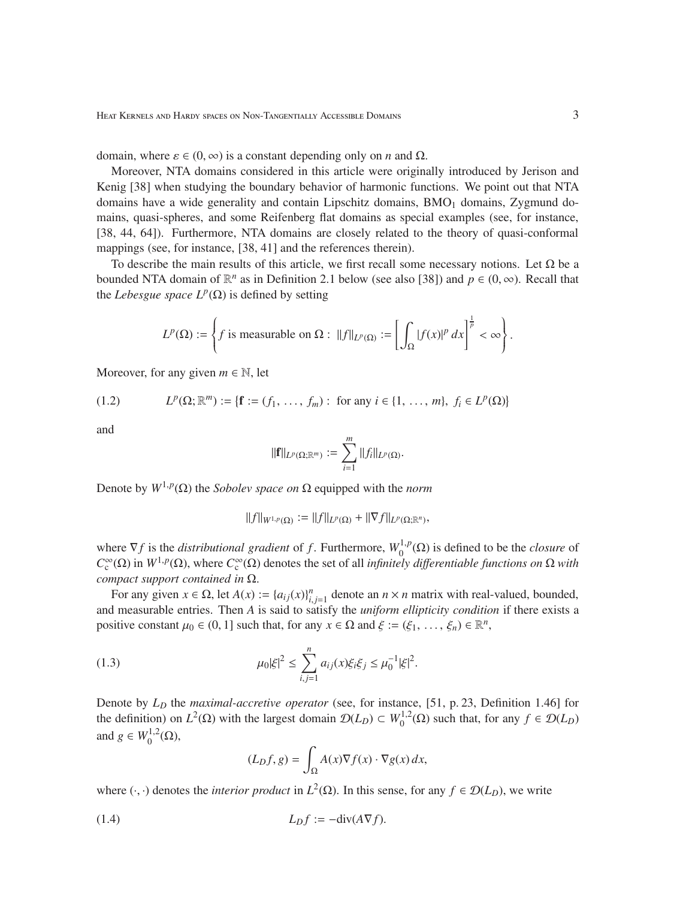domain, where  $\varepsilon \in (0, \infty)$  is a constant depending only on *n* and Ω.

Moreover, NTA domains considered in this article were originally introduced by Jerison and Kenig [38] when studying the boundary behavior of harmonic functions. We point out that NTA domains have a wide generality and contain Lipschitz domains,  $BMO<sub>1</sub>$  domains, Zygmund domains, quasi-spheres, and some Reifenberg flat domains as special examples (see, for instance, [38, 44, 64]). Furthermore, NTA domains are closely related to the theory of quasi-conformal mappings (see, for instance, [38, 41] and the references therein).

To describe the main results of this article, we first recall some necessary notions. Let  $\Omega$  be a bounded NTA domain of  $\mathbb{R}^n$  as in Definition 2.1 below (see also [38]) and  $p \in (0, \infty)$ . Recall that the *Lebesgue space*  $L^p(\Omega)$  is defined by setting

$$
L^p(\Omega) := \left\{ f \text{ is measurable on } \Omega : ||f||_{L^p(\Omega)} := \left[ \int_{\Omega} |f(x)|^p dx \right]^{\frac{1}{p}} < \infty \right\}.
$$

Moreover, for any given  $m \in \mathbb{N}$ , let

(1.2) 
$$
L^{p}(\Omega; \mathbb{R}^{m}) := \{ \mathbf{f} := (f_{1}, \ldots, f_{m}) : \text{ for any } i \in \{1, \ldots, m\}, f_{i} \in L^{p}(\Omega) \}
$$

and

$$
\|\mathbf{f}\|_{L^p(\Omega;\mathbb{R}^m)}:=\sum_{i=1}^m\|f_i\|_{L^p(\Omega)}.
$$

Denote by  $W^{1,p}(\Omega)$  the *Sobolev space on*  $\Omega$  equipped with the *norm* 

$$
||f||_{W^{1,p}(\Omega)} := ||f||_{L^p(\Omega)} + ||\nabla f||_{L^p(\Omega;\mathbb{R}^n)},
$$

where  $\nabla f$  is the *distributional gradient* of *f*. Furthermore,  $W_0^{1,p}$  $\int_0^{1,p}(\Omega)$  is defined to be the *closure* of  $C_c^{\infty}(\Omega)$  in  $W^{1,p}(\Omega)$ , where  $C_c^{\infty}(\Omega)$  denotes the set of all *infinitely differentiable functions on*  $\Omega$  *with compact support contained in* Ω.

For any given  $x \in \Omega$ , let  $A(x) := \{a_{ij}(x)\}_{i,j=1}^n$  denote an  $n \times n$  matrix with real-valued, bounded, and measurable entries. Then *A* is said to satisfy the *uniform ellipticity condition* if there exists a positive constant  $\mu_0 \in (0, 1]$  such that, for any  $x \in \Omega$  and  $\xi := (\xi_1, \ldots, \xi_n) \in \mathbb{R}^n$ ,

(1.3) 
$$
\mu_0 |\xi|^2 \leq \sum_{i,j=1}^n a_{ij}(x) \xi_i \xi_j \leq \mu_0^{-1} |\xi|^2.
$$

Denote by *L<sup>D</sup>* the *maximal-accretive operator* (see, for instance, [51, p. 23, Definition 1.46] for the definition) on  $L^2(\Omega)$  with the largest domain  $\mathcal{D}(L_D) \subset W_0^{1,2}$  $\mathcal{O}_0^{1,2}(\Omega)$  such that, for any  $f \in \mathcal{D}(L_D)$ and *g* ∈  $W_0^{1,2}$  $\stackrel{1,2}{_0}(\Omega),$ 

$$
(L_D f, g) = \int_{\Omega} A(x) \nabla f(x) \cdot \nabla g(x) dx,
$$

where  $(\cdot, \cdot)$  denotes the *interior product* in  $L^2(\Omega)$ . In this sense, for any  $f \in \mathcal{D}(L_D)$ , we write

$$
(1.4) \tL_Df := -\text{div}(A\nabla f).
$$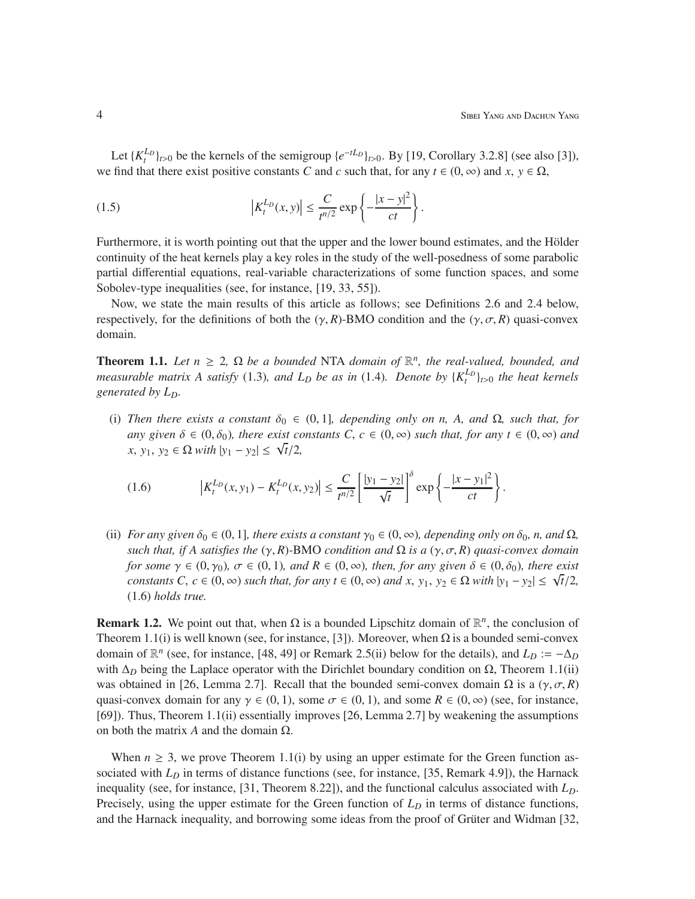Let  $\{K_t^{L_D}\}_{t>0}$  be the kernels of the semigroup  $\{e^{-tL_D}\}_{t>0}$ . By [19, Corollary 3.2.8] (see also [3]), we find that there exist positive constants *C* and *c* such that, for any  $t \in (0, \infty)$  and  $x, y \in \Omega$ ,

(1.5) 
$$
\left|K_t^{L_D}(x, y)\right| \leq \frac{C}{t^{n/2}} \exp\left\{-\frac{|x - y|^2}{ct}\right\}.
$$

Furthermore, it is worth pointing out that the upper and the lower bound estimates, and the Hölder continuity of the heat kernels play a key roles in the study of the well-posedness of some parabolic partial differential equations, real-variable characterizations of some function spaces, and some Sobolev-type inequalities (see, for instance, [19, 33, 55]).

Now, we state the main results of this article as follows; see Definitions 2.6 and 2.4 below, respectively, for the definitions of both the  $(\gamma, R)$ -BMO condition and the  $(\gamma, \sigma, R)$  quasi-convex domain.

**Theorem 1.1.** Let  $n \geq 2$ ,  $\Omega$  be a bounded NTA domain of  $\mathbb{R}^n$ , the real-valued, bounded, and *measurable matrix A satisfy* (1.3)*, and*  $L_D$  *be as in* (1.4)*. Denote by*  $\{K_t^{L_D}\}_{t>0}$  *the heat kernels generated by LD.*

(i) *Then there exists a constant*  $\delta_0 \in (0,1]$ *, depending only on n, A, and*  $\Omega$ *, such that, for any given*  $\delta \in (0, \delta_0)$ *, there exist constants C*,  $c \in (0, \infty)$  *such that, for any*  $t \in (0, \infty)$  *and*  $f(x, y_1, y_2) \in \Omega$  *with*  $|y_1 - y_2| \leq \sqrt{t}/2$ ,

(1.6) 
$$
\left|K_t^{L_D}(x,y_1) - K_t^{L_D}(x,y_2)\right| \leq \frac{C}{t^{n/2}} \left[\frac{|y_1 - y_2|}{\sqrt{t}}\right]^\delta \exp\left\{-\frac{|x - y_1|^2}{ct}\right\}.
$$

(ii) *For any given*  $\delta_0 \in (0, 1]$ *, there exists a constant*  $\gamma_0 \in (0, \infty)$ *, depending only on*  $\delta_0$ *, n, and*  $\Omega$ *, such that, if A satisfies the*  $(\gamma, R)$ -BMO *condition and*  $\Omega$  *is a*  $(\gamma, \sigma, R)$  *quasi-convex domain for some*  $\gamma \in (0, \gamma_0)$ ,  $\sigma \in (0, 1)$ *, and*  $R \in (0, \infty)$ *, then, for any given*  $\delta \in (0, \delta_0)$ *, there exist constants C*,  $c \in (0, \infty)$  *such that, for any t*  $\in (0, \infty)$  *and x*, *y*<sub>1</sub>, *y*<sub>2</sub>  $\in \Omega$  *with*  $|y_1 - y_2| \le \sqrt{t}/2$ , (1.6) *holds true.*

**Remark 1.2.** We point out that, when  $\Omega$  is a bounded Lipschitz domain of  $\mathbb{R}^n$ , the conclusion of Theorem 1.1(i) is well known (see, for instance, [3]). Moreover, when  $\Omega$  is a bounded semi-convex domain of  $\mathbb{R}^n$  (see, for instance, [48, 49] or Remark 2.5(ii) below for the details), and  $L_D := -\Delta_D$ with Δ<sub>*D*</sub> being the Laplace operator with the Dirichlet boundary condition on Ω, Theorem 1.1(ii) was obtained in [26, Lemma 2.7]. Recall that the bounded semi-convex domain  $\Omega$  is a  $(\gamma, \sigma, R)$ quasi-convex domain for any  $\gamma \in (0, 1)$ , some  $\sigma \in (0, 1)$ , and some  $R \in (0, \infty)$  (see, for instance, [69]). Thus, Theorem 1.1(ii) essentially improves [26, Lemma 2.7] by weakening the assumptions on both the matrix *A* and the domain Ω.

When  $n \geq 3$ , we prove Theorem 1.1(i) by using an upper estimate for the Green function associated with *L<sub>D</sub>* in terms of distance functions (see, for instance, [35, Remark 4.9]), the Harnack inequality (see, for instance, [31, Theorem 8.22]), and the functional calculus associated with *LD*. Precisely, using the upper estimate for the Green function of  $L<sub>D</sub>$  in terms of distance functions, and the Harnack inequality, and borrowing some ideas from the proof of Grüter and Widman [32,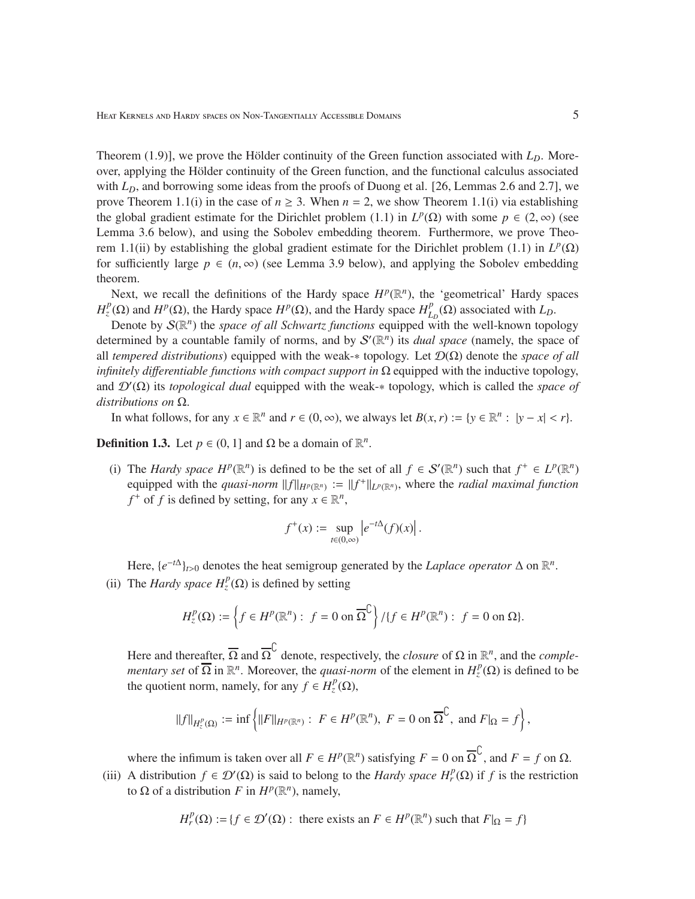Theorem (1.9)], we prove the Hölder continuity of the Green function associated with  $L<sub>D</sub>$ . Moreover, applying the Hölder continuity of the Green function, and the functional calculus associated with *L<sub>D</sub>*, and borrowing some ideas from the proofs of Duong et al. [26, Lemmas 2.6 and 2.7], we prove Theorem 1.1(i) in the case of  $n \ge 3$ . When  $n = 2$ , we show Theorem 1.1(i) via establishing the global gradient estimate for the Dirichlet problem (1.1) in  $L^p(\Omega)$  with some  $p \in (2, \infty)$  (see Lemma 3.6 below), and using the Sobolev embedding theorem. Furthermore, we prove Theorem 1.1(ii) by establishing the global gradient estimate for the Dirichlet problem (1.1) in  $L^p(\Omega)$ for sufficiently large  $p \in (n, \infty)$  (see Lemma 3.9 below), and applying the Sobolev embedding theorem.

Next, we recall the definitions of the Hardy space  $H^p(\mathbb{R}^n)$ , the 'geometrical' Hardy spaces  $H_z^p(\Omega)$  and  $H^p(\Omega)$ , the Hardy space  $H^p(\Omega)$ , and the Hardy space  $H_L^p$  $L_D^p(\Omega)$  associated with  $L_D$ .

Denote by  $\mathcal{S}(\mathbb{R}^n)$  the *space of all Schwartz functions* equipped with the well-known topology determined by a countable family of norms, and by  $S'(\mathbb{R}^n)$  its *dual space* (namely, the space of all *tempered distributions*) equipped with the weak-∗ topology. Let D(Ω) denote the *space of all infinitely differentiable functions with compact support in*  $\Omega$  equipped with the inductive topology, and D′ (Ω) its *topological dual* equipped with the weak-∗ topology, which is called the *space of distributions on* Ω.

In what follows, for any  $x \in \mathbb{R}^n$  and  $r \in (0, \infty)$ , we always let  $B(x, r) := \{y \in \mathbb{R}^n : |y - x| < r\}$ .

**Definition 1.3.** Let  $p \in (0, 1]$  and  $\Omega$  be a domain of  $\mathbb{R}^n$ .

(i) The *Hardy space*  $H^p(\mathbb{R}^n)$  is defined to be the set of all  $f \in S'(\mathbb{R}^n)$  such that  $f^+ \in L^p(\mathbb{R}^n)$ equipped with the *quasi-norm*  $||f||_{H^p(\mathbb{R}^n)} := ||f^+||_{L^p(\mathbb{R}^n)}$ , where the *radial maximal function f*<sup>+</sup> of *f* is defined by setting, for any  $x \in \mathbb{R}^n$ ,

$$
f^+(x) := \sup_{t \in (0,\infty)} \left| e^{-t\Delta}(f)(x) \right|.
$$

Here,  $\{e^{-t\Delta}\}_{t>0}$  denotes the heat semigroup generated by the *Laplace operator*  $\Delta$  on  $\mathbb{R}^n$ . (ii) The *Hardy space*  $H_z^p(\Omega)$  is defined by setting

$$
H_z^p(\Omega) := \left\{ f \in H^p(\mathbb{R}^n) : f = 0 \text{ on } \overline{\Omega}^{\mathbb{C}} \right\} / \{ f \in H^p(\mathbb{R}^n) : f = 0 \text{ on } \Omega \}.
$$

Here and thereafter,  $\overline{\Omega}$  and  $\overline{\Omega}^{\mathbb{C}}$  denote, respectively, the *closure* of  $\Omega$  in  $\mathbb{R}^n$ , and the *complementary set* of  $\overline{\Omega}$  in  $\mathbb{R}^n$ . Moreover, the *quasi-norm* of the element in  $H_z^p(\Omega)$  is defined to be the quotient norm, namely, for any  $f \in H_z^p(\Omega)$ ,

$$
||f||_{H^p_{z}(\Omega)} := \inf \left\{ ||F||_{H^p(\mathbb{R}^n)} : F \in H^p(\mathbb{R}^n), F = 0 \text{ on } \overline{\Omega}^{\mathbb{C}}, \text{ and } F|_{\Omega} = f \right\},\
$$

where the infimum is taken over all  $F \in H^p(\mathbb{R}^n)$  satisfying  $F = 0$  on  $\overline{\Omega}^{\mathbb{C}}$ , and  $F = f$  on  $\Omega$ .

(iii) A distribution  $f \in \mathcal{D}'(\Omega)$  is said to belong to the *Hardy space*  $H_r^p(\Omega)$  if *f* is the restriction to  $\Omega$  of a distribution *F* in  $H^p(\mathbb{R}^n)$ , namely,

$$
H_r^p(\Omega) := \{ f \in \mathcal{D}'(\Omega) : \text{ there exists an } F \in H^p(\mathbb{R}^n) \text{ such that } F|_{\Omega} = f \}
$$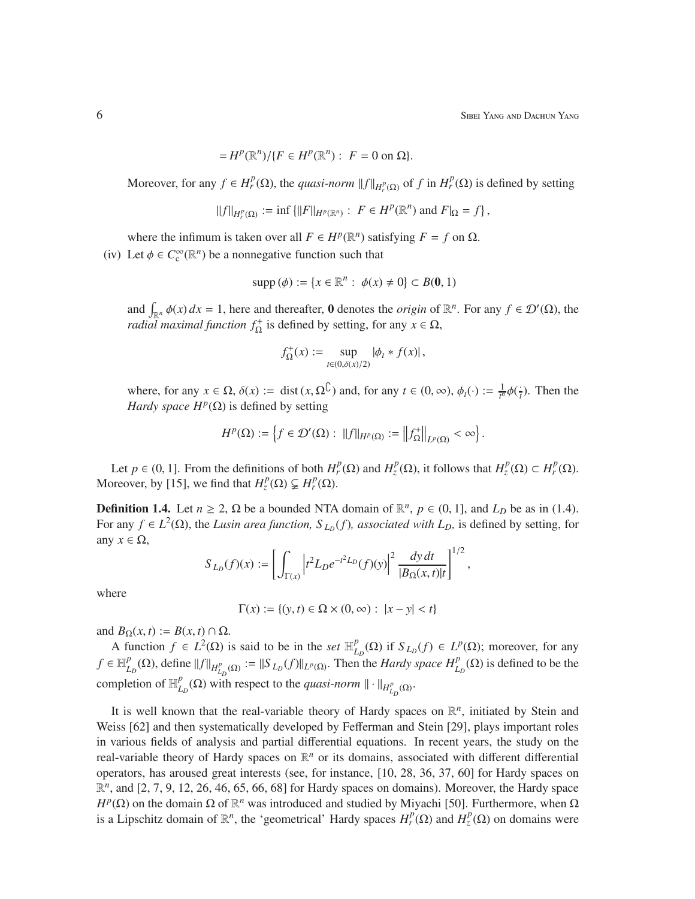$$
=H^p(\mathbb{R}^n)/\{F\in H^p(\mathbb{R}^n): F=0 \text{ on } \Omega\}.
$$

Moreover, for any  $f \in H_r^p(\Omega)$ , the *quasi-norm*  $||f||_{H_r^p(\Omega)}$  of *f* in  $H_r^p(\Omega)$  is defined by setting

$$
||f||_{H_r^p(\Omega)} := \inf \{ ||F||_{H^p(\mathbb{R}^n)} : F \in H^p(\mathbb{R}^n) \text{ and } F|_{\Omega} = f \},
$$

where the infimum is taken over all  $F \in H^p(\mathbb{R}^n)$  satisfying  $F = f$  on  $\Omega$ .

(iv) Let  $\phi \in C_c^{\infty}(\mathbb{R}^n)$  be a nonnegative function such that

$$
supp (\phi) := \{ x \in \mathbb{R}^n : \phi(x) \neq 0 \} \subset B(0,1)
$$

and  $\int_{\mathbb{R}^n} \phi(x) dx = 1$ , here and thereafter, 0 denotes the *origin* of  $\mathbb{R}^n$ . For any  $f \in \mathcal{D}'(\Omega)$ , the *radial maximal function*  $f_{\Omega}^+$  is defined by setting, for any  $x \in \Omega$ ,

$$
f_{\Omega}^{+}(x) := \sup_{t \in (0,\delta(x)/2)} |\phi_t * f(x)|,
$$

where, for any  $x \in \Omega$ ,  $\delta(x) := \text{dist}(x, \Omega^{\mathbb{C}})$  and, for any  $t \in (0, \infty)$ ,  $\phi_t(\cdot) := \frac{1}{t^n} \phi(\frac{1}{t})$ . Then the *Hardy space*  $H^p(\Omega)$  is defined by setting

$$
H^p(\Omega):=\left\{f\in\mathcal{D}'(\Omega):\,\,\|f\|_{H^p(\Omega)}:=\left\|f_\Omega^+\right\|_{L^p(\Omega)}<\infty\right\}.
$$

Let  $p \in (0, 1]$ . From the definitions of both  $H_r^p(\Omega)$  and  $H_z^p(\Omega)$ , it follows that  $H_z^p(\Omega) \subset H_r^p(\Omega)$ . Moreover, by [15], we find that  $H_z^p(\Omega) \subsetneq H_r^p(\Omega)$ .

**Definition 1.4.** Let  $n \ge 2$ ,  $\Omega$  be a bounded NTA domain of  $\mathbb{R}^n$ ,  $p \in (0, 1]$ , and  $L_D$  be as in (1.4). For any  $f \in L^2(\Omega)$ , the *Lusin area function*,  $S_{L_D}(f)$ , *associated with L<sub>D</sub>*, is defined by setting, for any  $x \in \Omega$ ,  $1/2$ 

$$
S_{L_D}(f)(x) := \left[ \int_{\Gamma(x)} \left| t^2 L_D e^{-t^2 L_D}(f)(y) \right|^2 \frac{dy \, dt}{|B_{\Omega}(x, t)| t} \right]^{1/2},
$$

where

$$
\Gamma(x) := \{(y, t) \in \Omega \times (0, \infty) : |x - y| < t\}
$$

and  $B_{\Omega}(x, t) := B(x, t) \cap \Omega$ .

A function  $f \in L^2(\Omega)$  is said to be in the *set*  $\mathbb{H}_L^p$  $L_D^p(\Omega)$  if  $S_{L_D}(f) \in L^p(\Omega)$ ; moreover, for any  $f \in \mathbb{H}_{L}^{p}$  $L_D^p(\Omega)$ , define  $||f||_{H_{L_D}^p(\Omega)} := ||S_{L_D}(f)||_{L^p(\Omega)}$ . Then the *Hardy space H*<sup>*p*</sup><sub>L<sub>*D*</sub></sub>( $\Omega$ ) is defined to be the completion of  $\mathbb{H}_I^p$  $L_D^p(\Omega)$  with respect to the *quasi-norm*  $\|\cdot\|_{H_{L_D}^p(\Omega)}$ .

It is well known that the real-variable theory of Hardy spaces on  $\mathbb{R}^n$ , initiated by Stein and Weiss [62] and then systematically developed by Fefferman and Stein [29], plays important roles in various fields of analysis and partial differential equations. In recent years, the study on the real-variable theory of Hardy spaces on  $\mathbb{R}^n$  or its domains, associated with different differential operators, has aroused great interests (see, for instance, [10, 28, 36, 37, 60] for Hardy spaces on R *n* , and [2, 7, 9, 12, 26, 46, 65, 66, 68] for Hardy spaces on domains). Moreover, the Hardy space *H<sup>p</sup>*(Ω) on the domain Ω of  $\mathbb{R}^n$  was introduced and studied by Miyachi [50]. Furthermore, when Ω is a Lipschitz domain of  $\mathbb{R}^n$ , the 'geometrical' Hardy spaces  $H_r^p(\Omega)$  and  $H_z^p(\Omega)$  on domains were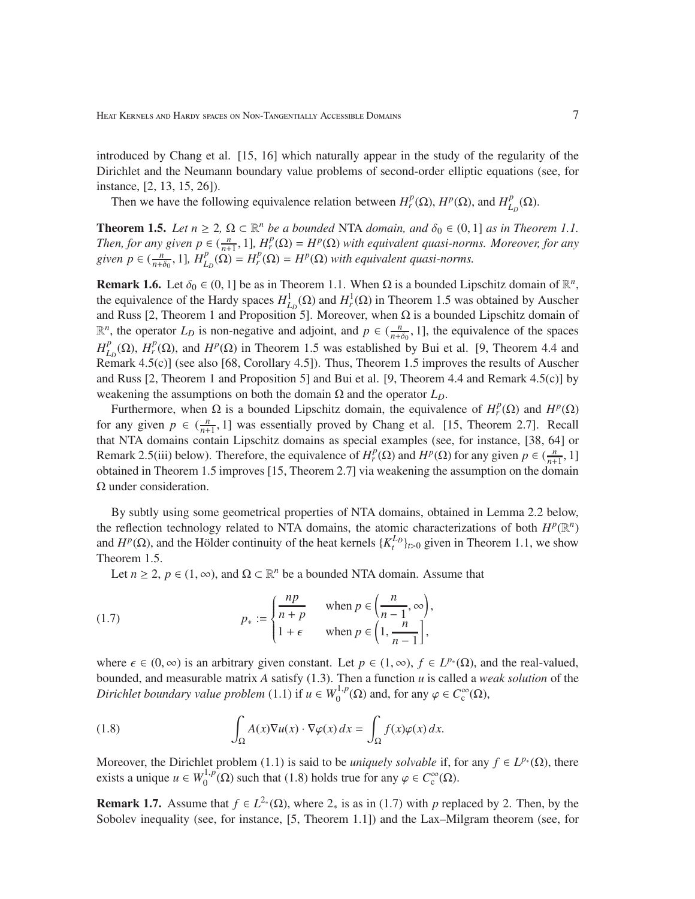introduced by Chang et al. [15, 16] which naturally appear in the study of the regularity of the Dirichlet and the Neumann boundary value problems of second-order elliptic equations (see, for instance, [2, 13, 15, 26]).

Then we have the following equivalence relation between  $H_r^p(\Omega)$ ,  $H^p(\Omega)$ , and  $H_L^p$  $_{L_{D}}^{p}(\Omega).$ 

**Theorem 1.5.** *Let*  $n \geq 2$ ,  $\Omega \subset \mathbb{R}^n$  *be a bounded* NTA *domain, and*  $\delta_0 \in (0, 1]$  *as in Theorem 1.1. Then, for any given*  $p \in (\frac{n}{n+1}, 1]$ *,*  $H_r^p(\Omega) = H^p(\Omega)$  *with equivalent quasi-norms. Moreover, for any given*  $p \in (\frac{n}{n+\delta_0}, 1]$ ,  $H_{L_D}^p(\Omega) = H_r^p(\Omega) = H^p(\Omega)$  *with equivalent quasi-norms.* 

**Remark 1.6.** Let  $\delta_0 \in (0, 1]$  be as in Theorem 1.1. When  $\Omega$  is a bounded Lipschitz domain of  $\mathbb{R}^n$ , the equivalence of the Hardy spaces  $H^1_{L_D}(\Omega)$  and  $H^1_r(\Omega)$  in Theorem 1.5 was obtained by Auscher and Russ [2, Theorem 1 and Proposition 5]. Moreover, when  $\Omega$  is a bounded Lipschitz domain of  $\mathbb{R}^n$ , the operator  $L_D$  is non-negative and adjoint, and  $p \in (\frac{n}{n+\delta_0}, 1]$ , the equivalence of the spaces *H p*  $L_D^p(\Omega)$ , *H*<sup>*p*</sup>( $\Omega$ ), and *H<sup>p</sup>*( $\Omega$ ) in Theorem 1.5 was established by Bui et al. [9, Theorem 4.4 and Remark 4.5(c)] (see also [68, Corollary 4.5]). Thus, Theorem 1.5 improves the results of Auscher and Russ [2, Theorem 1 and Proposition 5] and Bui et al. [9, Theorem 4.4 and Remark 4.5(c)] by weakening the assumptions on both the domain  $\Omega$  and the operator  $L<sub>D</sub>$ .

Furthermore, when Ω is a bounded Lipschitz domain, the equivalence of  $H_r^p(\Omega)$  and  $H^p(\Omega)$ for any given  $p \in \left(\frac{n}{n+1}, 1\right]$  was essentially proved by Chang et al. [15, Theorem 2.7]. Recall that NTA domains contain Lipschitz domains as special examples (see, for instance, [38, 64] or Remark 2.5(iii) below). Therefore, the equivalence of  $H_r^p(\Omega)$  and  $H^p(\Omega)$  for any given  $p \in (\frac{n}{n+1}, 1]$ obtained in Theorem 1.5 improves [15, Theorem 2.7] via weakening the assumption on the domain Ω under consideration.

By subtly using some geometrical properties of NTA domains, obtained in Lemma 2.2 below, the reflection technology related to NTA domains, the atomic characterizations of both  $H^p(\mathbb{R}^n)$ and  $H^p(\Omega)$ , and the Hölder continuity of the heat kernels  $\{K_t^{L_p}\}_{t>0}$  given in Theorem 1.1, we show Theorem 1.5.

Let *n*  $\ge$  2, *p* ∈ (1, ∞), and  $\Omega \subset \mathbb{R}^n$  be a bounded NTA domain. Assume that

(1.7) 
$$
p_* := \begin{cases} \frac{np}{n+p} & \text{when } p \in \left(\frac{n}{n-1}, \infty\right), \\ 1+\epsilon & \text{when } p \in \left(1, \frac{n}{n-1}\right], \end{cases}
$$

where  $\epsilon \in (0, \infty)$  is an arbitrary given constant. Let  $p \in (1, \infty)$ ,  $f \in L^{p^*}(\Omega)$ , and the real-valued, bounded, and measurable matrix *A* satisfy (1.3). Then a function *u* is called a *weak solution* of the *Dirichlet boundary value problem* (1.1) if  $u \in W_0^{1,p}$  $O_0^{(1,p)}(\Omega)$  and, for any  $\varphi \in C_c^{\infty}(\Omega)$ ,

(1.8) 
$$
\int_{\Omega} A(x) \nabla u(x) \cdot \nabla \varphi(x) dx = \int_{\Omega} f(x) \varphi(x) dx.
$$

Moreover, the Dirichlet problem (1.1) is said to be *uniquely solvable* if, for any  $f \in L^{p*}(\Omega)$ , there exists a unique  $u \in W_0^{1,p}$  $\mathcal{O}_0^{1,p}(\Omega)$  such that (1.8) holds true for any  $\varphi \in C_c^{\infty}(\Omega)$ .

**Remark 1.7.** Assume that  $f \in L^{2*}(\Omega)$ , where  $2_*$  is as in (1.7) with *p* replaced by 2. Then, by the Sobolev inequality (see, for instance, [5, Theorem 1.1]) and the Lax–Milgram theorem (see, for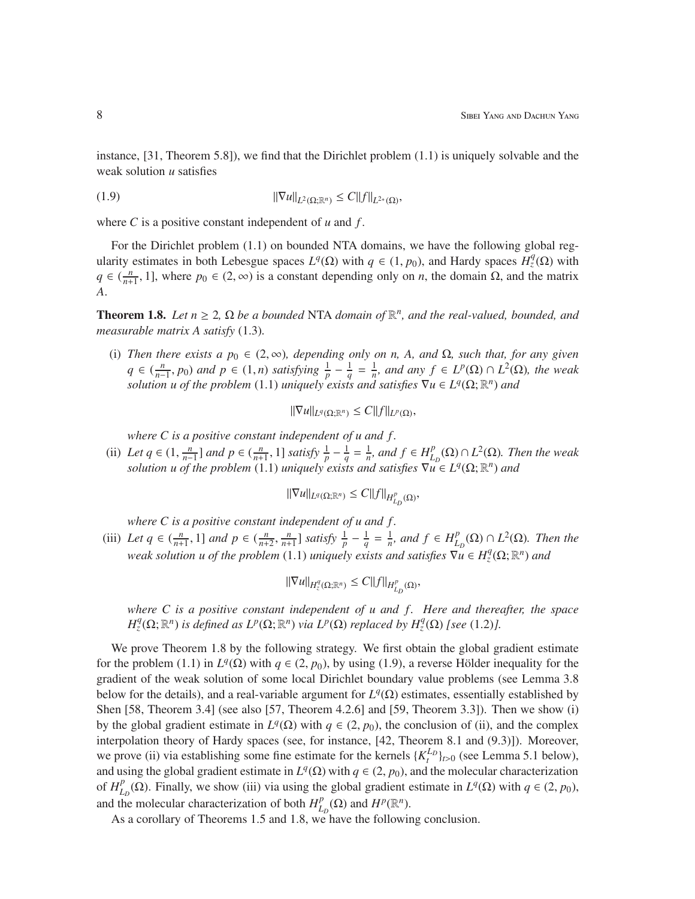instance, [31, Theorem 5.8]), we find that the Dirichlet problem (1.1) is uniquely solvable and the weak solution *u* satisfies

$$
||\nabla u||_{L^2(\Omega;\mathbb{R}^n)} \leq C||f||_{L^{2*}(\Omega)},
$$

where *C* is a positive constant independent of *u* and *f* .

For the Dirichlet problem (1.1) on bounded NTA domains, we have the following global regularity estimates in both Lebesgue spaces  $L^q(\Omega)$  with  $q \in (1, p_0)$ , and Hardy spaces  $H^q_{z}(\Omega)$  with  $q \in (\frac{n}{n+1}, 1]$ , where  $p_0 \in (2, \infty)$  is a constant depending only on *n*, the domain  $\Omega$ , and the matrix *A*.

**Theorem 1.8.** *Let*  $n \geq 2$ ,  $\Omega$  *be a bounded* NTA *domain of*  $\mathbb{R}^n$ *, and the real-valued, bounded, and measurable matrix A satisfy* (1.3)*.*

(i) *Then there exists a*  $p_0 \in (2, \infty)$ *, depending only on n, A, and*  $\Omega$ *, such that, for any given*  $q \in \left(\frac{n}{n}\right)$  $\frac{n}{n-1}$ , *p*<sub>0</sub>) *and p* ∈ (1, *n*) *satisfying*  $\frac{1}{p} - \frac{1}{q}$  $\frac{1}{q} = \frac{1}{n}$  $\frac{1}{n}$ *, and any*  $f \in L^p(\Omega) \cap L^2(\Omega)$ *, the weak solution u of the problem* (1.1) *uniquely exists and satisfies*  $\nabla u \in L^q(\Omega; \mathbb{R}^n)$  *and* 

 $\|\nabla u\|_{L^q(\Omega;\mathbb{R}^n)} \leq C \|f\|_{L^p(\Omega)},$ 

*where C is a positive constant independent of u and f .*

(ii) *Let*  $q \in (1, \frac{n}{n-1})$  $\frac{n}{p-1}$  *and p*  $\in (\frac{n}{n+1}, 1]$  *satisfy*  $\frac{1}{p} - \frac{1}{q} = \frac{1}{n}$ *, and f*  $\in H^p$  $L_D^p(\Omega) \cap L^2(\Omega)$ . Then the weak *solution u of the problem* (1.1) *uniquely exists and satisfies*  $\nabla_u^D \in L^q(\Omega; \mathbb{R}^n)$  *and* 

$$
\|\nabla u\|_{L^q(\Omega;\mathbb{R}^n)} \leq C \|f\|_{H^p_{L_D}(\Omega)},
$$

*where C is a positive constant independent of u and f .*

(iii) Let  $q \in (\frac{n}{n+1}, 1]$  and  $p \in (\frac{n}{n+2}, \frac{n}{n+1}]$  satisfy  $\frac{1}{p} - \frac{1}{q} = \frac{1}{n}$ , and  $f \in H_L^p$  $L_D^p(\Omega) \cap L^2(\Omega)$ . Then the *weak solution u of the problem* (1.1) *uniquely exists and satisfies*  $\nabla u \in H_z^q(\Omega; \mathbb{R}^n)$  *and* 

$$
\|\nabla u\|_{H_z^q(\Omega;\mathbb{R}^n)} \leq C \|f\|_{H_{L_D}^p(\Omega)},
$$

*where C is a positive constant independent of u and f . Here and thereafter, the space*  $H_z^q(\Omega; \mathbb{R}^n)$  *is defined as*  $L^p(\Omega; \mathbb{R}^n)$  *via*  $L^p(\Omega)$  *replaced by*  $H_z^q(\Omega)$  *[see* (1.2)*]*.

We prove Theorem 1.8 by the following strategy. We first obtain the global gradient estimate for the problem (1.1) in  $L^q(\Omega)$  with  $q \in (2, p_0)$ , by using (1.9), a reverse Hölder inequality for the gradient of the weak solution of some local Dirichlet boundary value problems (see Lemma 3.8 below for the details), and a real-variable argument for  $L^q(\Omega)$  estimates, essentially established by Shen [58, Theorem 3.4] (see also [57, Theorem 4.2.6] and [59, Theorem 3.3]). Then we show (i) by the global gradient estimate in  $L^q(\Omega)$  with  $q \in (2, p_0)$ , the conclusion of (ii), and the complex interpolation theory of Hardy spaces (see, for instance, [42, Theorem 8.1 and (9.3)]). Moreover, we prove (ii) via establishing some fine estimate for the kernels  $\{K_t^{L_D}\}_{t>0}$  (see Lemma 5.1 below), and using the global gradient estimate in  $L^q(\Omega)$  with  $q \in (2, p_0)$ , and the molecular characterization of  $H_I^p$  $L_D^p$  (Ω). Finally, we show (iii) via using the global gradient estimate in *L*<sup>*q*</sup>(Ω) with *q* ∈ (2, *p*<sub>0</sub>), and the molecular characterization of both  $H_I^p$  $L_D^p(\Omega)$  and  $H^p(\mathbb{R}^n)$ .

As a corollary of Theorems 1.5 and 1.8, we have the following conclusion.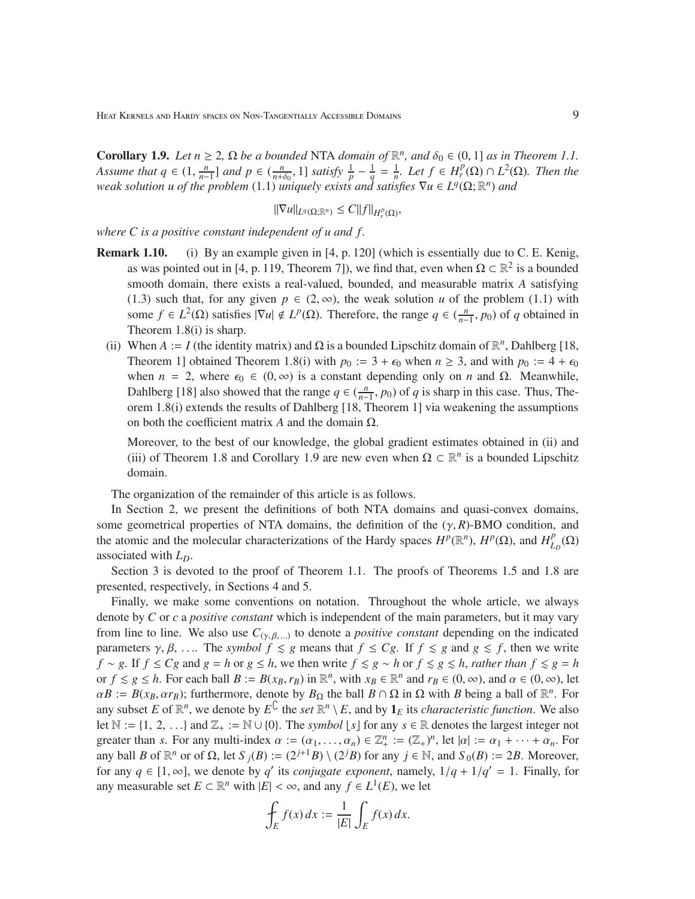**Corollary 1.9.** *Let*  $n \geq 2$ ,  $\Omega$  *be a bounded* NTA *domain of*  $\mathbb{R}^n$ *, and*  $\delta_0 \in (0, 1]$  *as in Theorem 1.1. Assume that*  $q \in (1, \frac{n}{n-1})$  $\frac{n}{n-1}$  *and*  $p \in (\frac{n}{n+\delta_0}, 1]$  *satisfy*  $\frac{1}{p} - \frac{1}{q} = \frac{1}{n}$ *. Let*  $f \in H_r^p(\Omega) \cap L^2(\Omega)$ *. Then the weak solution u of the problem* (1.1) *uniquely exists and satisfies*  $\nabla u \in L^q(\Omega; \mathbb{R}^n)$  *and* 

$$
\|\nabla u\|_{L^q(\Omega;\mathbb{R}^n)} \leq C \|f\|_{H^p_r(\Omega)},
$$

*where C is a positive constant independent of u and f .*

- Remark 1.10. (i) By an example given in [4, p. 120] (which is essentially due to C. E. Kenig, as was pointed out in [4, p. 119, Theorem 7]), we find that, even when  $\Omega \subset \mathbb{R}^2$  is a bounded smooth domain, there exists a real-valued, bounded, and measurable matrix *A* satisfying (1.3) such that, for any given  $p \in (2,\infty)$ , the weak solution *u* of the problem (1.1) with some  $f \in L^2(\Omega)$  satisfies  $|\nabla u| \notin L^p(\Omega)$ . Therefore, the range  $q \in (\frac{n}{n-1})$  $\frac{n}{n-1}$ , *p*<sub>0</sub>) of *q* obtained in Theorem 1.8(i) is sharp.
	- (ii) When  $A := I$  (the identity matrix) and  $\Omega$  is a bounded Lipschitz domain of  $\mathbb{R}^n$ , Dahlberg [18, Theorem 1] obtained Theorem 1.8(i) with  $p_0 := 3 + \epsilon_0$  when  $n \ge 3$ , and with  $p_0 := 4 + \epsilon_0$ when  $n = 2$ , where  $\epsilon_0 \in (0, \infty)$  is a constant depending only on *n* and Ω. Meanwhile, Dahlberg [18] also showed that the range  $q \in (\frac{n}{n-1})$  $\frac{n}{n-1}$ , *p*<sub>0</sub>) of *q* is sharp in this case. Thus, Theorem 1.8(i) extends the results of Dahlberg [18, Theorem 1] via weakening the assumptions on both the coefficient matrix *A* and the domain Ω.

Moreover, to the best of our knowledge, the global gradient estimates obtained in (ii) and (iii) of Theorem 1.8 and Corollary 1.9 are new even when  $\Omega \subset \mathbb{R}^n$  is a bounded Lipschitz domain.

The organization of the remainder of this article is as follows.

In Section 2, we present the definitions of both NTA domains and quasi-convex domains, some geometrical properties of NTA domains, the definition of the  $(\gamma, R)$ -BMO condition, and the atomic and the molecular characterizations of the Hardy spaces  $H^p(\mathbb{R}^n)$ ,  $H^p(\Omega)$ , and  $H^p_I$  $_{L_{D}}^{p}(\Omega)$ associated with *LD*.

Section 3 is devoted to the proof of Theorem 1.1. The proofs of Theorems 1.5 and 1.8 are presented, respectively, in Sections 4 and 5.

Finally, we make some conventions on notation. Throughout the whole article, we always denote by *C* or *c* a *positive constant* which is independent of the main parameters, but it may vary from line to line. We also use  $C_{(\gamma,\beta,\ldots)}$  to denote a *positive constant* depending on the indicated parameters  $\gamma$ ,  $\beta$ , .... The *symbol*  $f \le g$  means that  $f \le Cg$ . If  $f \le g$  and  $g \le f$ , then we write *f* ∼ *g*. If *f*  $\leq$  *Cg* and *g* = *h* or *g*  $\leq$  *h*, we then write *f*  $\leq$  *g*  $\sim$  *h* or *f*  $\leq$  *g*  $\leq$  *h*, *rather than f*  $\leq$  *g* = *h* or  $f \le g \le h$ . For each ball  $B := B(x_B, r_B)$  in  $\mathbb{R}^n$ , with  $x_B \in \mathbb{R}^n$  and  $r_B \in (0, \infty)$ , and  $\alpha \in (0, \infty)$ , let  $\alpha B := B(x_B, \alpha r_B)$ ; furthermore, denote by  $B_{\Omega}$  the ball  $B \cap \Omega$  in  $\Omega$  with *B* being a ball of  $\mathbb{R}^n$ . For any subset *E* of  $\mathbb{R}^n$ , we denote by  $E^C$  the *set*  $\mathbb{R}^n \setminus E$ , and by  $\mathbf{1}_E$  its *characteristic function*. We also let  $\mathbb{N} := \{1, 2, \ldots\}$  and  $\mathbb{Z}_+ := \mathbb{N} \cup \{0\}$ . The *symbol*  $\lfloor s \rfloor$  for any  $s \in \mathbb{R}$  denotes the largest integer not greater than *s*. For any multi-index  $\alpha := (\alpha_1, \dots, \alpha_n) \in \mathbb{Z}_+^n := (\mathbb{Z}_+)^n$ , let  $|\alpha| := \alpha_1 + \dots + \alpha_n$ . For any ball *B* of  $\mathbb{R}^n$  or of  $\Omega$ , let  $S_j(B) := (2^{j+1}B) \setminus (2^jB)$  for any  $j \in \mathbb{N}$ , and  $S_0(B) := 2B$ . Moreover, for any  $q \in [1, \infty]$ , we denote by  $q'$  its *conjugate exponent*, namely,  $1/q + 1/q' = 1$ . Finally, for any measurable set  $E \subset \mathbb{R}^n$  with  $|E| < \infty$ , and any  $f \in L^1(E)$ , we let

$$
\oint_E f(x) dx := \frac{1}{|E|} \int_E f(x) dx.
$$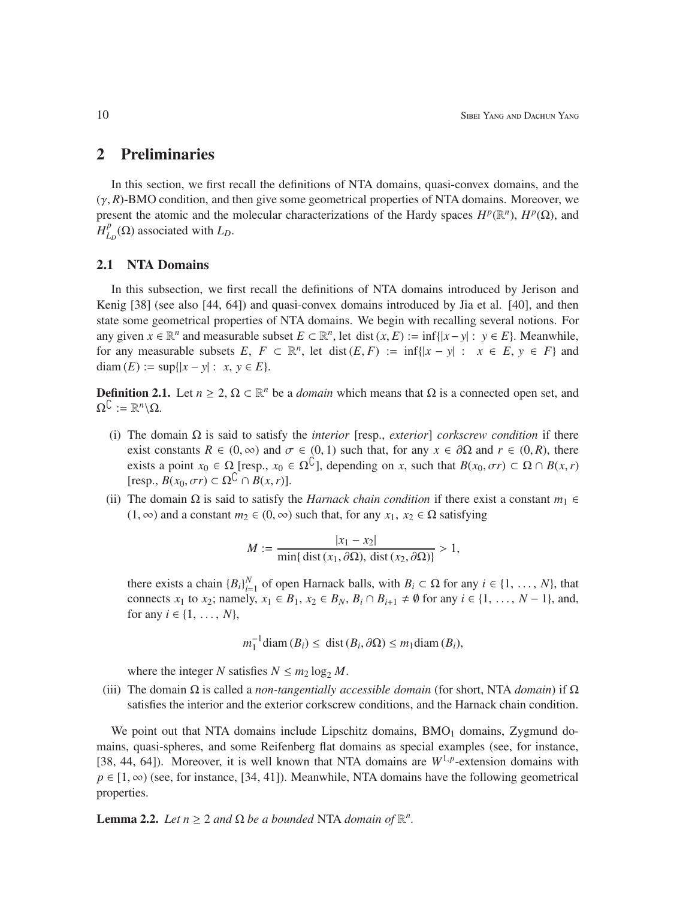### 2 Preliminaries

In this section, we first recall the definitions of NTA domains, quasi-convex domains, and the  $(\gamma, R)$ -BMO condition, and then give some geometrical properties of NTA domains. Moreover, we present the atomic and the molecular characterizations of the Hardy spaces  $H^p(\mathbb{R}^n)$ ,  $H^p(\Omega)$ , and *H p*  $L_D^p(\Omega)$  associated with  $L_D$ .

#### 2.1 NTA Domains

In this subsection, we first recall the definitions of NTA domains introduced by Jerison and Kenig [38] (see also [44, 64]) and quasi-convex domains introduced by Jia et al. [40], and then state some geometrical properties of NTA domains. We begin with recalling several notions. For any given  $x \in \mathbb{R}^n$  and measurable subset  $E \subset \mathbb{R}^n$ , let dist  $(x, E) := \inf\{|x - y| : y \in E\}$ . Meanwhile, for any measurable subsets  $E, F \subset \mathbb{R}^n$ , let dist  $(E, F) := \inf\{|x - y| : x \in E, y \in F\}$  and diam  $(E) := \sup\{|x - y| : x, y \in E\}.$ 

**Definition 2.1.** Let *n* ≥ 2, Ω ⊂ ℝ<sup>*n*</sup> be a *domain* which means that Ω is a connected open set, and  $\Omega^{\mathbb{C}} := \mathbb{R}^n \backslash \Omega.$ 

- (i) The domain Ω is said to satisfy the *interior* [resp., *exterior*] *corkscrew condition* if there exist constants  $R \in (0, \infty)$  and  $\sigma \in (0, 1)$  such that, for any  $x \in \partial \Omega$  and  $r \in (0, R)$ , there exists a point  $x_0 \in \Omega$  [resp.,  $x_0 \in \Omega^{\hat{C}}$ ], depending on *x*, such that  $B(x_0, \sigma r) \subset \Omega \cap B(x, r)$  $[\text{resp., } B(x_0, \sigma r) \subset \Omega^{\mathbb{C}} \cap B(x, r)].$
- (ii) The domain  $\Omega$  is said to satisfy the *Harnack chain condition* if there exist a constant  $m_1 \in$ (1, ∞) and a constant  $m_2$  ∈ (0, ∞) such that, for any  $x_1, x_2 \in \Omega$  satisfying

$$
M := \frac{|x_1 - x_2|}{\min\{\text{dist}(x_1, \partial \Omega), \text{dist}(x_2, \partial \Omega)\}} > 1,
$$

there exists a chain  ${B_i}_{i=1}^N$  of open Harnack balls, with  $B_i \subset \Omega$  for any  $i \in \{1, ..., N\}$ , that connects *x*<sub>1</sub> to *x*<sub>2</sub>; namely, *x*<sub>1</sub> ∈ *B*<sub>1</sub>, *x*<sub>2</sub> ∈ *B<sub>N</sub>*, *B<sub>i</sub>* ∩ *B*<sub>*i*+1</sub> ≠  $\emptyset$  for any *i* ∈ {1, ..., *N* − 1}, and, for any  $i \in \{1, ..., N\}$ ,

$$
m_1^{-1}
$$
diam  $(B_i) \leq$  dist  $(B_i, \partial \Omega) \leq m_1$ diam  $(B_i)$ ,

where the integer *N* satisfies  $N \le m_2 \log_2 M$ .

(iii) The domain Ω is called a *non-tangentially accessible domain* (for short, NTA *domain*) if Ω satisfies the interior and the exterior corkscrew conditions, and the Harnack chain condition.

We point out that NTA domains include Lipschitz domains,  $BMO<sub>1</sub>$  domains, Zygmund domains, quasi-spheres, and some Reifenberg flat domains as special examples (see, for instance, [38, 44, 64]). Moreover, it is well known that NTA domains are  $W^{1,p}$ -extension domains with  $p \in [1, \infty)$  (see, for instance, [34, 41]). Meanwhile, NTA domains have the following geometrical properties.

**Lemma 2.2.** *Let*  $n \geq 2$  *and*  $\Omega$  *be a bounded* NTA *domain of*  $\mathbb{R}^n$ *.*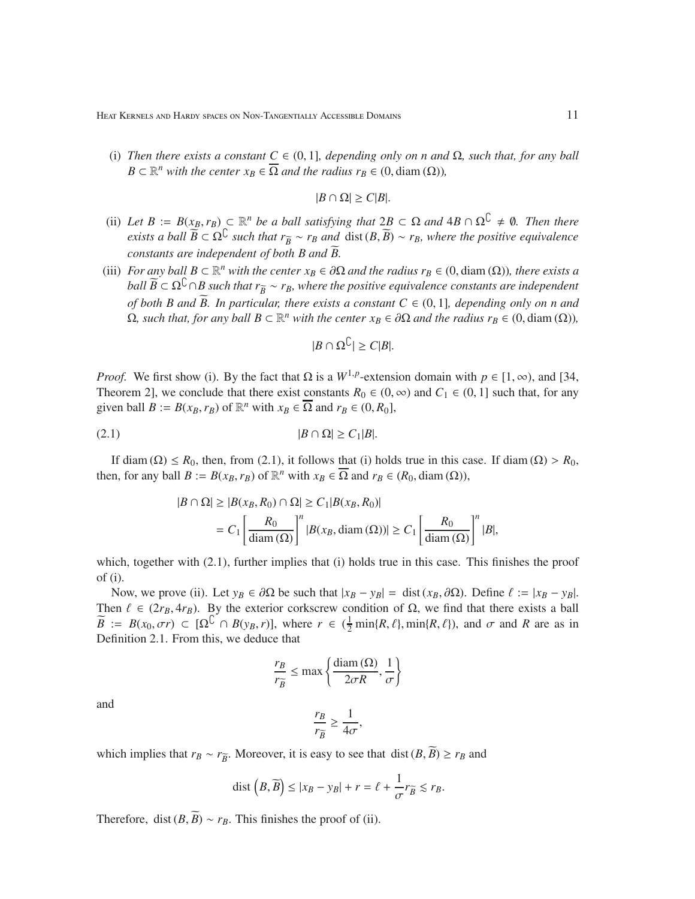(i) *Then there exists a constant*  $C \in (0, 1]$ *, depending only on n and*  $\Omega$ *, such that, for any ball*  $B \subset \mathbb{R}^n$  *with the center*  $x_B \in \overline{\Omega}$  *and the radius*  $r_B \in (0, \text{diam}(\Omega))$ *,* 

$$
|B \cap \Omega| \ge C|B|.
$$

- (ii) *Let*  $B := B(x_B, r_B) \subset \mathbb{R}^n$  *be a ball satisfying that*  $2B \subset \Omega$  *and*  $4B \cap \Omega^{\mathbb{C}} \neq \emptyset$ *. Then there exists a ball*  $\widetilde{B} \subset \Omega^{\mathbb{C}}$  *such that*  $r_{\widetilde{B}} \sim r_B$  *and* dist  $(B, \widetilde{B}) \sim r_B$ *, where the positive equivalence constants are independent of both B and B.*
- (iii) *For any ball*  $B \subset \mathbb{R}^n$  *with the center*  $x_B \in \partial\Omega$  *and the radius*  $r_B \in (0, \text{diam}(\Omega))$ *, there exists a ball*  $\widetilde{B} \subset \Omega^C \cap B$  *such that*  $r_{\widetilde{B}} \sim r_B$ *, where the positive equivalence constants are independent of both B and*  $\widetilde{B}$ *. In particular, there exists a constant*  $C \in (0, 1]$ *, depending only on n and*  $\Omega$ *, such that, for any ball*  $B \subset \mathbb{R}^n$  *with the center*  $x_B \in \partial \Omega$  *and the radius*  $r_B \in (0, \text{diam}(\Omega))$ *,*

$$
|B \cap \Omega^{\complement}| \ge C|B|.
$$

*Proof.* We first show (i). By the fact that  $\Omega$  is a  $W^{1,p}$ -extension domain with  $p \in [1, \infty)$ , and [34, Theorem 2], we conclude that there exist constants  $R_0 \in (0, \infty)$  and  $C_1 \in (0, 1]$  such that, for any given ball  $B := B(x_B, r_B)$  of  $\mathbb{R}^n$  with  $x_B \in \overline{\Omega}$  and  $r_B \in (0, R_0]$ ,

$$
(2.1) \t\t |B \cap \Omega| \ge C_1|B|.
$$

If diam ( $\Omega$ )  $\le R_0$ , then, from (2.1), it follows that (i) holds true in this case. If diam ( $\Omega$ ) >  $R_0$ , then, for any ball  $B := B(x_B, r_B)$  of  $\mathbb{R}^n$  with  $x_B \in \overline{\Omega}$  and  $r_B \in (R_0, \text{diam}(\Omega)),$ 

$$
|B \cap \Omega| \ge |B(x_B, R_0) \cap \Omega| \ge C_1 |B(x_B, R_0)|
$$
  
=  $C_1 \left[ \frac{R_0}{\text{diam}(\Omega)} \right]^n |B(x_B, \text{diam}(\Omega))| \ge C_1 \left[ \frac{R_0}{\text{diam}(\Omega)} \right]^n |B|,$ 

which, together with  $(2.1)$ , further implies that (i) holds true in this case. This finishes the proof of (i).

Now, we prove (ii). Let  $y_B \in \partial \Omega$  be such that  $|x_B - y_B| = \text{dist}(x_B, \partial \Omega)$ . Define  $\ell := |x_B - y_B|$ . Then  $\ell \in (2r_B, 4r_B)$ . By the exterior corkscrew condition of  $\Omega$ , we find that there exists a ball  $\widetilde{B}$  :=  $B(x_0, \sigma r) \subset [\Omega^{\mathbb{C}} \cap B(y_B, r)]$ , where  $r \in (\frac{1}{2} \min\{R, \ell\}, \min\{R, \ell\})$ , and  $\sigma$  and *R* are as in Definition 2.1. From this, we deduce that

$$
\frac{r_B}{r_{\widetilde{B}}} \le \max\left\{\frac{\text{diam}\left(\Omega\right)}{2\sigma R}, \frac{1}{\sigma}\right\}
$$

and

$$
\frac{r_B}{r_{\widetilde{B}}} \ge \frac{1}{4\sigma},
$$

which implies that  $r_B \sim r_{\overline{B}}$ . Moreover, it is easy to see that dist  $(B, \overline{B}) \ge r_B$  and

$$
\text{dist}\left(B,\widetilde{B}\right) \leq |x_B - y_B| + r = \ell + \frac{1}{\sigma}r_{\widetilde{B}} \lesssim r_B.
$$

Therefore, dist  $(B, \widetilde{B}) \sim r_B$ . This finishes the proof of (ii).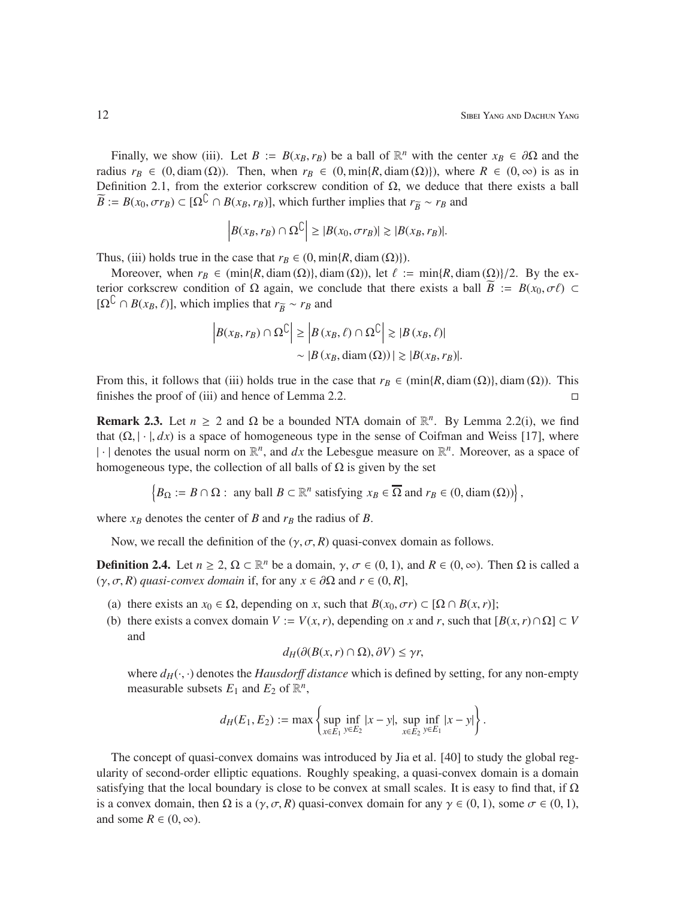Finally, we show (iii). Let *B* := *B*( $x_B$ ,  $r_B$ ) be a ball of  $\mathbb{R}^n$  with the center  $x_B \in \partial\Omega$  and the radius  $r_B \in (0, \text{diam}(\Omega))$ . Then, when  $r_B \in (0, \text{min}\{R, \text{diam}(\Omega)\})$ , where  $R \in (0, \infty)$  is as in Definition 2.1, from the exterior corkscrew condition of  $\Omega$ , we deduce that there exists a ball  $\widetilde{B}$  := *B*(*x*<sub>0</sub>,  $\sigma r_B$ ) ⊂ [ $\Omega^C \cap B(x_B, r_B)$ ], which further implies that  $r_{\widetilde{B}} \sim r_B$  and

$$
\left|B(x_B, r_B) \cap \Omega^{\complement}\right| \geq |B(x_0, \sigma r_B)| \gtrsim |B(x_B, r_B)|.
$$

Thus, (iii) holds true in the case that  $r_B \in (0, \min\{R, \text{diam}(\Omega)\})$ .

Moreover, when  $r_B \in (\min\{R, \text{diam}(\Omega)\}, \text{diam}(\Omega))$ , let  $\ell := \min\{R, \text{diam}(\Omega)\}/2$ . By the exterior corkscrew condition of Ω again, we conclude that there exists a ball  $\widetilde{B} := B(x_0, \sigma \ell)$  ⊂  $[\Omega^{\complement} \cap B(x_B, \ell)]$ , which implies that  $r_{\overline{B}} \sim r_B$  and

$$
\left| B(x_B, r_B) \cap \Omega^{\mathbb{C}} \right| \ge \left| B(x_B, \ell) \cap \Omega^{\mathbb{C}} \right| \ge |B(x_B, \ell)|
$$
  
 
$$
\sim |B(x_B, \text{diam}(\Omega))| \ge |B(x_B, r_B)|.
$$

From this, it follows that (iii) holds true in the case that  $r_B \in (\min\{R, \text{diam}(\Omega)\}, \text{diam}(\Omega))$ . This finishes the proof of (iii) and hence of Lemma 2.2.  $\Box$ 

**Remark 2.3.** Let  $n \ge 2$  and  $\Omega$  be a bounded NTA domain of  $\mathbb{R}^n$ . By Lemma 2.2(i), we find that  $(\Omega, |\cdot|, dx)$  is a space of homogeneous type in the sense of Coifman and Weiss [17], where  $|\cdot|$  denotes the usual norm on  $\mathbb{R}^n$ , and *dx* the Lebesgue measure on  $\mathbb{R}^n$ . Moreover, as a space of homogeneous type, the collection of all balls of  $\Omega$  is given by the set

$$
\left\{B_{\Omega} := B \cap \Omega : \text{ any ball } B \subset \mathbb{R}^n \text{ satisfying } x_B \in \overline{\Omega} \text{ and } r_B \in (0, \text{diam}(\Omega))\right\},\
$$

where  $x_B$  denotes the center of *B* and  $r_B$  the radius of *B*.

Now, we recall the definition of the  $(\gamma, \sigma, R)$  quasi-convex domain as follows.

**Definition 2.4.** Let  $n \ge 2$ ,  $\Omega \subset \mathbb{R}^n$  be a domain,  $\gamma$ ,  $\sigma \in (0, 1)$ , and  $R \in (0, \infty)$ . Then  $\Omega$  is called a (γ, σ, *R*) *quasi-convex domain* if, for any *x* ∈ ∂Ω and *r* ∈ (0, *R*],

- (a) there exists an  $x_0 \in \Omega$ , depending on *x*, such that  $B(x_0, \sigma r) \subset [\Omega \cap B(x, r)];$
- (b) there exists a convex domain  $V := V(x, r)$ , depending on *x* and *r*, such that  $[B(x, r) \cap \Omega] \subset V$ and

$$
d_H(\partial(B(x,r)\cap\Omega),\partial V)\leq \gamma r,
$$

where  $d_H(\cdot, \cdot)$  denotes the *Hausdorff distance* which is defined by setting, for any non-empty measurable subsets  $E_1$  and  $E_2$  of  $\mathbb{R}^n$ ,

$$
d_H(E_1, E_2) := \max \left\{ \sup_{x \in E_1} \inf_{y \in E_2} |x - y|, \sup_{x \in E_2} \inf_{y \in E_1} |x - y| \right\}.
$$

The concept of quasi-convex domains was introduced by Jia et al. [40] to study the global regularity of second-order elliptic equations. Roughly speaking, a quasi-convex domain is a domain satisfying that the local boundary is close to be convex at small scales. It is easy to find that, if  $\Omega$ is a convex domain, then  $\Omega$  is a  $(\gamma, \sigma, R)$  quasi-convex domain for any  $\gamma \in (0, 1)$ , some  $\sigma \in (0, 1)$ , and some  $R \in (0, \infty)$ .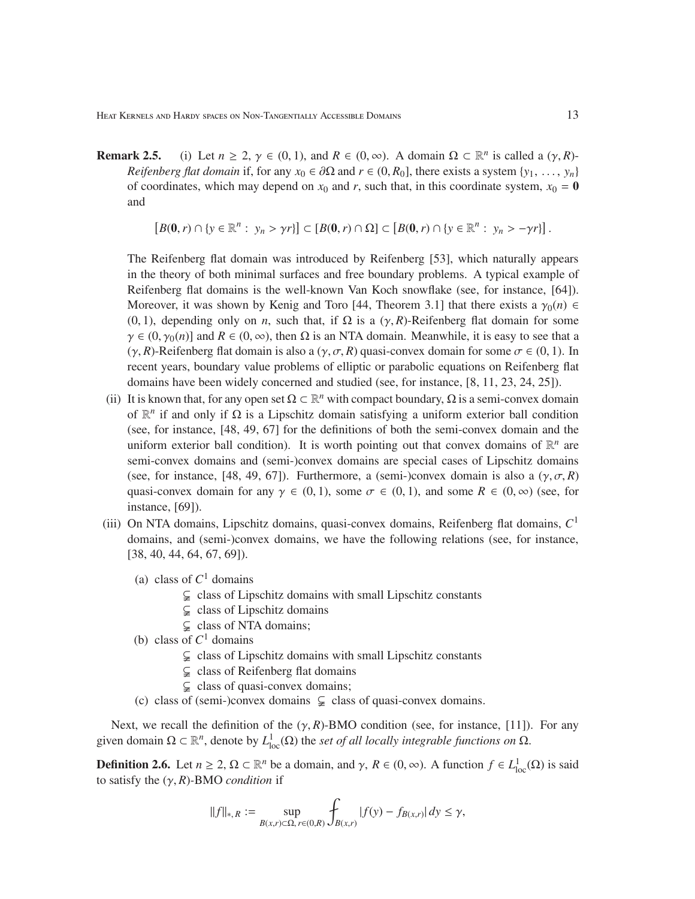- **Remark 2.5.** (i) Let  $n \ge 2$ ,  $\gamma \in (0, 1)$ , and  $R \in (0, \infty)$ . A domain  $\Omega \subset \mathbb{R}^n$  is called a  $(\gamma, R)$ -*Reifenberg flat domain* if, for any  $x_0 \in \partial\Omega$  and  $r \in (0, R_0]$ , there exists a system  $\{y_1, \ldots, y_n\}$ of coordinates, which may depend on  $x_0$  and  $r$ , such that, in this coordinate system,  $x_0 = 0$ and
	- $[B(0, r) \cap \{y \in \mathbb{R}^n : y_n > \gamma r\}] \subset [B(0, r) \cap \Omega] \subset [B(0, r) \cap \{y \in \mathbb{R}^n : y_n > -\gamma r\}]$ .

The Reifenberg flat domain was introduced by Reifenberg [53], which naturally appears in the theory of both minimal surfaces and free boundary problems. A typical example of Reifenberg flat domains is the well-known Van Koch snowflake (see, for instance, [64]). Moreover, it was shown by Kenig and Toro [44, Theorem 3.1] that there exists a  $\gamma_0(n) \in$ (0, 1), depending only on *n*, such that, if  $\Omega$  is a ( $\gamma$ , *R*)-Reifenberg flat domain for some  $\gamma \in (0, \gamma_0(n)]$  and  $R \in (0, \infty)$ , then  $\Omega$  is an NTA domain. Meanwhile, it is easy to see that a  $(\gamma, R)$ -Reifenberg flat domain is also a  $(\gamma, \sigma, R)$  quasi-convex domain for some  $\sigma \in (0, 1)$ . In recent years, boundary value problems of elliptic or parabolic equations on Reifenberg flat domains have been widely concerned and studied (see, for instance, [8, 11, 23, 24, 25]).

- (ii) It is known that, for any open set  $\Omega \subset \mathbb{R}^n$  with compact boundary,  $\Omega$  is a semi-convex domain of  $\mathbb{R}^n$  if and only if  $\Omega$  is a Lipschitz domain satisfying a uniform exterior ball condition (see, for instance, [48, 49, 67] for the definitions of both the semi-convex domain and the uniform exterior ball condition). It is worth pointing out that convex domains of  $\mathbb{R}^n$  are semi-convex domains and (semi-)convex domains are special cases of Lipschitz domains (see, for instance, [48, 49, 67]). Furthermore, a (semi-)convex domain is also a  $(\gamma, \sigma, R)$ quasi-convex domain for any  $\gamma \in (0, 1)$ , some  $\sigma \in (0, 1)$ , and some  $R \in (0, \infty)$  (see, for instance, [69]).
- (iii) On NTA domains, Lipschitz domains, quasi-convex domains, Reifenberg flat domains, *C* 1 domains, and (semi-)convex domains, we have the following relations (see, for instance, [38, 40, 44, 64, 67, 69]).
	- (a) class of  $C<sup>1</sup>$  domains
		- $\subsetneq$  class of Lipschitz domains with small Lipschitz constants
		- $\subsetneq$  class of Lipschitz domains
		- $\subsetneq$  class of NTA domains;
	- (b) class of  $C^1$  domains
		- $\subsetneq$  class of Lipschitz domains with small Lipschitz constants
		- $\subsetneq$  class of Reifenberg flat domains
		- $\subsetneq$  class of quasi-convex domains;
	- (c) class of (semi-)convex domains  $\subsetneq$  class of quasi-convex domains.

Next, we recall the definition of the  $(\gamma, R)$ -BMO condition (see, for instance, [11]). For any given domain  $\Omega \subset \mathbb{R}^n$ , denote by  $L^1_{loc}(\Omega)$  the *set of all locally integrable functions on*  $\Omega$ .

**Definition 2.6.** Let  $n \ge 2$ ,  $\Omega \subset \mathbb{R}^n$  be a domain, and  $\gamma$ ,  $R \in (0, \infty)$ . A function  $f \in L^1_{loc}(\Omega)$  is said to satisfy the (γ, *R*)*-*BMO *condition* if

$$
||f||_{*,R} := \sup_{B(x,r)\in\Omega, r\in(0,R)} \int_{B(x,r)} |f(y) - f_{B(x,r)}| dy \le \gamma,
$$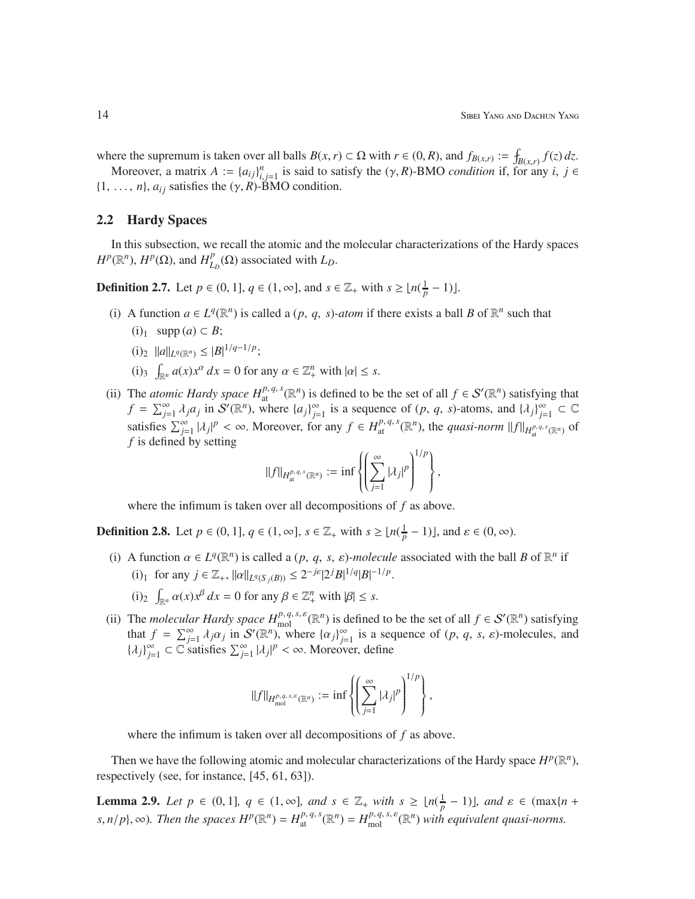where the supremum is taken over all balls  $B(x, r) \subset \Omega$  with  $r \in (0, R)$ , and  $f_{B(x,r)} := \int_{B(x,r)} f(z) dz$ .

Moreover, a matrix  $A := \{a_{ij}\}_{i,j=1}^n$  is said to satisfy the  $(\gamma, R)$ -BMO *condition* if, for any *i*,  $j \in$  $\{1, \ldots, n\}$ ,  $a_{ij}$  satisfies the  $(\gamma, R)$ -BMO condition.

#### 2.2 Hardy Spaces

In this subsection, we recall the atomic and the molecular characterizations of the Hardy spaces  $H^p(\mathbb{R}^n)$ ,  $H^p(\Omega)$ , and  $H^p_I$  $_{L_D}^{p}(\Omega)$  associated with  $L_D$ .

**Definition 2.7.** Let  $p \in (0, 1]$ ,  $q \in (1, \infty]$ , and  $s \in \mathbb{Z}_+$  with  $s \geq \lfloor n(\frac{1}{p} - 1) \rfloor$ .

- (i) A function  $a \in L^q(\mathbb{R}^n)$  is called a  $(p, q, s)$ *-atom* if there exists a ball *B* of  $\mathbb{R}^n$  such that
	- $(i)_1$  supp  $(a) \subset B$ ;
	- $(i)_2$   $||a||_{L^q(\mathbb{R}^n)} \leq |B|^{1/q-1/p};$
	- (i)<sub>3</sub>  $\int_{\mathbb{R}^n} a(x) x^{\alpha} dx = 0$  for any  $\alpha \in \mathbb{Z}_+^n$  with  $|\alpha| \leq s$ .
- (ii) The *atomic Hardy space*  $H_{\text{at}}^{p,q,s}(\mathbb{R}^n)$  is defined to be the set of all  $f \in \mathcal{S}'(\mathbb{R}^n)$  satisfying that  $f = \sum_{j=1}^{\infty} \lambda_j a_j$  in  $S'(\mathbb{R}^n)$ , where  $\{a_j\}_{j=1}^{\infty}$  is a sequence of  $(p, q, s)$ -atoms, and  $\{\lambda_j\}_{j=1}^{\infty} \subset \mathbb{C}$ satisfies  $\sum_{j=1}^{\infty} |\lambda_j|^p < \infty$ . Moreover, for any  $f \in H^{p,q,s}_{\text{at}}(\mathbb{R}^n)$ , the *quasi-norm*  $||f||_{H^{p,q,s}_{\text{at}}(\mathbb{R}^n)}$  of *f* is defined by setting

$$
||f||_{H^{p,q,s}_{\mathfrak{a}}(\mathbb{R}^n)} := \inf \left\{ \left( \sum_{j=1}^{\infty} |\lambda_j|^p \right)^{1/p} \right\},\
$$

where the infimum is taken over all decompositions of *f* as above.

**Definition 2.8.** Let  $p \in (0, 1]$ ,  $q \in (1, \infty]$ ,  $s \in \mathbb{Z}_+$  with  $s \geq \lfloor n(\frac{1}{p} - 1) \rfloor$ , and  $\varepsilon \in (0, \infty)$ .

- (i) A function  $\alpha \in L^q(\mathbb{R}^n)$  is called a  $(p, q, s, \varepsilon)$ *-molecule* associated with the ball *B* of  $\mathbb{R}^n$  if (i)<sub>1</sub> for any  $j \in \mathbb{Z}_+$ ,  $||\alpha||_{L^q(S_j(B))} \leq 2^{-j\varepsilon} |2^j B|^{1/q} |B|^{-1/p}$ .
	- (i)<sub>2</sub>  $\int_{\mathbb{R}^n} \alpha(x) x^{\beta} dx = 0$  for any  $\beta \in \mathbb{Z}_+^n$  with  $|\beta| \leq s$ .
- (ii) The *molecular Hardy space*  $H^{p,q,s,\varepsilon}_{\text{mol}}(\mathbb{R}^n)$  is defined to be the set of all  $f \in \mathcal{S}'(\mathbb{R}^n)$  satisfying that  $f = \sum_{j=1}^{\infty} \lambda_j \alpha_j$  in  $S'(\mathbb{R}^n)$ , where  $\{\alpha_j\}_{j=1}^{\infty}$  is a sequence of  $(p, q, s, \varepsilon)$ -molecules, and  $\{\lambda_j\}_{j=1}^{\infty}$  ⊂  $\mathbb C$  satisfies  $\sum_{j=1}^{\infty} |\lambda_j|^p < \infty$ . Moreover, define

$$
\|f\|_{H^{p,q,s,\varepsilon}_{\text{mol}}} := \inf \left\{ \left( \sum_{j=1}^{\infty} |\lambda_j|^p \right)^{1/p} \right\},\,
$$

where the infimum is taken over all decompositions of *f* as above.

Then we have the following atomic and molecular characterizations of the Hardy space  $H^p(\mathbb{R}^n)$ , respectively (see, for instance, [45, 61, 63]).

**Lemma 2.9.** *Let*  $p \in (0, 1]$ *,*  $q \in (1, \infty]$ *, and*  $s \in \mathbb{Z}_+$  *with*  $s \geq \lfloor n(\frac{1}{p} - 1) \rfloor$ *, and*  $\varepsilon \in (\max\{n + \frac{1}{p}\})$ s,  $n/p$ ,  $\infty$ ). Then the spaces  $H^p(\mathbb{R}^n) = H^{p,q,s}_{\text{at}}(\mathbb{R}^n) = H^{p,q,s,\varepsilon}_{\text{mol}}(\mathbb{R}^n)$  with equivalent quasi-norms.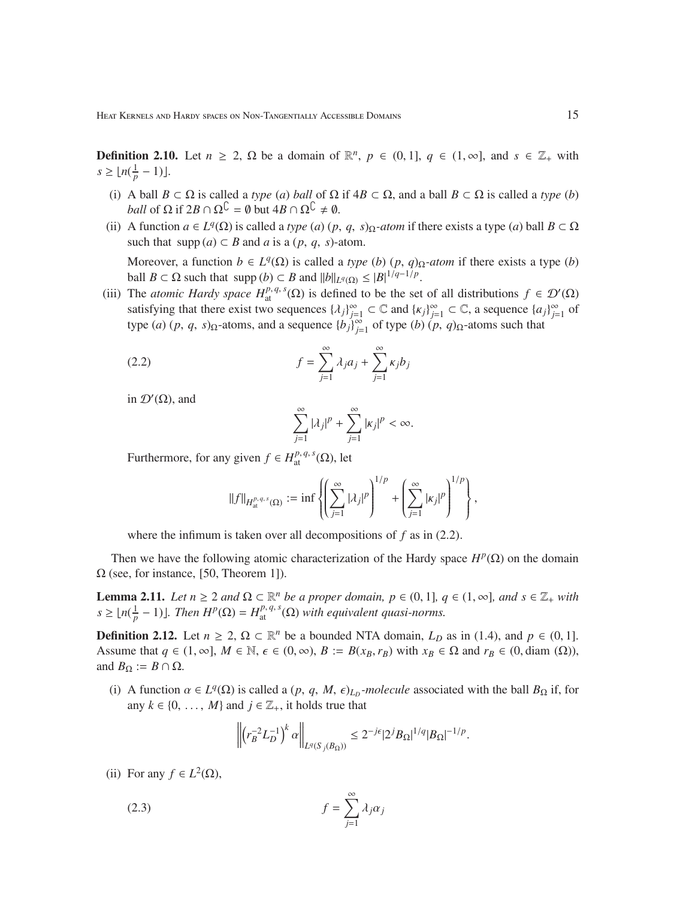**Definition 2.10.** Let  $n \ge 2$ ,  $\Omega$  be a domain of  $\mathbb{R}^n$ ,  $p \in (0, 1]$ ,  $q \in (1, \infty]$ , and  $s \in \mathbb{Z}_+$  with  $s \geq \lfloor n(\frac{1}{p} - 1) \rfloor$ .

- (i) A ball  $B \subset \Omega$  is called a *type* (*a*) *ball* of  $\Omega$  if  $4B \subset \Omega$ , and a ball  $B \subset \Omega$  is called a *type* (*b*) *ball* of  $\Omega$  if  $2B \cap \Omega^{\mathbb{C}} = \emptyset$  but  $4B \cap \Omega^{\mathbb{C}} \neq \emptyset$ .
- (ii) A function  $a \in L^q(\Omega)$  is called a *type* (*a*) (*p*, *q*, *s*) $\Omega$ *-atom* if there exists a type (*a*) ball  $B \subset \Omega$ such that  $\text{supp}(a) \subset B$  and *a* is a  $(p, q, s)$ -atom. Moreover, a function  $b \in L^q(\Omega)$  is called a *type* (*b*) (*p*, *q*) $\Omega$ *-atom* if there exists a type (*b*)

ball *B* ⊂  $\Omega$  such that supp (*b*) ⊂ *B* and  $||b||_{L^q(\Omega)} \leq |B|^{1/q-1/p}$ . (iii) The *atomic Hardy space*  $H_{at}^{p,q,s}(\Omega)$  is defined to be the set of all distributions  $f \in \mathcal{D}'(\Omega)$ satisfying that there exist two sequences  $\{\lambda_j\}_{j=1}^{\infty} \subset \mathbb{C}$  and  $\{\kappa_j\}_{j=1}^{\infty} \subset \mathbb{C}$ , a sequence  $\{a_j\}_{j=1}^{\infty}$  of type (*a*) (*p*, *q*, *s*) $_{\Omega}$ -atoms, and a sequence  ${b_j}_{j=1}^{\infty}$  of type (*b*) (*p*, *q*) $_{\Omega}$ -atoms such that

(2.2) 
$$
f = \sum_{j=1}^{\infty} \lambda_j a_j + \sum_{j=1}^{\infty} \kappa_j b_j
$$

in  $\mathcal{D}'(\Omega)$ , and

$$
\sum_{j=1}^{\infty} |\lambda_j|^p + \sum_{j=1}^{\infty} |k_j|^p < \infty.
$$

Furthermore, for any given  $f \in H_{\text{at}}^{p,q,s}(\Omega)$ , let

$$
||f||_{H^{p,q,s}_{\text{at}}(\Omega)} := \inf \left\{ \left( \sum_{j=1}^{\infty} |\lambda_j|^p \right)^{1/p} + \left( \sum_{j=1}^{\infty} |\kappa_j|^p \right)^{1/p} \right\},
$$

where the infimum is taken over all decompositions of *f* as in (2.2).

Then we have the following atomic characterization of the Hardy space  $H^p(\Omega)$  on the domain  $\Omega$  (see, for instance, [50, Theorem 1]).

**Lemma 2.11.** *Let*  $n \ge 2$  *and*  $\Omega \subset \mathbb{R}^n$  *be a proper domain,*  $p \in (0, 1]$ *,*  $q \in (1, ∞)$ *, and*  $s \in \mathbb{Z}_+$  *with*  $s \geq \lfloor n(\frac{1}{p})\rfloor$  $\frac{1}{p} - 1$ ) $\blacksquare$ *. Then*  $H^p(\Omega) = H^{p, q, s}_{at}(\Omega)$  *with equivalent quasi-norms.* 

**Definition 2.12.** Let  $n \geq 2$ ,  $\Omega \subset \mathbb{R}^n$  be a bounded NTA domain,  $L_D$  as in (1.4), and  $p \in (0, 1]$ . Assume that  $q \in (1, \infty]$ ,  $M \in \mathbb{N}$ ,  $\epsilon \in (0, \infty)$ ,  $B := B(x_B, r_B)$  with  $x_B \in \Omega$  and  $r_B \in (0, \text{diam}(\Omega))$ , and  $B_{\Omega} := B \cap \Omega$ .

(i) A function  $\alpha \in L^q(\Omega)$  is called a  $(p, q, M, \epsilon)_{L_p}$ *-molecule* associated with the ball  $B_{\Omega}$  if, for any  $k \in \{0, \ldots, M\}$  and  $j \in \mathbb{Z}_+$ , it holds true that

$$
\left\| \left( r_B^{-2} L_D^{-1} \right)^k \alpha \right\|_{L^q (S_j (B_\Omega))} \leq 2^{-j\epsilon} |2^j B_\Omega|^{1/q} |B_\Omega|^{-1/p}.
$$

(ii) For any  $f \in L^2(\Omega)$ ,

$$
(2.3) \t\t f = \sum_{j=1}^{\infty} \lambda_j \alpha_j
$$

 $\mathbf{r}$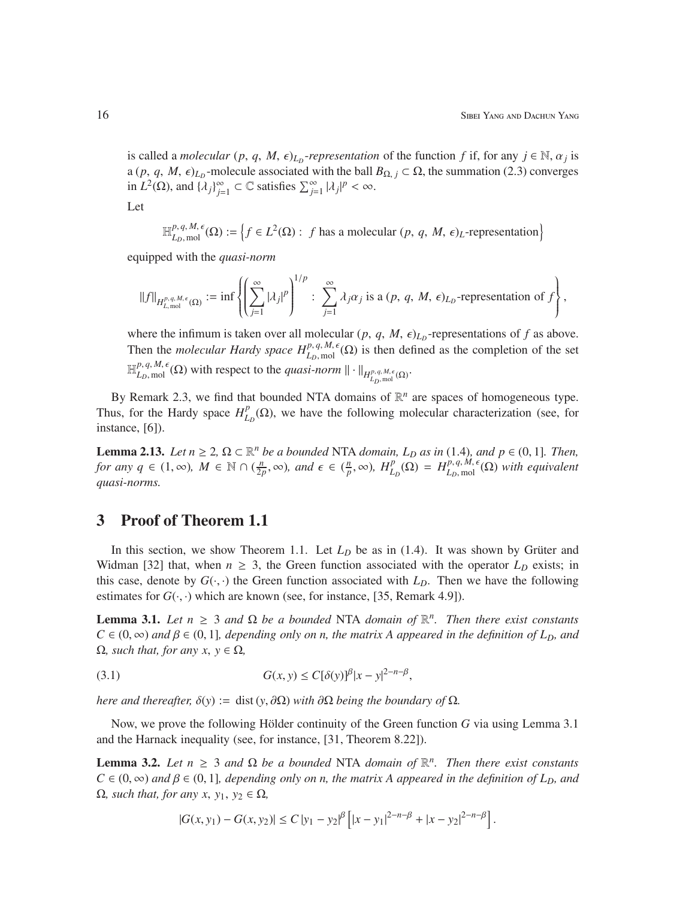is called a *molecular*  $(p, q, M, \epsilon)_{L_p}$ -*representation* of the function  $f$  if, for any  $j \in \mathbb{N}, \alpha_j$  is a  $(p, q, M, \epsilon)_{L_p}$ -molecule associated with the ball  $B_{\Omega, j} \subset \Omega$ , the summation (2.3) converges in  $L^2(\Omega)$ , and  $\{\lambda_j\}_{j=1}^{\infty} \subset \mathbb{C}$  satisfies  $\sum_{j=1}^{\infty} |\lambda_j|^p < \infty$ . | Let

$$
\mathbb{H}_{L_D, \text{mol}}^{p, q, M, \epsilon}(\Omega) := \left\{ f \in L^2(\Omega) : f \text{ has a molecular } (p, q, M, \epsilon)_L \text{-representation} \right\}
$$

equipped with the *quasi-norm*

$$
||f||_{H^{p,q,M,\epsilon}_{L,\text{mol}}} := \inf \left\{ \left( \sum_{j=1}^{\infty} |\lambda_j|^p \right)^{1/p} : \sum_{j=1}^{\infty} \lambda_j \alpha_j \text{ is a } (p, q, M, \epsilon)_{L_p}\text{-representation of } f \right\},\
$$

where the infimum is taken over all molecular  $(p, q, M, \epsilon)_{L_D}$ -representations of  $f$  as above. Then the *molecular Hardy space*  $H_{L_p, \text{mol}}^{p, q, M, \epsilon}(\Omega)$  is then defined as the completion of the set  $\mathbb{H}_{L_D, \text{mol}}^{p, q, M, \epsilon}(\Omega)$  with respect to the *quasi-norm*  $\|\cdot\|_{H_{L_D, \text{mol}}^{p, q, M, \epsilon}(\Omega)}$ .

By Remark 2.3, we find that bounded NTA domains of  $\mathbb{R}^n$  are spaces of homogeneous type. Thus, for the Hardy space  $H_I^p$  $L_D^p(\Omega)$ , we have the following molecular characterization (see, for instance, [6]).

**Lemma 2.13.** *Let*  $n \ge 2$ ,  $\Omega \subset \mathbb{R}^n$  *be a bounded* NTA *domain, L<sub>D</sub> as in* (1.4)*, and p* ∈ (0, 1]*. Then, for any*  $q \in (1, \infty)$ ,  $M \in \mathbb{N} \cap (\frac{n}{2})$  $\frac{n}{2p}$ , ∞), and  $\epsilon \in (\frac{n}{p})$  $\frac{p}{p}$ ,  $\infty$ )*,*  $H_{L_p}^p(\Omega) = H_{L_p, \text{mol}}^{p, q, M, \epsilon}(\Omega)$  *with equivalent quasi-norms.*

## 3 Proof of Theorem 1.1

In this section, we show Theorem 1.1. Let  $L<sub>D</sub>$  be as in (1.4). It was shown by Grüter and Widman [32] that, when  $n \geq 3$ , the Green function associated with the operator  $L<sub>D</sub>$  exists; in this case, denote by  $G(\cdot, \cdot)$  the Green function associated with  $L<sub>D</sub>$ . Then we have the following estimates for  $G(\cdot, \cdot)$  which are known (see, for instance, [35, Remark 4.9]).

**Lemma 3.1.** *Let*  $n \geq 3$  *and*  $\Omega$  *be a bounded* NTA *domain of*  $\mathbb{R}^n$ *. Then there exist constants*  $C \in (0, \infty)$  *and*  $\beta \in (0, 1]$ *, depending only on n, the matrix A appeared in the definition of L<sub>D</sub>, and*  $Ω$ *, such that, for any x, y* ∈  $Ω$ *,* 

(3.1) 
$$
G(x, y) \leq C[\delta(y)]^{\beta} |x - y|^{2-n-\beta},
$$

*here and thereafter,*  $\delta(y) := \text{dist}(y, \partial \Omega)$  *with*  $\partial \Omega$  *being the boundary of*  $\Omega$ *.* 

Now, we prove the following Hölder continuity of the Green function  $G$  via using Lemma 3.1 and the Harnack inequality (see, for instance, [31, Theorem 8.22]).

**Lemma 3.2.** *Let*  $n \geq 3$  *and*  $\Omega$  *be a bounded* NTA *domain of*  $\mathbb{R}^n$ *. Then there exist constants*  $C \in (0, \infty)$  *and*  $\beta \in (0, 1]$ *, depending only on n, the matrix A appeared in the definition of L<sub>D</sub>, and*  $Ω$ *, such that, for any x, y<sub>1</sub>, y<sub>2</sub> ∈ Ω<sub><i>,*</sub></sub>

$$
|G(x,y_1)-G(x,y_2)|\leq C\,|y_1-y_2|^\beta\left[|x-y_1|^{2-n-\beta}+|x-y_2|^{2-n-\beta}\right].
$$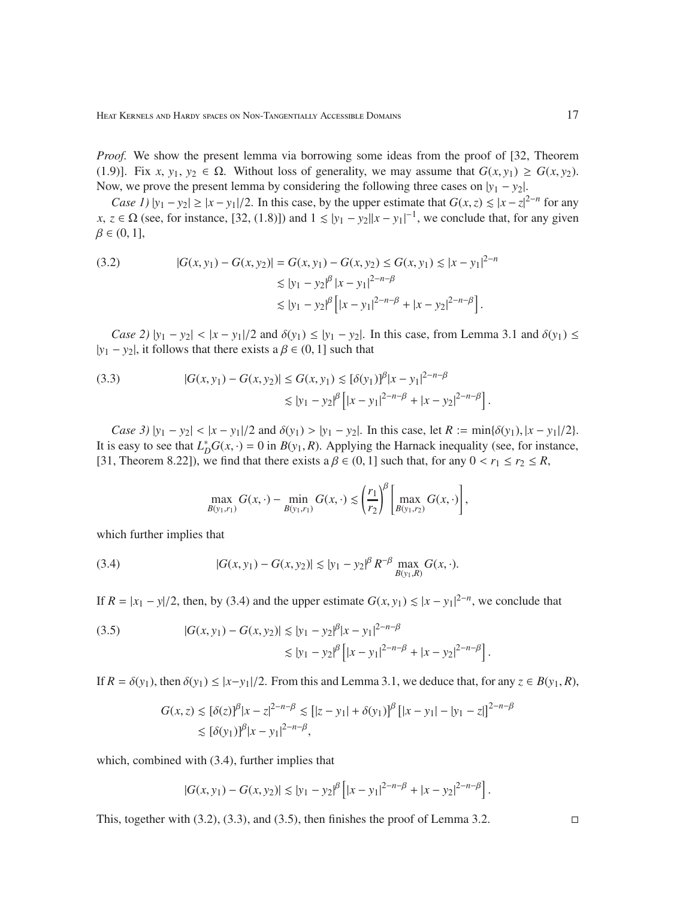*Proof.* We show the present lemma via borrowing some ideas from the proof of [32, Theorem (1.9)]. Fix *x*, *y*<sub>1</sub>, *y*<sub>2</sub>  $\in \Omega$ . Without loss of generality, we may assume that  $G(x, y_1) \ge G(x, y_2)$ . Now, we prove the present lemma by considering the following three cases on  $|y_1 - y_2|$ .

*Case 1*)  $|y_1 - y_2| \ge |x - y_1|/2$ . In this case, by the upper estimate that  $G(x, z) \le |x - z|^{2-n}$  for any  $x, z \in \Omega$  (see, for instance, [32, (1.8)]) and  $1 \le |y_1 - y_2||x - y_1|^{-1}$ , we conclude that, for any given  $\beta \in (0, 1]$ ,

(3.2) 
$$
|G(x, y_1) - G(x, y_2)| = G(x, y_1) - G(x, y_2) \le G(x, y_1) \le |x - y_1|^{2 - n}
$$

$$
\le |y_1 - y_2|^{\beta} |x - y_1|^{2 - n - \beta}
$$

$$
\le |y_1 - y_2|^{\beta} \left[ |x - y_1|^{2 - n - \beta} + |x - y_2|^{2 - n - \beta} \right].
$$

*Case 2)*  $|y_1 - y_2|$  <  $|x - y_1|/2$  and  $\delta(y_1) \le |y_1 - y_2|$ . In this case, from Lemma 3.1 and  $\delta(y_1)$  ≤  $|y_1 - y_2|$ , it follows that there exists a  $\beta \in (0, 1]$  such that

(3.3) 
$$
|G(x, y_1) - G(x, y_2)| \le G(x, y_1) \lesssim [\delta(y_1)]^{\beta} |x - y_1|^{2 - n - \beta} \lesssim |y_1 - y_2|^{\beta} \left[ |x - y_1|^{2 - n - \beta} + |x - y_2|^{2 - n - \beta} \right].
$$

*Case 3*)  $|y_1 - y_2| < |x - y_1|/2$  and  $\delta(y_1) > |y_1 - y_2|$ . In this case, let  $R := \min{\delta(y_1), |x - y_1|/2}$ . It is easy to see that  $L_D^*G(x, \cdot) = 0$  in  $B(y_1, R)$ . Applying the Harnack inequality (see, for instance, [31, Theorem 8.22]), we find that there exists a  $\beta \in (0, 1]$  such that, for any  $0 < r_1 \le r_2 \le R$ ,

$$
\max_{B(y_1,r_1)} G(x,\cdot) - \min_{B(y_1,r_1)} G(x,\cdot) \lesssim \left(\frac{r_1}{r_2}\right)^{\beta} \left[\max_{B(y_1,r_2)} G(x,\cdot)\right],
$$

which further implies that

(3.4) 
$$
|G(x,y_1) - G(x,y_2)| \lesssim |y_1 - y_2|^{\beta} R^{-\beta} \max_{B(y_1,R)} G(x,\cdot).
$$

If  $R = |x_1 - y|/2$ , then, by (3.4) and the upper estimate  $G(x, y_1) \le |x - y_1|^{2-n}$ , we conclude that

(3.5) 
$$
|G(x, y_1) - G(x, y_2)| \lesssim |y_1 - y_2|^{\beta} |x - y_1|^{2 - n - \beta} \lesssim |y_1 - y_2|^{\beta} \left[ |x - y_1|^{2 - n - \beta} + |x - y_2|^{2 - n - \beta} \right].
$$

If  $R = \delta(y_1)$ , then  $\delta(y_1) \le |x-y_1|/2$ . From this and Lemma 3.1, we deduce that, for any  $z \in B(y_1, R)$ ,

$$
G(x, z) \lesssim [\delta(z)]^{\beta} |x - z|^{2-n-\beta} \lesssim [|z - y_1| + \delta(y_1)]^{\beta} [|x - y_1| - |y_1 - z|]^{2-n-\beta}
$$
  

$$
\lesssim [\delta(y_1)]^{\beta} |x - y_1|^{2-n-\beta},
$$

which, combined with  $(3.4)$ , further implies that

$$
|G(x,y_1) - G(x,y_2)| \lesssim |y_1 - y_2|^{\beta} \left[ |x - y_1|^{2-n-\beta} + |x - y_2|^{2-n-\beta} \right].
$$

This, together with  $(3.2)$ ,  $(3.3)$ , and  $(3.5)$ , then finishes the proof of Lemma 3.2.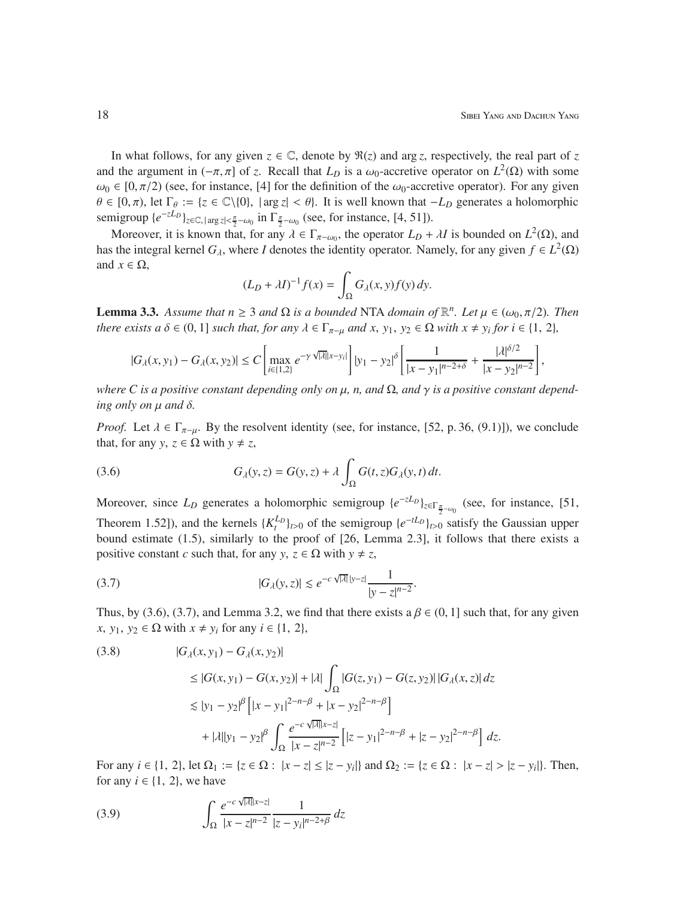In what follows, for any given  $z \in \mathbb{C}$ , denote by  $\Re(z)$  and arg *z*, respectively, the real part of *z* and the argument in  $(-\pi, \pi]$  of *z*. Recall that  $L_D$  is a  $\omega_0$ -accretive operator on  $L^2(\Omega)$  with some  $\omega_0 \in [0, \pi/2)$  (see, for instance, [4] for the definition of the  $\omega_0$ -accretive operator). For any given  $\theta \in [0, \pi)$ , let  $\Gamma_{\theta} := \{z \in \mathbb{C} \setminus \{0\}$ ,  $|\arg z| < \theta\}$ . It is well known that  $-L_D$  generates a holomorphic semigroup  $\{e^{-zL_D}\}_{z \in \mathbb{C}, |\arg z| < \frac{\pi}{2} - \omega_0}$  in  $\Gamma_{\frac{\pi}{2} - \omega_0}$  (see, for instance, [4, 51]).

Moreover, it is known that, for any  $\lambda \in \Gamma_{\pi-\omega_0}$ , the operator  $L_D + \lambda I$  is bounded on  $L^2(\Omega)$ , and has the integral kernel  $G_\lambda$ , where *I* denotes the identity operator. Namely, for any given  $f \in L^2(\Omega)$ and  $x \in \Omega$ ,

$$
(L_D + \lambda I)^{-1} f(x) = \int_{\Omega} G_{\lambda}(x, y) f(y) \, dy.
$$

**Lemma 3.3.** *Assume that*  $n \geq 3$  *and*  $\Omega$  *is a bounded* NTA *domain of*  $\mathbb{R}^n$ *. Let*  $\mu \in (\omega_0, \pi/2)$ *. Then there exists a*  $\delta \in (0, 1]$  *such that, for any*  $\lambda \in \Gamma_{\pi-\mu}$  *and*  $x, y_1, y_2 \in \Omega$  *with*  $x \neq y_i$  *for*  $i \in \{1, 2\}$ *,* 

$$
|G_{\lambda}(x,y_1)-G_{\lambda}(x,y_2)|\leq C\left[\max_{i\in\{1,2\}}e^{-\gamma\sqrt{|\lambda|}|x-y_i|}\right]|y_1-y_2|^{\delta}\left[\frac{1}{|x-y_1|^{n-2+\delta}}+\frac{|\lambda|^{{\delta/2}}}{|x-y_2|^{n-2}}\right],
$$

*where C is a positive constant depending only on*  $\mu$ *, n, and*  $\Omega$ *, and*  $\gamma$  *<i>is a positive constant depend* $ing$  *only on*  $\mu$  *and*  $\delta$ .

*Proof.* Let  $\lambda \in \Gamma_{\pi-\mu}$ . By the resolvent identity (see, for instance, [52, p. 36, (9.1)]), we conclude that, for any *y*,  $z \in \Omega$  with  $y \neq z$ ,

(3.6) 
$$
G_{\lambda}(y, z) = G(y, z) + \lambda \int_{\Omega} G(t, z) G_{\lambda}(y, t) dt.
$$

Moreover, since  $L_D$  generates a holomorphic semigroup  $\{e^{-zL_D}\}_{z \in \Gamma_{\frac{\pi}{2} - \omega_0}}$  (see, for instance, [51, Theorem 1.52]), and the kernels  $\{K_t^{L_D}\}_{t>0}$  of the semigroup  $\{e^{-tL_D}\}_{t>0}$  satisfy the Gaussian upper bound estimate (1.5), similarly to the proof of [26, Lemma 2.3], it follows that there exists a positive constant *c* such that, for any  $y, z \in \Omega$  with  $y \neq z$ ,

(3.7) 
$$
|G_{\lambda}(y,z)| \lesssim e^{-c\sqrt{|\lambda|}|y-z|}\frac{1}{|y-z|^{n-2}}.
$$

Thus, by (3.6), (3.7), and Lemma 3.2, we find that there exists a  $\beta \in (0, 1]$  such that, for any given *x*, *y*<sub>1</sub>, *y*<sub>2</sub> ∈  $\Omega$  with *x* ≠ *y<sub>i</sub>* for any *i* ∈ {1, 2},

$$
(3.8) \qquad |G_{\lambda}(x, y_1) - G_{\lambda}(x, y_2)|
$$
  
\n
$$
\leq |G(x, y_1) - G(x, y_2)| + |\lambda| \int_{\Omega} |G(z, y_1) - G(z, y_2)| |G_{\lambda}(x, z)| dz
$$
  
\n
$$
\lesssim |y_1 - y_2|^{\beta} \left[ |x - y_1|^{2 - n - \beta} + |x - y_2|^{2 - n - \beta} \right]
$$
  
\n
$$
+ |\lambda| |y_1 - y_2|^{\beta} \int_{\Omega} \frac{e^{-c\sqrt{|\lambda|} |x - z|}}{|x - z|^{n - 2}} \left[ |z - y_1|^{2 - n - \beta} + |z - y_2|^{2 - n - \beta} \right] dz.
$$

For any *i* ∈ {1, 2}, let  $Ω_1 := {z ∈ Ω : |x − z| ≤ |z − y_i|}$  and  $Ω_2 := {z ∈ Ω : |x − z| > |z − y_i|}$ . Then, for any  $i \in \{1, 2\}$ , we have

(3.9) 
$$
\int_{\Omega} \frac{e^{-c\sqrt{|\lambda|}|x-z|}}{|x-z|^{n-2}} \frac{1}{|z-y_i|^{n-2+\beta}} dz
$$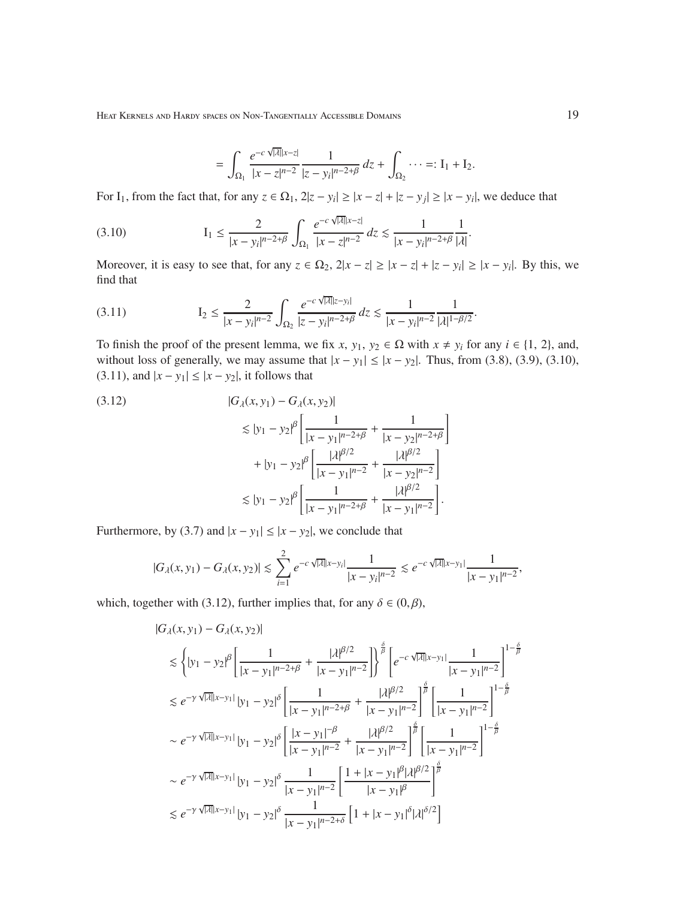$$
= \int_{\Omega_1} \frac{e^{-c\sqrt{|\lambda|}|x-z|}}{|x-z|^{n-2}} \frac{1}{|z-y_i|^{n-2+\beta}} dz + \int_{\Omega_2} \cdots =: I_1 + I_2.
$$

For I<sub>1</sub>, from the fact that, for any  $z \in \Omega_1$ ,  $2|z - y_i| \ge |x - z| + |z - y_j| \ge |x - y_i|$ , we deduce that

$$
(3.10) \tI1 \leq \frac{2}{|x - y_i|^{n - 2 + \beta}} \int_{\Omega_1} \frac{e^{-c\sqrt{|\lambda|}|x - z|}}{|x - z|^{n - 2}} dz \lesssim \frac{1}{|x - y_i|^{n - 2 + \beta}} \frac{1}{|\lambda|}.
$$

Moreover, it is easy to see that, for any  $z \in \Omega_2$ ,  $2|x - z| \ge |x - z| + |z - y_i| \ge |x - y_i|$ . By this, we find that

$$
(3.11) \tI_2 \leq \frac{2}{|x - y_i|^{n-2}} \int_{\Omega_2} \frac{e^{-c\sqrt{|\lambda|}|z - y_i|}}{|z - y_i|^{n-2+\beta}} dz \lesssim \frac{1}{|x - y_i|^{n-2}} \frac{1}{|\lambda|^{1-\beta/2}}.
$$

To finish the proof of the present lemma, we fix *x*,  $y_1, y_2 \in \Omega$  with  $x \neq y_i$  for any  $i \in \{1, 2\}$ , and, without loss of generally, we may assume that  $|x - y_1| \le |x - y_2|$ . Thus, from (3.8), (3.9), (3.10), (3.11), and  $|x - y_1| \le |x - y_2|$ , it follows that

$$
(3.12)
$$
\n
$$
|G_{\lambda}(x, y_1) - G_{\lambda}(x, y_2)|
$$
\n
$$
\leq |y_1 - y_2|^{\beta} \left[ \frac{1}{|x - y_1|^{n - 2 + \beta}} + \frac{1}{|x - y_2|^{n - 2 + \beta}} \right]
$$
\n
$$
+ |y_1 - y_2|^{\beta} \left[ \frac{|\lambda|^{\beta/2}}{|x - y_1|^{n - 2}} + \frac{|\lambda|^{\beta/2}}{|x - y_2|^{n - 2}} \right]
$$
\n
$$
\leq |y_1 - y_2|^{\beta} \left[ \frac{1}{|x - y_1|^{n - 2 + \beta}} + \frac{|\lambda|^{\beta/2}}{|x - y_1|^{n - 2}} \right].
$$

Furthermore, by (3.7) and  $|x - y_1| \le |x - y_2|$ , we conclude that

$$
|G_{\lambda}(x,y_1)-G_{\lambda}(x,y_2)|\leq \sum_{i=1}^2 e^{-c\sqrt{|\lambda|}|x-y_i|}\frac{1}{|x-y_i|^{n-2}}\leq e^{-c\sqrt{|\lambda|}|x-y_1|}\frac{1}{|x-y_1|^{n-2}},
$$

which, together with (3.12), further implies that, for any  $\delta \in (0,\beta)$ ,

$$
|G_{\lambda}(x, y_1) - G_{\lambda}(x, y_2)|
$$
  
\n
$$
\leq \left\{ |y_1 - y_2|^{\beta} \left[ \frac{1}{|x - y_1|^{n-2+\beta}} + \frac{|\lambda|^{\beta/2}}{|x - y_1|^{n-2}} \right] \right\}^{\frac{\delta}{\beta}} \left[ e^{-c\sqrt{|\lambda|}|x - y_1|} \frac{1}{|x - y_1|^{n-2}} \right]^{1 - \frac{\delta}{\beta}}
$$
  
\n
$$
\leq e^{-\gamma \sqrt{|\lambda|}|x - y_1|} |y_1 - y_2|^{\delta} \left[ \frac{1}{|x - y_1|^{n-2+\beta}} + \frac{|\lambda|^{\beta/2}}{|x - y_1|^{n-2}} \right]^{\frac{\delta}{\beta}} \left[ \frac{1}{|x - y_1|^{n-2}} \right]^{1 - \frac{\delta}{\beta}}
$$
  
\n
$$
\sim e^{-\gamma \sqrt{|\lambda|}|x - y_1|} |y_1 - y_2|^{\delta} \left[ \frac{|x - y_1|^{-\beta}}{|x - y_1|^{n-2}} + \frac{|\lambda|^{\beta/2}}{|x - y_1|^{n-2}} \right]^{\frac{\delta}{\beta}} \left[ \frac{1}{|x - y_1|^{n-2}} \right]^{1 - \frac{\delta}{\beta}}
$$
  
\n
$$
\sim e^{-\gamma \sqrt{|\lambda|}|x - y_1|} |y_1 - y_2|^{\delta} \frac{1}{|x - y_1|^{n-2}} \left[ \frac{1 + |x - y_1|^{\beta} |\lambda|^{\beta/2}}{|x - y_1|^{\beta}} \right]^{\frac{\delta}{\beta}}
$$
  
\n
$$
\leq e^{-\gamma \sqrt{|\lambda|}|x - y_1|} |y_1 - y_2|^{\delta} \frac{1}{|x - y_1|^{n-2+\delta}} \left[ 1 + |x - y_1|^{\delta} |\lambda|^{\delta/2} \right]
$$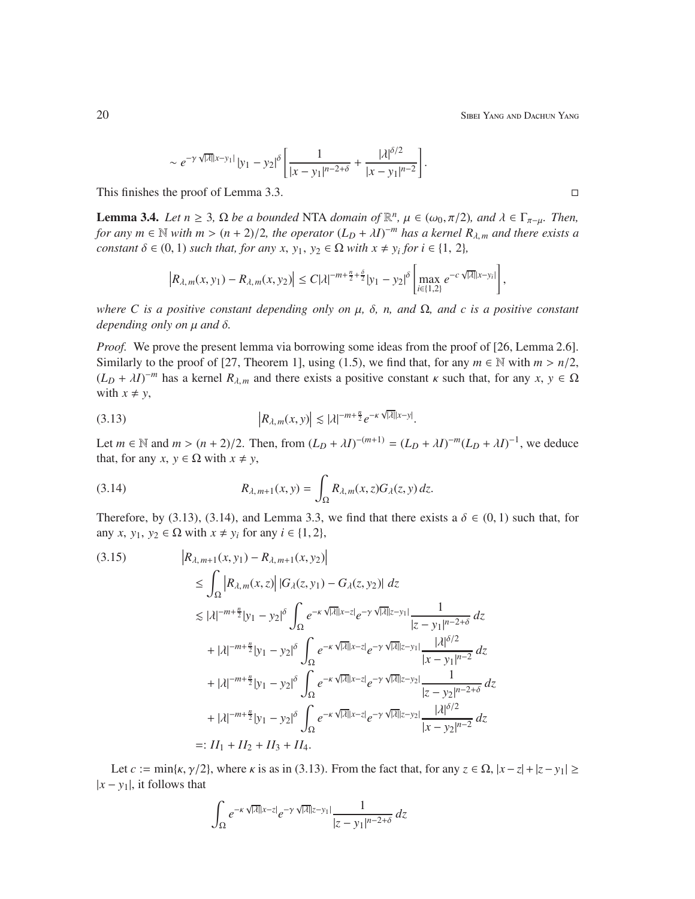20 Sibel Yang and Dachun Yang and Dachun Yang and Dachun Yang and Dachun Yang and Dachun Yang and Dachun Yang and Dachun Yang and Dachun Yang and Dachun Yang and Dachun Yang and Dachun Yang and Dachun Yang and Dachun Yang

$$
\sim e^{-\gamma \sqrt{|\lambda|}|x-y_1|} |y_1-y_2|^\delta \left[ \frac{1}{|x-y_1|^{n-2+\delta}} + \frac{|\lambda|^{\delta/2}}{|x-y_1|^{n-2}} \right]
$$

This finishes the proof of Lemma 3.3.

**Lemma 3.4.** *Let*  $n \geq 3$ ,  $\Omega$  *be a bounded* NTA *domain of*  $\mathbb{R}^n$ ,  $\mu \in (\omega_0, \pi/2)$ , and  $\lambda \in \Gamma_{\pi-\mu}$ . Then, *for any*  $m \in \mathbb{N}$  *with*  $m > (n + 2)/2$ , the operator  $(L_D + \lambda I)^{-m}$  has a kernel  $R_{\lambda,m}$  and there exists a *constant*  $\delta \in (0, 1)$  *such that, for any x, y*<sub>1</sub>, *y*<sub>2</sub>  $\in \Omega$  *with*  $x \neq y_i$  *for*  $i \in \{1, 2\}$ *,* 

.

$$
\left| R_{\lambda,m}(x,y_1) - R_{\lambda,m}(x,y_2) \right| \leq C |\lambda|^{-m + \frac{n}{2} + \frac{\delta}{2}} |y_1 - y_2|^\delta \left[ \max_{i \in \{1,2\}} e^{-c \sqrt{|\lambda|} |x - y_i|} \right],
$$

*where C is a positive constant depending only on* µ*,* δ*, n, and* Ω*, and c is a positive constant depending only on* µ *and* δ*.*

*Proof.* We prove the present lemma via borrowing some ideas from the proof of [26, Lemma 2.6]. Similarly to the proof of [27, Theorem 1], using (1.5), we find that, for any  $m \in \mathbb{N}$  with  $m > n/2$ ,  $(L_D + \lambda I)^{-m}$  has a kernel  $R_{\lambda,m}$  and there exists a positive constant  $\kappa$  such that, for any  $x, y \in \Omega$ with  $x \neq y$ ,

$$
|R_{\lambda,m}(x,y)| \lesssim |\lambda|^{-m+\frac{n}{2}} e^{-\kappa \sqrt{|\lambda|}|x-y|}.
$$

Let *m* ∈ N and *m* > (*n* + 2)/2. Then, from  $(L_D + \lambda I)^{-(m+1)} = (L_D + \lambda I)^{-m}(L_D + \lambda I)^{-1}$ , we deduce that, for any *x*,  $y \in \Omega$  with  $x \neq y$ ,

(3.14) 
$$
R_{\lambda,m+1}(x,y) = \int_{\Omega} R_{\lambda,m}(x,z) G_{\lambda}(z,y) dz.
$$

Therefore, by (3.13), (3.14), and Lemma 3.3, we find that there exists a  $\delta \in (0,1)$  such that, for any *x*,  $y_1, y_2 \in \Omega$  with  $x \neq y_i$  for any  $i \in \{1, 2\}$ ,

$$
(3.15) \qquad |R_{\lambda,m+1}(x,y_1) - R_{\lambda,m+1}(x,y_2)|
$$
  
\n
$$
\leq \int_{\Omega} |R_{\lambda,m}(x,z)| |G_{\lambda}(z,y_1) - G_{\lambda}(z,y_2)| dz
$$
  
\n
$$
\leq |\lambda|^{-m+\frac{n}{2}} |y_1 - y_2|^\delta \int_{\Omega} e^{-\kappa \sqrt{|\lambda|}|x-z|} e^{-\gamma \sqrt{|\lambda|}|z-y_1|} \frac{1}{|z-y_1|^{n-2+\delta}} dz
$$
  
\n
$$
+ |\lambda|^{-m+\frac{n}{2}} |y_1 - y_2|^\delta \int_{\Omega} e^{-\kappa \sqrt{|\lambda|}|x-z|} e^{-\gamma \sqrt{|\lambda|}|z-y_1|} \frac{|\lambda|^{ \delta/2}}{|x-y_1|^{n-2}} dz
$$
  
\n
$$
+ |\lambda|^{-m+\frac{n}{2}} |y_1 - y_2|^\delta \int_{\Omega} e^{-\kappa \sqrt{|\lambda|}|x-z|} e^{-\gamma \sqrt{|\lambda|}|z-y_2|} \frac{1}{|z-y_2|^{n-2+\delta}} dz
$$
  
\n
$$
+ |\lambda|^{-m+\frac{n}{2}} |y_1 - y_2|^\delta \int_{\Omega} e^{-\kappa \sqrt{|\lambda|}|x-z|} e^{-\gamma \sqrt{|\lambda|}|z-y_2|} \frac{|\lambda|^{ \delta/2}}{|x-y_2|^{n-2}} dz
$$
  
\n
$$
=: II_1 + II_2 + II_3 + II_4.
$$

Let *c* := min{ $\kappa$ ,  $\gamma$ /2}, where  $\kappa$  is as in (3.13). From the fact that, for any  $z \in \Omega$ ,  $|x-z| + |z-y_1| \ge$  $|x - y_1|$ , it follows that

$$
\int_{\Omega} e^{-\kappa \sqrt{|\lambda|}|x-z|} e^{-\gamma \sqrt{|\lambda|}|z-y_1|} \frac{1}{|z-y_1|^{n-2+\delta}} dz
$$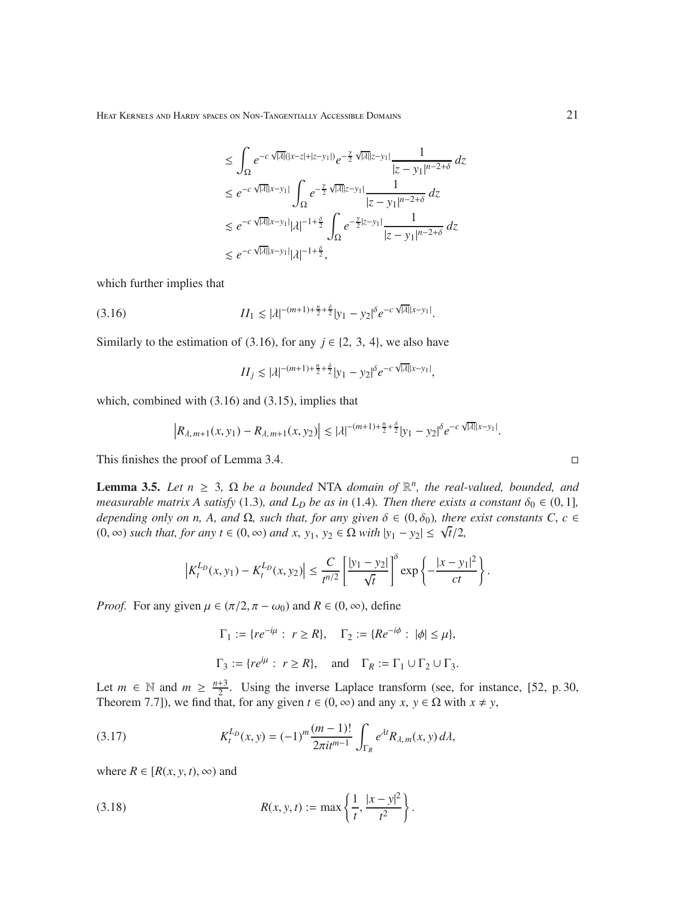$$
\leq \int_{\Omega} e^{-c\sqrt{|\lambda|}(|x-z|+|z-y_1|)} e^{-\frac{\gamma}{2}\sqrt{|\lambda|}|z-y_1|} \frac{1}{|z-y_1|^{n-2+\delta}} dz
$$
  
\n
$$
\leq e^{-c\sqrt{|\lambda|}|x-y_1|} \int_{\Omega} e^{-\frac{\gamma}{2}\sqrt{|\lambda|}|z-y_1|} \frac{1}{|z-y_1|^{n-2+\delta}} dz
$$
  
\n
$$
\leq e^{-c\sqrt{|\lambda|}|x-y_1|} |\lambda|^{-1+\frac{\delta}{2}} \int_{\Omega} e^{-\frac{\gamma}{2}|z-y_1|} \frac{1}{|z-y_1|^{n-2+\delta}} dz
$$
  
\n
$$
\leq e^{-c\sqrt{|\lambda|}|x-y_1|} |\lambda|^{-1+\frac{\delta}{2}},
$$

which further implies that

$$
(3.16) \t\t I I1 \lesssim |\lambda|^{-(m+1)+\frac{n}{2}+\frac{\delta}{2}} |y_1 - y_2|^{\delta} e^{-c\sqrt{|\lambda|}|x - y_1|}.
$$

Similarly to the estimation of (3.16), for any  $j \in \{2, 3, 4\}$ , we also have

$$
II_j \lesssim |\lambda|^{-(m+1)+\frac{n}{2}+\frac{\delta}{2}} |y_1-y_2|^{\delta} e^{-c\sqrt{|\lambda|}|x-y_1|},
$$

which, combined with (3.16) and (3.15), implies that

$$
\left|R_{\lambda,m+1}(x,y_1)-R_{\lambda,m+1}(x,y_2)\right|\lesssim |\lambda|^{-(m+1)+\frac{n}{2}+\frac{\delta}{2}}|y_1-y_2|^{\delta}e^{-c\sqrt{|\lambda|}|x-y_1|}.
$$

This finishes the proof of Lemma 3.4.

**Lemma 3.5.** *Let*  $n \geq 3$ ,  $\Omega$  *be a bounded* NTA *domain of*  $\mathbb{R}^n$ *, the real-valued, bounded, and measurable matrix A satisfy* (1.3)*, and*  $L<sub>D</sub>$  *be as in* (1.4)*. Then there exists a constant*  $\delta_0 \in (0, 1]$ *, depending only on n, A, and* Ω, such that, for any given  $\delta$  ∈ (0,  $\delta$ <sub>0</sub>), there exist constants C, c ∈ (0, ∞) *such that, for any t* ∈ (0, ∞) *and x*,  $y_1$ ,  $y_2$  ∈  $\Omega$  *with*  $|y_1 - y_2| \le \sqrt{t}/2$ ,

$$
\left|K_t^{L_D}(x,y_1) - K_t^{L_D}(x,y_2)\right| \leq \frac{C}{t^{n/2}} \left[\frac{|y_1 - y_2|}{\sqrt{t}}\right]^\delta \exp\left\{-\frac{|x - y_1|^2}{ct}\right\}.
$$

*Proof.* For any given  $\mu \in (\pi/2, \pi - \omega_0)$  and  $R \in (0, \infty)$ , define

$$
\Gamma_1 := \{ re^{-i\mu} : r \ge R \}, \quad \Gamma_2 := \{ Re^{-i\phi} : |\phi| \le \mu \},
$$
  

$$
\Gamma_3 := \{ re^{i\mu} : r \ge R \}, \quad \text{and} \quad \Gamma_R := \Gamma_1 \cup \Gamma_2 \cup \Gamma_3.
$$

Let  $m \in \mathbb{N}$  and  $m \geq \frac{n+3}{2}$  $\frac{+3}{2}$ . Using the inverse Laplace transform (see, for instance, [52, p. 30, Theorem 7.7]), we find that, for any given  $t \in (0, \infty)$  and any  $x, y \in \Omega$  with  $x \neq y$ ,

(3.17) 
$$
K_t^{L_D}(x,y) = (-1)^m \frac{(m-1)!}{2\pi i t^{m-1}} \int_{\Gamma_R} e^{\lambda t} R_{\lambda,m}(x,y) d\lambda,
$$

where  $R \in [R(x, y, t), \infty)$  and

(3.18) 
$$
R(x, y, t) := \max \left\{ \frac{1}{t}, \frac{|x - y|^2}{t^2} \right\}.
$$

$$
\Box
$$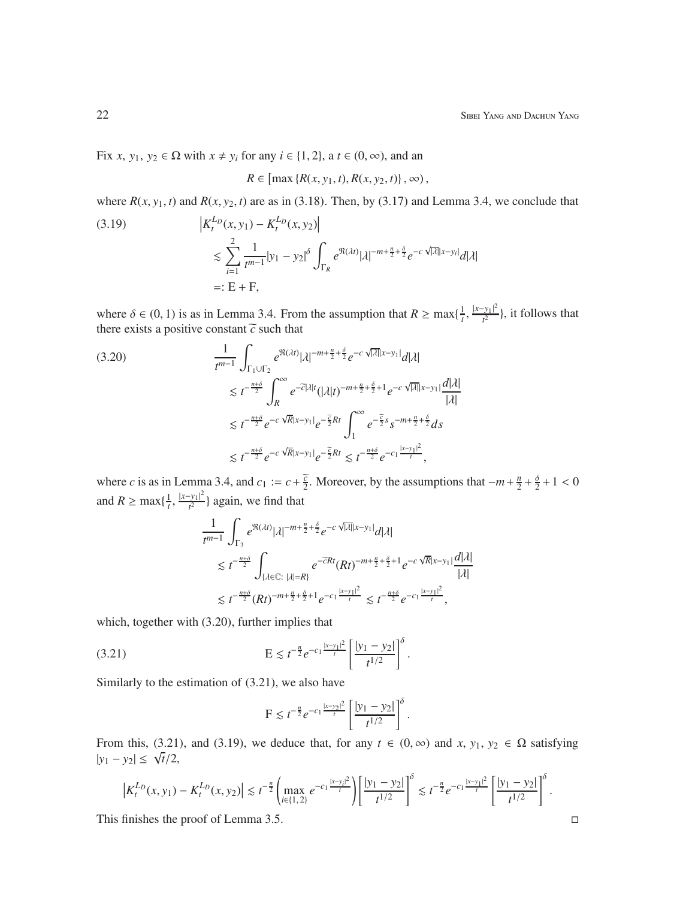Fix *x*,  $y_1, y_2 \in \Omega$  with  $x \neq y_i$  for any  $i \in \{1, 2\}$ , a  $t \in (0, \infty)$ , and an

$$
R \in [\max\{R(x, y_1, t), R(x, y_2, t)\}, \infty),
$$

where  $R(x, y_1, t)$  and  $R(x, y_2, t)$  are as in (3.18). Then, by (3.17) and Lemma 3.4, we conclude that

(3.19) 
$$
\begin{aligned} \left| K_t^{L_D}(x, y_1) - K_t^{L_D}(x, y_2) \right| \\ &\le \sum_{i=1}^2 \frac{1}{t^{m-1}} |y_1 - y_2|^\delta \int_{\Gamma_R} e^{\Re(\lambda t)} |\lambda|^{-m + \frac{n}{2} + \frac{\delta}{2}} e^{-c\sqrt{|\lambda|}|x - y_i|} d|\lambda| \\ &=: E + F, \end{aligned}
$$

where  $\delta \in (0, 1)$  is as in Lemma 3.4. From the assumption that  $R \ge \max\{\frac{1}{t}\}$  $\frac{|x-y_1|^2}{t^2}$  $\frac{y_{11}}{t^2}$ , it follows that there exists a positive constant  $\tilde{c}$  such that

$$
(3.20) \qquad \frac{1}{t^{m-1}} \int_{\Gamma_1 \cup \Gamma_2} e^{\Re(\lambda t)} |\lambda|^{-m + \frac{n}{2} + \frac{\delta}{2}} e^{-c\sqrt{|\lambda|}|x - y_1|} d|\lambda|
$$
  

$$
\lesssim t^{-\frac{n+\delta}{2}} \int_R^{\infty} e^{-\tilde{c}|\lambda| t} (|\lambda| t)^{-m + \frac{n}{2} + \frac{\delta}{2} + 1} e^{-c\sqrt{|\lambda|}|x - y_1|} \frac{d|\lambda|}{|\lambda|}
$$
  

$$
\lesssim t^{-\frac{n+\delta}{2}} e^{-c\sqrt{R}|x - y_1|} e^{-\frac{\tilde{c}}{2}Rt} \int_1^{\infty} e^{-\frac{\tilde{c}}{2} s} s^{-m + \frac{n}{2} + \frac{\delta}{2}} ds
$$
  

$$
\lesssim t^{-\frac{n+\delta}{2}} e^{-c\sqrt{R}|x - y_1|} e^{-\frac{\tilde{c}}{2}Rt} \lesssim t^{-\frac{n+\delta}{2}} e^{-c_1 \frac{|x - y_1|^2}{t}},
$$

where *c* is as in Lemma 3.4, and  $c_1 := c + \frac{\tilde{c}}{2}$ . Moreover, by the assumptions that  $-m + \frac{n}{2}$  $\frac{n}{2}+\frac{\delta}{2}$  $\frac{6}{2}+1 < 0$ and *R*  $\geq$  max $\{\frac{1}{t}, \frac{|x-y_1|^2}{t^2}\}$  $\frac{y_1}{t^2}$  again, we find that

$$
\begin{split} &\frac{1}{t^{m-1}}\int_{\Gamma_3}e^{\Re(\lambda t)}|\lambda|^{-m+\frac{n}{2}+\frac{\delta}{2}}e^{-c\sqrt{|\lambda|}|x-y_1|}d|\lambda| \\ &\lesssim t^{-\frac{n+\delta}{2}}\int_{\{\lambda\in\mathbb{C}:\;|\lambda|=R\}}e^{-\overline{c}Rt}(Rt)^{-m+\frac{n}{2}+\frac{\delta}{2}+1}e^{-c\sqrt{R}|x-y_1|}\frac{d|\lambda|}{|\lambda|} \\ &\lesssim t^{-\frac{n+\delta}{2}}(Rt)^{-m+\frac{n}{2}+\frac{\delta}{2}+1}e^{-c_1\frac{|x-y_1|^2}{t}}\lesssim t^{-\frac{n+\delta}{2}}e^{-c_1\frac{|x-y_1|^2}{t}}, \end{split}
$$

which, together with  $(3.20)$ , further implies that

(3.21) 
$$
E \lesssim t^{-\frac{n}{2}} e^{-c_1 \frac{|x - y_1|^2}{t}} \left[ \frac{|y_1 - y_2|}{t^{1/2}} \right]^{\delta}.
$$

Similarly to the estimation of (3.21), we also have

$$
F \lesssim t^{-\frac{n}{2}} e^{-c_1 \frac{|x-y_2|^2}{t}} \left[ \frac{|y_1 - y_2|}{t^{1/2}} \right]^{\delta}.
$$

From this, (3.21), and (3.19), we deduce that, for any  $t \in (0, \infty)$  and  $x, y_1, y_2 \in \Omega$  satisfying  $|y_1 - y_2| \leq \sqrt{t/2},$ 

$$
\left|K_t^{L_D}(x,y_1)-K_t^{L_D}(x,y_2)\right|\lesssim t^{-\frac{n}{2}}\left(\max_{i\in\{1,2\}}e^{-c_1\frac{|x-y_i|^2}{t}}\right)\left[\frac{|y_1-y_2|}{t^{1/2}}\right]^\delta\lesssim t^{-\frac{n}{2}}e^{-c_1\frac{|x-y_1|^2}{t}}\left[\frac{|y_1-y_2|}{t^{1/2}}\right]^\delta.
$$

This finishes the proof of Lemma 3.5.  $\Box$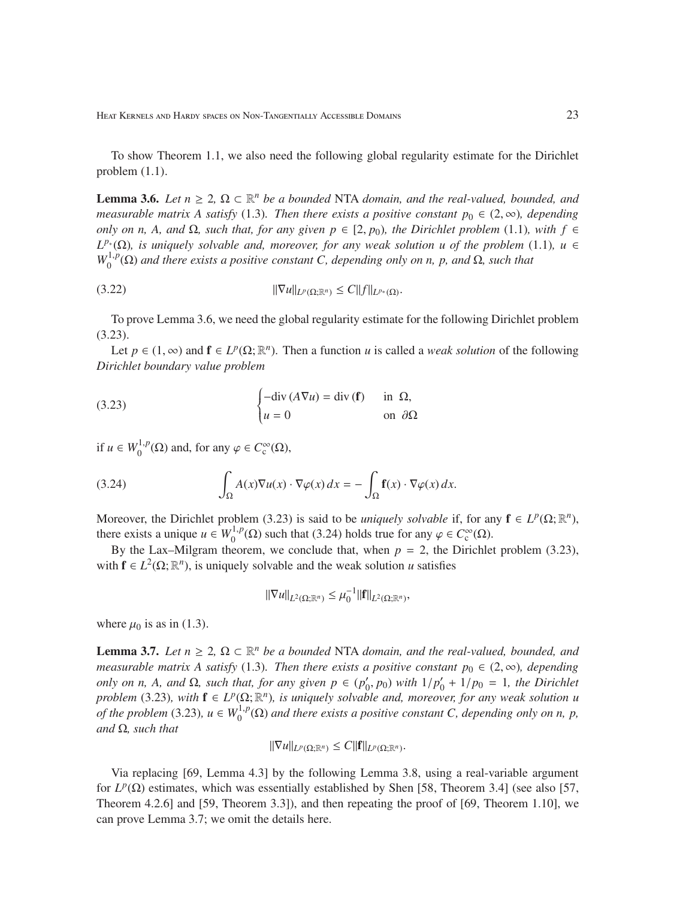To show Theorem 1.1, we also need the following global regularity estimate for the Dirichlet problem (1.1).

**Lemma 3.6.** *Let*  $n \geq 2$ ,  $\Omega \subset \mathbb{R}^n$  *be a bounded* NTA *domain, and the real-valued, bounded, and measurable matrix A satisfy* (1.3). Then there exists a positive constant  $p_0 \in (2,\infty)$ , depending *only on n, A, and*  $Ω$ *, such that, for any given*  $p ∈ [2, p<sub>0</sub>)$ *, the Dirichlet problem* (1.1)*, with*  $f ∈$  $L^{p^*}(\Omega)$ *, is uniquely solvable and, moreover, for any weak solution u of the problem* (1.1)*, u* ∈  $W_0^{1,p}$  $O_0^{1,p}(\Omega)$  *and there exists a positive constant C, depending only on n, p, and*  $\Omega$ *, such that* 

$$
||\nabla u||_{L^p(\Omega;\mathbb{R}^n)} \leq C||f||_{L^{p_*}(\Omega)}.
$$

To prove Lemma 3.6, we need the global regularity estimate for the following Dirichlet problem (3.23).

Let  $p \in (1, \infty)$  and  $f \in L^p(\Omega; \mathbb{R}^n)$ . Then a function *u* is called a *weak solution* of the following *Dirichlet boundary value problem*

(3.23) 
$$
\begin{cases}\n-\text{div}(A\nabla u) = \text{div}(\mathbf{f}) & \text{in } \Omega, \\
u = 0 & \text{on } \partial\Omega\n\end{cases}
$$

if  $u \in W_0^{1,p}$  $O_0^{(1,p)}(\Omega)$  and, for any  $\varphi \in C_c^{\infty}(\Omega)$ ,

(3.24) 
$$
\int_{\Omega} A(x) \nabla u(x) \cdot \nabla \varphi(x) dx = - \int_{\Omega} \mathbf{f}(x) \cdot \nabla \varphi(x) dx.
$$

Moreover, the Dirichlet problem (3.23) is said to be *uniquely solvable* if, for any  $\mathbf{f} \in L^p(\Omega; \mathbb{R}^n)$ , there exists a unique  $u \in W_0^{1,p}$  $\mathcal{O}_0^{(1,p)}(\Omega)$  such that (3.24) holds true for any  $\varphi \in C_c^{\infty}(\Omega)$ .

By the Lax–Milgram theorem, we conclude that, when  $p = 2$ , the Dirichlet problem (3.23), with  $f \in L^2(\Omega; \mathbb{R}^n)$ , is uniquely solvable and the weak solution *u* satisfies

$$
\|\nabla u\|_{L^2(\Omega;\mathbb{R}^n)} \leq \mu_0^{-1} \|f\|_{L^2(\Omega;\mathbb{R}^n)},
$$

where  $\mu_0$  is as in (1.3).

**Lemma 3.7.** *Let*  $n \geq 2$ ,  $\Omega \subset \mathbb{R}^n$  *be a bounded* NTA *domain, and the real-valued, bounded, and measurable matrix A satisfy* (1.3). Then there exists a positive constant  $p_0 \in (2, \infty)$ , depending *only on n, A, and*  $\Omega$ *, such that, for any given*  $p \in (p'_0, p_0)$  *with*  $1/p'_0 + 1/p_0 = 1$ *, the Dirichlet problem* (3.23), with  $f \in L^p(\Omega; \mathbb{R}^n)$ , is uniquely solvable and, moreover, for any weak solution u *of the problem* (3.23),  $u \in W_0^{1,p}$  $\int_0^{1,p}(\Omega)$  and there exists a positive constant C, depending only on n, p, *and* Ω*, such that*

$$
\|\nabla u\|_{L^p(\Omega;\mathbb{R}^n)} \leq C \|{\bf f}\|_{L^p(\Omega;\mathbb{R}^n)}.
$$

Via replacing [69, Lemma 4.3] by the following Lemma 3.8, using a real-variable argument for  $L^p(\Omega)$  estimates, which was essentially established by Shen [58, Theorem 3.4] (see also [57, Theorem 4.2.6] and [59, Theorem 3.3]), and then repeating the proof of [69, Theorem 1.10], we can prove Lemma 3.7; we omit the details here.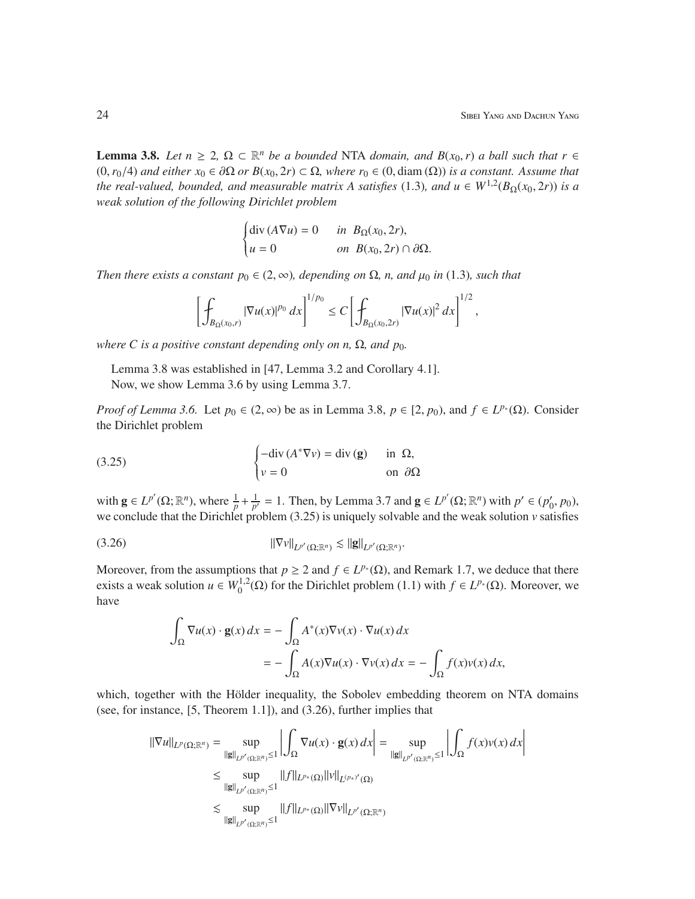**Lemma 3.8.** *Let*  $n \geq 2$ ,  $\Omega \subset \mathbb{R}^n$  *be a bounded* NTA *domain, and*  $B(x_0, r)$  *a ball such that*  $r \in$ (0,*r*0/4) *and either x*<sup>0</sup> ∈ ∂Ω *or B*(*x*0, 2*r*) ⊂ Ω*, where r*<sup>0</sup> ∈ (0, diam (Ω)) *is a constant. Assume that the real-valued, bounded, and measurable matrix A satisfies* (1.3), and  $u \in W^{1,2}(B_{\Omega}(x_0, 2r))$  *is a weak solution of the following Dirichlet problem*

$$
\begin{cases} \text{div}\,(A\nabla u) = 0 & \text{in } B_{\Omega}(x_0, 2r), \\ u = 0 & \text{on } B(x_0, 2r) \cap \partial\Omega. \end{cases}
$$

*Then there exists a constant*  $p_0 \in (2, \infty)$ *, depending on*  $\Omega$ *, n, and*  $\mu_0$  *in* (1.3)*, such that* 

$$
\left[\int_{B_{\Omega}(x_0,r)} |\nabla u(x)|^{p_0} dx\right]^{1/p_0} \leq C \left[\int_{B_{\Omega}(x_0,2r)} |\nabla u(x)|^2 dx\right]^{1/2},
$$

*where C is a positive constant depending only on n,*  $\Omega$ *, and p<sub>0</sub>.* 

Lemma 3.8 was established in [47, Lemma 3.2 and Corollary 4.1]. Now, we show Lemma 3.6 by using Lemma 3.7.

*Proof of Lemma 3.6.* Let  $p_0 \in (2, \infty)$  be as in Lemma 3.8,  $p \in [2, p_0)$ , and  $f \in L^{p_*}(\Omega)$ . Consider the Dirichlet problem

(3.25) 
$$
\begin{cases}\n-\text{div}(A^*\nabla v) = \text{div}(\mathbf{g}) & \text{in } \Omega, \\
v = 0 & \text{on } \partial\Omega\n\end{cases}
$$

with  $\mathbf{g} \in L^{p'}(\Omega; \mathbb{R}^n)$ , where  $\frac{1}{p} + \frac{1}{p'} = 1$ . Then, by Lemma 3.7 and  $\mathbf{g} \in L^{p'}(\Omega; \mathbb{R}^n)$  with  $p' \in (p'_0, p_0)$ , we conclude that the Dirichlet problem (3.25) is uniquely solvable and the weak solution *v* satisfies

$$
||\nabla v||_{L^{p'}(\Omega;\mathbb{R}^n)} \lesssim ||\mathbf{g}||_{L^{p'}(\Omega;\mathbb{R}^n)}.
$$

Moreover, from the assumptions that  $p \ge 2$  and  $f \in L^{p*}(\Omega)$ , and Remark 1.7, we deduce that there exists a weak solution  $u \in W_0^{1,2}$  $(1, 1)$  ( $\Omega$ ) for the Dirichlet problem (1.1) with  $f \in L^{p*}(\Omega)$ . Moreover, we have

$$
\int_{\Omega} \nabla u(x) \cdot \mathbf{g}(x) dx = -\int_{\Omega} A^*(x) \nabla v(x) \cdot \nabla u(x) dx
$$
  
= 
$$
-\int_{\Omega} A(x) \nabla u(x) \cdot \nabla v(x) dx = -\int_{\Omega} f(x) v(x) dx,
$$

which, together with the Hölder inequality, the Sobolev embedding theorem on NTA domains (see, for instance, [5, Theorem 1.1]), and (3.26), further implies that

$$
\|\nabla u\|_{L^p(\Omega;\mathbb{R}^n)} = \sup_{\|\mathbf{g}\|_{L^{p'}(\Omega;\mathbb{R}^n)} \le 1} \left| \int_{\Omega} \nabla u(x) \cdot \mathbf{g}(x) dx \right| = \sup_{\|\mathbf{g}\|_{L^{p'}(\Omega;\mathbb{R}^n)} \le 1} \left| \int_{\Omega} f(x) v(x) dx \right|
$$
  
\n
$$
\le \sup_{\|\mathbf{g}\|_{L^{p'}(\Omega;\mathbb{R}^n)} \le 1} \|f\|_{L^{p_*}(\Omega)} \|v\|_{L^{(p_*)'}(\Omega)}
$$
  
\n
$$
\lesssim \sup_{\|\mathbf{g}\|_{L^{p'}(\Omega;\mathbb{R}^n)} \le 1} \|f\|_{L^{p_*}(\Omega)} \|v\|_{L^{p'}(\Omega;\mathbb{R}^n)}
$$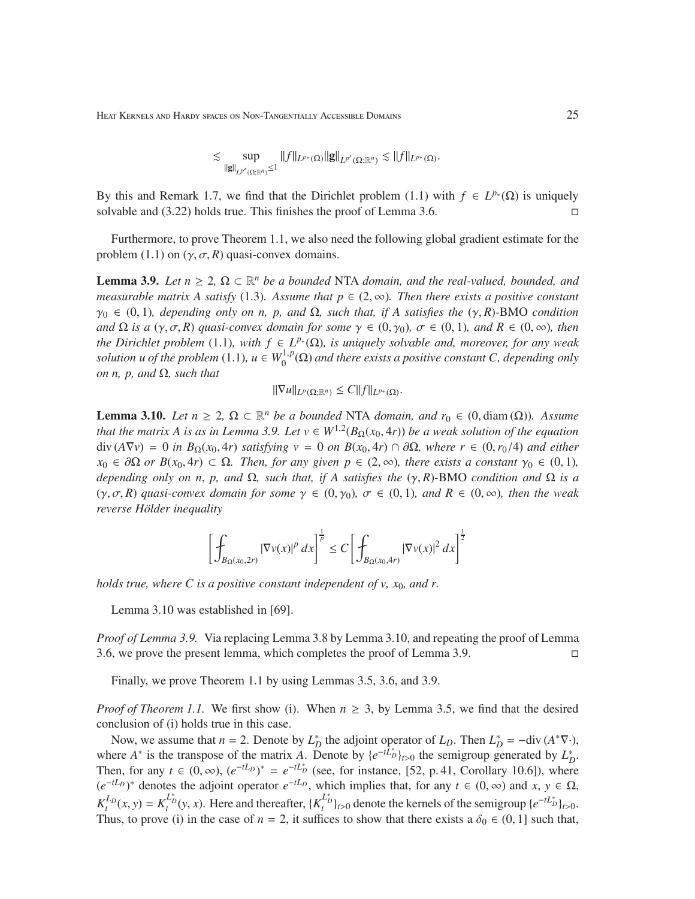$$
\lesssim \sup_{\|{\bf g}\|_{L^{p'}(\Omega;\mathbb{R}^n)}\leq 1}\|f\|_{L^{p_*}(\Omega)}\|{\bf g}\|_{L^{p'}(\Omega;\mathbb{R}^n)}\lesssim \|f\|_{L^{p_*}(\Omega)}.
$$

By this and Remark 1.7, we find that the Dirichlet problem (1.1) with  $f \in L^{p^*}(\Omega)$  is uniquely solvable and  $(3.22)$  holds true. This finishes the proof of Lemma 3.6.

Furthermore, to prove Theorem 1.1, we also need the following global gradient estimate for the problem (1.1) on  $(\gamma, \sigma, R)$  quasi-convex domains.

**Lemma 3.9.** *Let*  $n \geq 2$ ,  $\Omega \subset \mathbb{R}^n$  *be a bounded* NTA *domain, and the real-valued, bounded, and measurable matrix A satisfy* (1.3)*. Assume that*  $p \in (2, \infty)$ *. Then there exists a positive constant* γ<sup>0</sup> ∈ (0, 1)*, depending only on n, p, and* Ω*, such that, if A satisfies the* (γ, *R*)*-*BMO *condition and*  $\Omega$  *is a* ( $\gamma$ ,  $\sigma$ ,  $R$ ) *quasi-convex domain for some*  $\gamma \in (0, \gamma_0)$ ,  $\sigma \in (0, 1)$ *, and*  $R \in (0, \infty)$ *, then the Dirichlet problem* (1.1)*, with*  $f \in L^{p*}(\Omega)$ *, is uniquely solvable and, moreover, for any weak solution u of the problem*  $(1.1)$ *, u*  $\in W_0^{1,p}$  $\int_0^{1,p}(\Omega)$  and there exists a positive constant C, depending only *on n, p, and* Ω*, such that*

$$
\|\nabla u\|_{L^p(\Omega;\mathbb{R}^n)} \leq C \|f\|_{L^{p_*}(\Omega)}.
$$

**Lemma 3.10.** *Let*  $n \geq 2$ ,  $\Omega \subset \mathbb{R}^n$  *be a bounded* NTA *domain, and*  $r_0 \in (0, \text{diam}(\Omega))$ *. Assume that the matrix A is as in Lemma 3.9. Let*  $v \in W^{1,2}(B_{\Omega}(x_0, 4r))$  *be a weak solution of the equation* div (*A*∇*v*) = 0 *in B*Ω(*x*0, 4*r*) *satisfying v* = 0 *on B*(*x*0, 4*r*) ∩ ∂Ω*, where r* ∈ (0,*r*0/4) *and either*  $x_0 \in \partial\Omega$  *or*  $B(x_0, 4r) \subset \Omega$ *. Then, for any given*  $p \in (2, \infty)$ *, there exists a constant*  $\gamma_0 \in (0, 1)$ *, depending only on n*, *p, and* Ω*, such that, if A satisfies the* (γ, *R*)*-*BMO *condition and* Ω *is a*  $(\gamma, \sigma, R)$  *quasi-convex domain for some*  $\gamma \in (0, \gamma_0)$ ,  $\sigma \in (0, 1)$ *, and*  $R \in (0, \infty)$ *, then the weak reverse Hölder inequality* 

$$
\left[\int_{B_{\Omega}(x_0,2r)} |\nabla v(x)|^p dx\right]^{\frac{1}{p}} \leq C \left[\int_{B_{\Omega}(x_0,4r)} |\nabla v(x)|^2 dx\right]^{\frac{1}{2}}
$$

*holds true, where C is a positive constant independent of v, x*0*, and r.*

Lemma 3.10 was established in [69].

*Proof of Lemma 3.9.* Via replacing Lemma 3.8 by Lemma 3.10, and repeating the proof of Lemma 3.6, we prove the present lemma, which completes the proof of Lemma 3.9.

Finally, we prove Theorem 1.1 by using Lemmas 3.5, 3.6, and 3.9.

*Proof of Theorem 1.1.* We first show (i). When  $n \geq 3$ , by Lemma 3.5, we find that the desired conclusion of (i) holds true in this case.

Now, we assume that  $n = 2$ . Denote by  $L_D^*$  the adjoint operator of  $L_D$ . Then  $L_D^* = -\text{div}(A^* \nabla \cdot)$ , where  $A^*$  is the transpose of the matrix *A*. Denote by  $\{e^{-tL_D^*}\}_{t>0}$  the semigroup generated by  $L_D^*$ . Then, for any  $t \in (0, \infty)$ ,  $(e^{-tL_D})^* = e^{-tL_D^*}$  (see, for instance, [52, p. 41, Corollary 10.6]), where  $(e^{-tL_D})^*$  denotes the adjoint operator  $e^{-tL_D}$ , which implies that, for any  $t \in (0, \infty)$  and  $x, y \in \Omega$ ,  $K_t^{L_D}(x, y) = K_t^{L_D^*}(y, x)$ . Here and thereafter,  $\{K_t^{L_D^*}\}_{t>0}$  denote the kernels of the semigroup  $\{e^{-tL_D^*}\}_{t>0}$ . Thus, to prove (i) in the case of  $n = 2$ , it suffices to show that there exists a  $\delta_0 \in (0, 1]$  such that,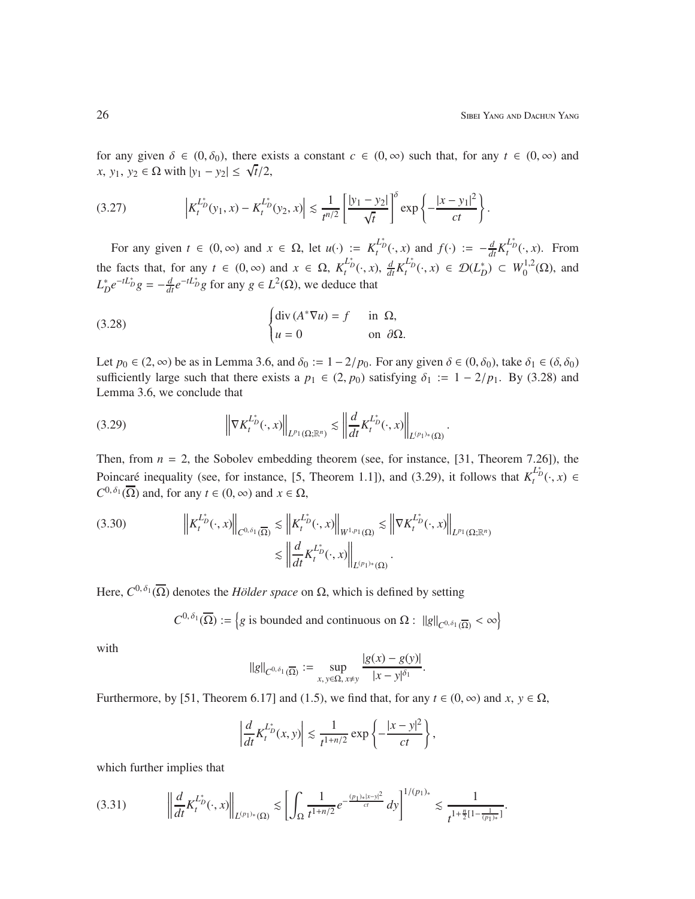for any given  $\delta \in (0, \delta_0)$ , there exists a constant  $c \in (0, \infty)$  such that, for any  $t \in (0, \infty)$  and  $f(x, y_1, y_2 \in Ω \text{ with } |y_1 - y_2| \leq \sqrt{t}/2,$ 

$$
(3.27) \qquad \left| K_t^{L_D^*}(y_1, x) - K_t^{L_D^*}(y_2, x) \right| \lesssim \frac{1}{t^{n/2}} \left[ \frac{|y_1 - y_2|}{\sqrt{t}} \right]^\delta \exp \left\{ - \frac{|x - y_1|^2}{ct} \right\}.
$$

For any given  $t \in (0, \infty)$  and  $x \in \Omega$ , let  $u(\cdot) := K_t^{L_D^*}(\cdot, x)$  and  $f(\cdot) := -\frac{d}{dt} K_t^{L_D^*}(\cdot, x)$ . From the facts that, for any  $t \in (0, \infty)$  and  $x \in \Omega$ ,  $K_t^{L_D^*}(\cdot, x)$ ,  $\frac{d}{dt} K_t^{L_D^*}(\cdot, x) \in \mathcal{D}(L_D^*) \subset W_0^{1,2}$  $_{0}^{1,2}(\Omega)$ , and  $L_D^* e^{-tL_D^*} g = -\frac{d}{dt} e^{-tL_D^*} g$  for any  $g \in L^2(\Omega)$ , we deduce that

(3.28) 
$$
\begin{cases} \text{div} (A^* \nabla u) = f & \text{in } \Omega, \\ u = 0 & \text{on } \partial \Omega. \end{cases}
$$

Let  $p_0 \in (2, \infty)$  be as in Lemma 3.6, and  $\delta_0 := 1 - 2/p_0$ . For any given  $\delta \in (0, \delta_0)$ , take  $\delta_1 \in (\delta, \delta_0)$ sufficiently large such that there exists a  $p_1 \in (2, p_0)$  satisfying  $\delta_1 := 1 - 2/p_1$ . By (3.28) and Lemma 3.6, we conclude that

.

$$
(3.29) \t\t \t\left\| \nabla K_t^{L_D^*}(\cdot, x) \right\|_{L^{p_1}(\Omega; \mathbb{R}^n)} \lesssim \left\| \frac{d}{dt} K_t^{L_D^*}(\cdot, x) \right\|_{L^{(p_1)*}(\Omega)}
$$

Then, from  $n = 2$ , the Sobolev embedding theorem (see, for instance, [31, Theorem 7.26]), the Poincaré inequality (see, for instance, [5, Theorem 1.1]), and (3.29), it follows that  $K_t^{L_D^*}(\cdot, x) \in$  $C^{0,\delta_1}(\overline{\Omega})$  and, for any  $t \in (0, \infty)$  and  $x \in \Omega$ ,

$$
(3.30) \t\t\t\left\|K_t^{L_D^*}(\cdot,x)\right\|_{C^{0,\delta_1}(\overline{\Omega})} \lesssim \left\|K_t^{L_D^*}(\cdot,x)\right\|_{W^{1,p_1}(\Omega)} \lesssim \left\|\nabla K_t^{L_D^*}(\cdot,x)\right\|_{L^{p_1}(\Omega;\mathbb{R}^n)} \lesssim \left\|\frac{d}{dt}K_t^{L_D^*}(\cdot,x)\right\|_{L^{(p_1)_*}(\Omega)}.
$$

Here,  $C^{0,\delta_1}(\overline{\Omega})$  denotes the *Hölder space* on  $\Omega$ , which is defined by setting

$$
C^{0,\delta_1}(\overline{\Omega}) := \left\{ g \text{ is bounded and continuous on } \Omega : ||g||_{C^{0,\delta_1}(\overline{\Omega})} < \infty \right\}
$$

with

$$
||g||_{C^{0,\delta_1}(\overline{\Omega})} := \sup_{x, y \in \Omega, x \neq y} \frac{|g(x) - g(y)|}{|x - y|^{\delta_1}}.
$$

Furthermore, by [51, Theorem 6.17] and (1.5), we find that, for any  $t \in (0, \infty)$  and  $x, y \in \Omega$ ,

$$
\left|\frac{d}{dt}K_t^{L_D^*}(x,y)\right|\lesssim \frac{1}{t^{1+n/2}}\exp\left\{-\frac{|x-y|^2}{ct}\right\},\,
$$

which further implies that

$$
(3.31) \qquad \left\| \frac{d}{dt} K_t^{\mathcal{L}_D^*}(\cdot, x) \right\|_{L^{(p_1)_*}(\Omega)} \lesssim \left[ \int_{\Omega} \frac{1}{t^{1+n/2}} e^{-\frac{(p_1)_*|x-y|^2}{ct}} dy \right]^{1/(p_1)_*} \lesssim \frac{1}{t^{1+\frac{n}{2}[1-\frac{1}{(p_1)_*}]}}.
$$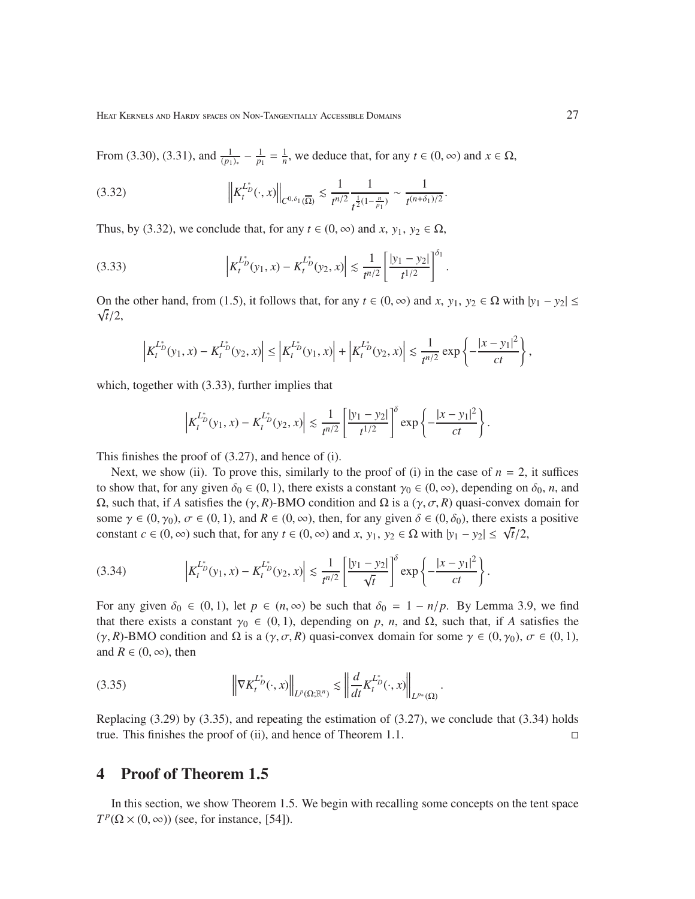From (3.30), (3.31), and  $\frac{1}{(p_1)_*} - \frac{1}{p_1} = \frac{1}{n}$ , we deduce that, for any *t* ∈ (0, ∞) and *x* ∈ Ω,

 *K L* ∗ *D t* (·, *x*) *C* <sup>0</sup>, δ<sup>1</sup> (Ω) . 1 *t n*/2 1 *t* 1 2 (1− *n p*1 ) ∼ 1 *t* (*n*+δ1)/2 (3.32) .

Thus, by (3.32), we conclude that, for any  $t \in (0, \infty)$  and  $x, y_1, y_2 \in \Omega$ ,

(3.33) 
$$
\left|K_t^{L_D^*}(y_1, x) - K_t^{L_D^*}(y_2, x)\right| \lesssim \frac{1}{t^{n/2}} \left[\frac{|y_1 - y_2|}{t^{1/2}}\right]^{\delta_1}.
$$

On the other hand, from (1.5), it follows that, for any  $t \in (0, \infty)$  and  $x$ ,  $y_1, y_2 \in \Omega$  with  $|y_1 - y_2| \le$ √ *t*/2,

$$
\left|K_t^{L_D^*}(y_1, x) - K_t^{L_D^*}(y_2, x)\right| \le \left|K_t^{L_D^*}(y_1, x)\right| + \left|K_t^{L_D^*}(y_2, x)\right| \lesssim \frac{1}{t^{n/2}} \exp\left\{-\frac{|x - y_1|^2}{ct}\right\},\,
$$

which, together with  $(3.33)$ , further implies that

$$
\left|K_t^{L_D^*}(y_1, x) - K_t^{L_D^*}(y_2, x)\right| \lesssim \frac{1}{t^{n/2}} \left[\frac{|y_1 - y_2|}{t^{1/2}}\right]^\delta \exp\left\{-\frac{|x - y_1|^2}{ct}\right\}.
$$

This finishes the proof of (3.27), and hence of (i).

Next, we show (ii). To prove this, similarly to the proof of (i) in the case of  $n = 2$ , it suffices to show that, for any given  $\delta_0 \in (0, 1)$ , there exists a constant  $\gamma_0 \in (0, \infty)$ , depending on  $\delta_0$ , *n*, and  $Ω$ , such that, if *A* satisfies the (γ, *R*)-BMO condition and  $Ω$  is a (γ,  $σ$ , *R*) quasi-convex domain for some  $\gamma \in (0, \gamma_0)$ ,  $\sigma \in (0, 1)$ , and  $R \in (0, \infty)$ , then, for any given  $\delta \in (0, \delta_0)$ , there exists a positive constant  $c \in (0, \infty)$  such that, for any  $t \in (0, \infty)$  and  $x$ ,  $y_1, y_2 \in \Omega$  with  $|y_1 - y_2| \le \sqrt{t}/2$ ,

(3.34) 
$$
\left|K_t^{L_D^*}(y_1, x) - K_t^{L_D^*}(y_2, x)\right| \lesssim \frac{1}{t^{n/2}} \left[\frac{|y_1 - y_2|}{\sqrt{t}}\right]^\delta \exp\left\{-\frac{|x - y_1|^2}{ct}\right\}.
$$

For any given  $\delta_0 \in (0, 1)$ , let  $p \in (n, \infty)$  be such that  $\delta_0 = 1 - n/p$ . By Lemma 3.9, we find that there exists a constant  $\gamma_0 \in (0, 1)$ , depending on p, n, and  $\Omega$ , such that, if A satisfies the (γ, *R*)-BMO condition and  $\Omega$  is a (γ,  $\sigma$ , *R*) quasi-convex domain for some  $\gamma \in (0, \gamma_0)$ ,  $\sigma \in (0, 1)$ , and  $R \in (0, \infty)$ , then

$$
(3.35) \t\t \t\left\| \nabla K_t^{L_D^*}(\cdot, x) \right\|_{L^p(\Omega; \mathbb{R}^n)} \lesssim \left\| \frac{d}{dt} K_t^{L_D^*}(\cdot, x) \right\|_{L^{p_*}(\Omega)}
$$

Replacing  $(3.29)$  by  $(3.35)$ , and repeating the estimation of  $(3.27)$ , we conclude that  $(3.34)$  holds true. This finishes the proof of (ii), and hence of Theorem 1.1.

.

## 4 Proof of Theorem 1.5

In this section, we show Theorem 1.5. We begin with recalling some concepts on the tent space  $T^p(\Omega \times (0, \infty))$  (see, for instance, [54]).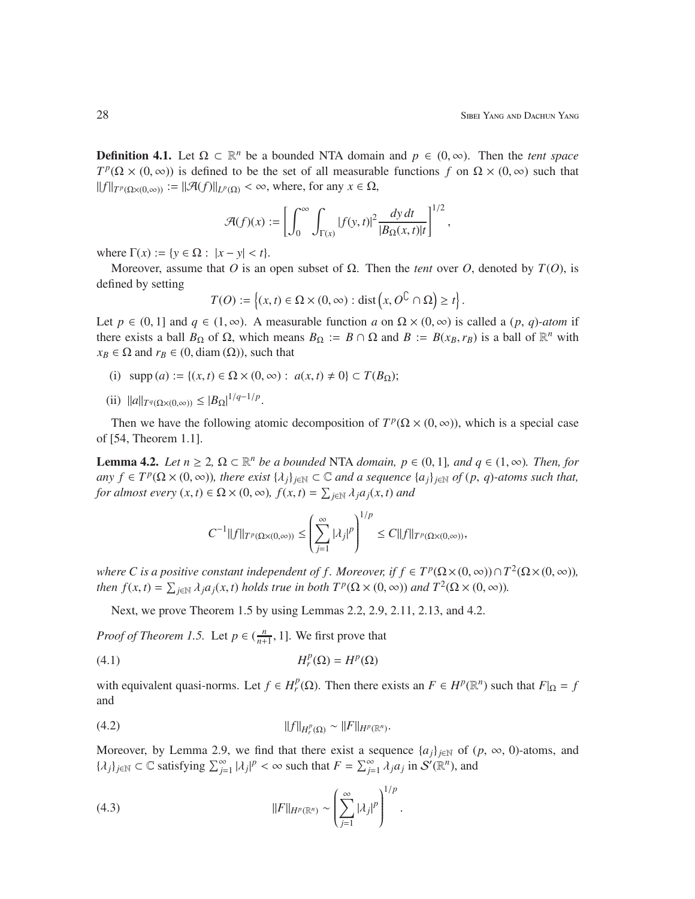**Definition 4.1.** Let  $\Omega \subset \mathbb{R}^n$  be a bounded NTA domain and  $p \in (0, \infty)$ . Then the *tent space*  $T^p(\Omega \times (0, \infty))$  is defined to be the set of all measurable functions *f* on  $\Omega \times (0, \infty)$  such that  $||f||_{T^p(\Omega \times (0,\infty))} := ||\mathcal{A}(f)||_{L^p(\Omega)} < \infty$ , where, for any  $x \in \Omega$ ,

$$
\mathcal{A}(f)(x) := \left[ \int_0^\infty \int_{\Gamma(x)} |f(y, t)|^2 \frac{dy \, dt}{|B_{\Omega}(x, t)|t} \right]^{1/2},
$$

where  $\Gamma(x) := \{ y \in \Omega : |x - y| < t \}.$ 

Moreover, assume that *O* is an open subset of  $Ω$ . Then the *tent* over *O*, denoted by *T*(*O*), is defined by setting

$$
T(O) := \left\{ (x, t) \in \Omega \times (0, \infty) : \text{dist} \left( x, O^{\complement} \cap \Omega \right) \geq t \right\}.
$$

Let  $p \in (0, 1]$  and  $q \in (1, \infty)$ . A measurable function *a* on  $\Omega \times (0, \infty)$  is called a  $(p, q)$ *-atom* if there exists a ball  $B_{\Omega}$  of  $\Omega$ , which means  $B_{\Omega} := B \cap \Omega$  and  $B := B(x_B, r_B)$  is a ball of  $\mathbb{R}^n$  with  $x_B \in \Omega$  and  $r_B \in (0, \text{diam}(\Omega))$ , such that

- (i)  $\text{supp}(a) := \{(x, t) \in \Omega \times (0, \infty) : a(x, t) \neq 0\} \subset T(B_{\Omega});$
- $(iii)$   $||a||_{T^q(\Omega \times (0,\infty))} \leq |B_{\Omega}|^{1/q-1/p}$ .

Then we have the following atomic decomposition of  $T^p(\Omega \times (0, \infty))$ , which is a special case of [54, Theorem 1.1].

**Lemma 4.2.** *Let*  $n \geq 2$ ,  $\Omega \subset \mathbb{R}^n$  *be a bounded* NTA *domain,*  $p \in (0, 1]$ *, and*  $q \in (1, \infty)$ *. Then, for*  $any f \in T^p(\Omega \times (0, \infty))$ , there exist  $\{\lambda_j\}_{j \in \mathbb{N}} \subset \mathbb{C}$  and a sequence  $\{a_j\}_{j \in \mathbb{N}}$  of  $(p, q)$ -atoms such that, *for almost every*  $(x, t) \in \Omega \times (0, \infty)$ ,  $f(x, t) = \sum_{j \in \mathbb{N}} \lambda_j a_j(x, t)$  *and* 

$$
C^{-1}||f||_{T^p(\Omega\times(0,\infty))}\leq \left(\sum_{j=1}^\infty|\lambda_j|^p\right)^{1/p}\leq C||f||_{T^p(\Omega\times(0,\infty))},
$$

*where C is a positive constant independent of f. Moreover, if*  $f \in T^p(\Omega \times (0, \infty)) \cap T^2(\Omega \times (0, \infty))$ *, then*  $f(x,t) = \sum_{j \in \mathbb{N}} \lambda_j a_j(x,t)$  *holds true in both*  $T^p(\Omega \times (0,\infty))$  *and*  $T^2(\Omega \times (0,\infty))$ *.* 

Next, we prove Theorem 1.5 by using Lemmas 2.2, 2.9, 2.11, 2.13, and 4.2.

*Proof of Theorem 1.5.* Let  $p \in (\frac{n}{n+1}, 1]$ . We first prove that

$$
(4.1) \t\t\t H_r^p(\Omega) = H^p(\Omega)
$$

with equivalent quasi-norms. Let  $f \in H_r^p(\Omega)$ . Then there exists an  $F \in H^p(\mathbb{R}^n)$  such that  $F|_{\Omega} = f$ and

(4.2) 
$$
||f||_{H_r^p(\Omega)} \sim ||F||_{H^p(\mathbb{R}^n)}.
$$

Moreover, by Lemma 2.9, we find that there exist a sequence  $\{a_i\}_{i\in\mathbb{N}}$  of  $(p, \infty, 0)$ -atoms, and  $\{\lambda_j\}_{j\in\mathbb{N}}\subset\mathbb{C}$  satisfying  $\sum_{j=1}^{\infty}|\lambda_j|^p<\infty$  such that  $F=\sum_{j=1}^{\infty}\lambda_j a_j$  in  $S'(\mathbb{R}^n)$ , and

(4.3) 
$$
||F||_{H^p(\mathbb{R}^n)} \sim \left(\sum_{j=1}^{\infty} |\lambda_j|^p\right)^{1/p}.
$$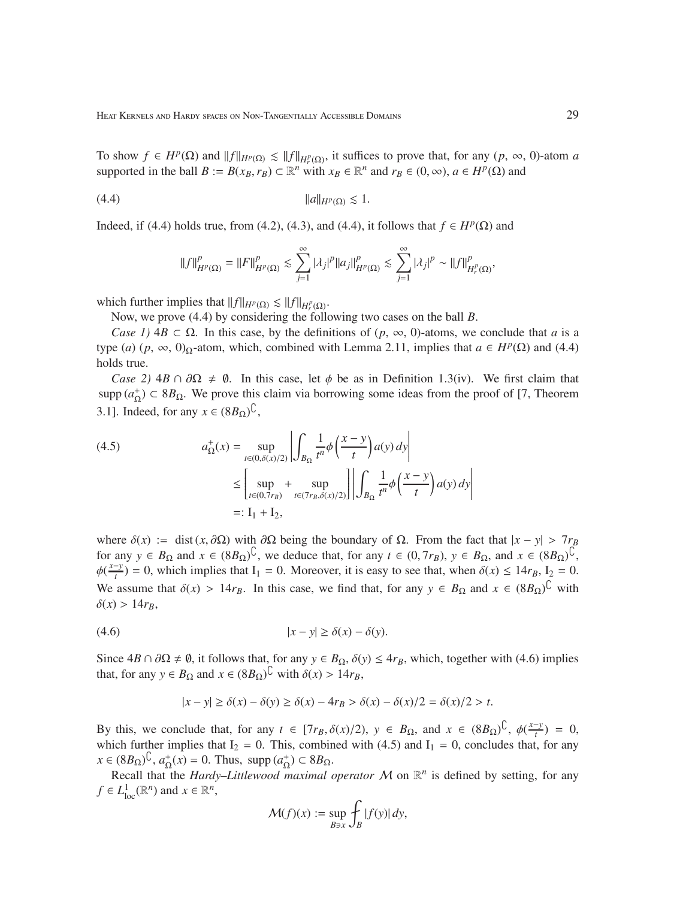To show  $f \in H^p(\Omega)$  and  $||f||_{H^p(\Omega)} \le ||f||_{H^p(\Omega)}$ , it suffices to prove that, for any  $(p, \infty, 0)$ -atom *a* supported in the ball  $B := B(x_B, r_B) \subset \mathbb{R}^n$  with  $x_B \in \mathbb{R}^n$  and  $r_B \in (0, \infty), a \in H^p(\Omega)$  and

$$
||a||_{H^p(\Omega)} \lesssim 1.
$$

Indeed, if (4.4) holds true, from (4.2), (4.3), and (4.4), it follows that  $f \in H^p(\Omega)$  and

$$
||f||_{H^p(\Omega)}^p = ||F||_{H^p(\Omega)}^p \lesssim \sum_{j=1}^{\infty} |\lambda_j|^p ||a_j||_{H^p(\Omega)}^p \lesssim \sum_{j=1}^{\infty} |\lambda_j|^p \sim ||f||_{H^p(\Omega)}^p,
$$

which further implies that  $||f||_{H^p(\Omega)} \lesssim ||f||_{H_r^p(\Omega)}$ .

Now, we prove (4.4) by considering the following two cases on the ball *B*.

*Case 1)*  $4B \subset \Omega$ . In this case, by the definitions of  $(p, \infty, 0)$ -atoms, we conclude that *a* is a type (*a*) (*p*, ∞, 0)<sub>Ω</sub>-atom, which, combined with Lemma 2.11, implies that  $a \in H^p(\Omega)$  and (4.4) holds true.

*Case 2)*  $4B \cap \partial\Omega \neq \emptyset$ . In this case, let  $\phi$  be as in Definition 1.3(iv). We first claim that supp  $(a_{\Omega}^+) \subset 8B_{\Omega}$ . We prove this claim via borrowing some ideas from the proof of [7, Theorem 3.1]. Indeed, for any  $x \in (8B_{\Omega})^{\mathbb{C}}$ ,

(4.5) 
$$
a_{\Omega}^{+}(x) = \sup_{t \in (0,\delta(x)/2)} \left| \int_{B_{\Omega}} \frac{1}{t^{n}} \phi\left(\frac{x-y}{t}\right) a(y) dy \right|
$$

$$
\leq \left[ \sup_{t \in (0,7r_{B})} + \sup_{t \in (7r_{B},\delta(x)/2)} \left| \left| \int_{B_{\Omega}} \frac{1}{t^{n}} \phi\left(\frac{x-y}{t}\right) a(y) dy \right| \right|
$$

$$
=:\mathbf{I}_{1} + \mathbf{I}_{2},
$$

where  $\delta(x) := \text{dist}(x, \partial \Omega)$  with  $\partial \Omega$  being the boundary of  $\Omega$ . From the fact that  $|x - y| > 7r_B$ for any  $y \in B_{\Omega}$  and  $x \in (8B_{\Omega})^{\mathbb{C}}$ , we deduce that, for any  $t \in (0, 7r_B)$ ,  $y \in B_{\Omega}$ , and  $x \in (8B_{\Omega})^{\mathbb{C}}$ ,  $\phi(\frac{x-y}{t}) = 0$ , which implies that I<sub>1</sub> = 0. Moreover, it is easy to see that, when  $\delta(x) \le 14r_B$ , I<sub>2</sub> = 0. We assume that  $\delta(x) > 14r_B$ . In this case, we find that, for any  $y \in B_\Omega$  and  $x \in (8B_\Omega)^{\mathbb{C}}$  with  $\delta(x) > 14r_B$ 

$$
(4.6) \t\t\t |x - y| \ge \delta(x) - \delta(y).
$$

Since  $4B \cap \partial\Omega \neq \emptyset$ , it follows that, for any  $y \in B_{\Omega}$ ,  $\delta(y) \leq 4r_B$ , which, together with (4.6) implies that, for any  $y \in B_{\Omega}$  and  $x \in (8B_{\Omega})^{\mathbb{C}}$  with  $\delta(x) > 14r_B$ ,

$$
|x - y| \ge \delta(x) - \delta(y) \ge \delta(x) - 4r_B > \delta(x) - \delta(x)/2 = \delta(x)/2 > t.
$$

By this, we conclude that, for any  $t \in [7r_B, \delta(x)/2)$ ,  $y \in B_\Omega$ , and  $x \in (8B_\Omega)^{\mathbb{C}}$ ,  $\phi(\frac{x-y}{t}) = 0$ , which further implies that  $I_2 = 0$ . This, combined with (4.5) and  $I_1 = 0$ , concludes that, for any  $x \in (8B_{\Omega})^{\mathbb{C}}, a_{\Omega}^+(x) = 0$ . Thus, supp  $(a_{\Omega}^+) \subset 8B_{\Omega}$ .

Recall that the *Hardy–Littlewood maximal operator*  $M$  on  $\mathbb{R}^n$  is defined by setting, for any  $f \in L^1_{loc}(\mathbb{R}^n)$  and  $x \in \mathbb{R}^n$ ,

$$
\mathcal{M}(f)(x) := \sup_{B \ni x} \int_B |f(y)| dy,
$$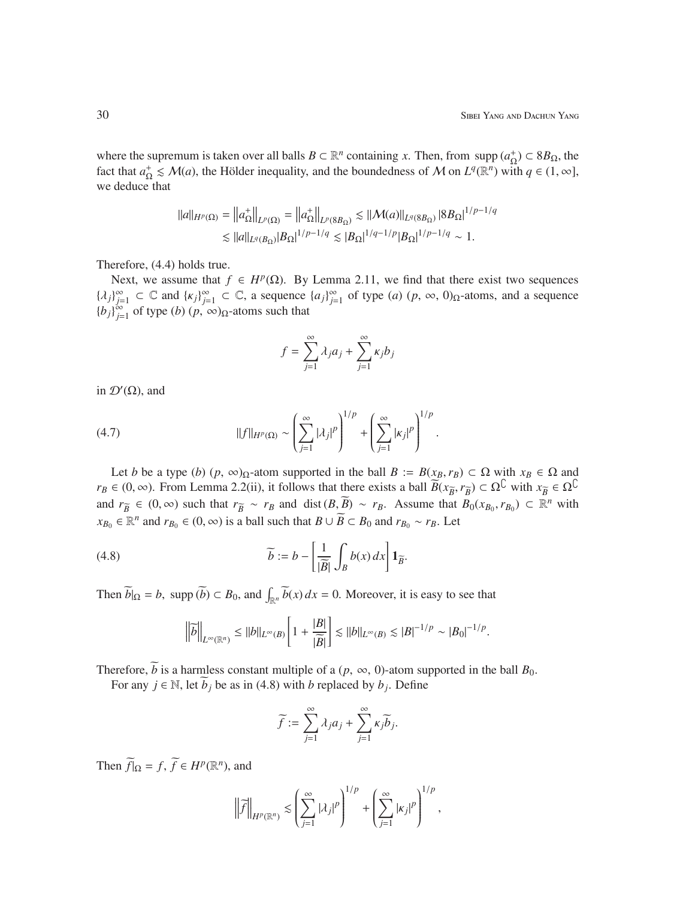where the supremum is taken over all balls  $B \subset \mathbb{R}^n$  containing *x*. Then, from supp  $(a_{\Omega}^+) \subset 8B_{\Omega}$ , the fact that  $a_{\Omega}^+ \leq M(a)$ , the Hölder inequality, and the boundedness of M on  $L^q(\mathbb{R}^n)$  with  $q \in (1, \infty]$ , we deduce that

$$
||a||_{H^{p}(\Omega)} = ||a_{\Omega}^{+}||_{L^{p}(\Omega)} = ||a_{\Omega}^{+}||_{L^{p}(8B_{\Omega})} \lesssim ||\mathcal{M}(a)||_{L^{q}(8B_{\Omega})} |8B_{\Omega}|^{1/p-1/q}
$$
  
\$\lesssim ||a||\_{L^{q}(B\_{\Omega})}|B\_{\Omega}|^{1/p-1/q} \lesssim |B\_{\Omega}|^{1/q-1/p}|B\_{\Omega}|^{1/p-1/q} \sim 1.

Therefore, (4.4) holds true.

Next, we assume that  $f \in H^p(\Omega)$ . By Lemma 2.11, we find that there exist two sequences  ${λ_j}_{j=1}^{\infty}$  ⊂  $\in$  and  ${k_j}_{j=1}^{\infty}$  ⊂  $\in$ , a sequence  ${a_j}_{j=1}^{\infty}$  of type  $(a)$   $(p, \infty, 0)_{\Omega}$ -atoms, and a sequence  ${b_j}_{j=1}^{\infty}$  of type  $(b)$   $(p, \infty)_{\Omega}$ -atoms such that

$$
f = \sum_{j=1}^{\infty} \lambda_j a_j + \sum_{j=1}^{\infty} \kappa_j b_j
$$

in  $\mathcal{D}'(\Omega)$ , and

(4.7) 
$$
||f||_{H^{p}(\Omega)} \sim \left(\sum_{j=1}^{\infty} |\lambda_{j}|^{p}\right)^{1/p} + \left(\sum_{j=1}^{\infty} |\kappa_{j}|^{p}\right)^{1/p}.
$$

Let *b* be a type (*b*) ( $p$ ,  $\infty$ ) $\Omega$ -atom supported in the ball  $B := B(x_B, r_B) \subset \Omega$  with  $x_B \in \Omega$  and  $r_B \in (0, \infty)$ . From Lemma 2.2(ii), it follows that there exists a ball  $\overline{B}(x_{\overline{B}}, r_{\overline{B}}) \subset \Omega^{\mathbb{C}}$  with  $x_{\overline{B}} \in \Omega^{\mathbb{C}}$ and  $r_{\overline{B}} \in (0, \infty)$  such that  $r_{\overline{B}} \sim r_B$  and dist  $(B, \overline{B}) \sim r_B$ . Assume that  $B_0(x_{B_0}, r_{B_0}) \subset \mathbb{R}^n$  with *x*<sub>*B*0</sub> ∈  $\mathbb{R}^n$  and *r*<sub>*B*0</sub> ∈ (0, ∞) is a ball such that *B* ∪  $\widetilde{B}$  ⊂ *B*<sub>0</sub> and *r*<sub>*B*0</sub> ∼ *r*<sub>*B*</sub>. Let

(4.8) 
$$
\widetilde{b} := b - \left[ \frac{1}{|\widetilde{B}|} \int_{B} b(x) dx \right] \mathbf{1}_{\widetilde{B}}.
$$

Then  $\widetilde{b}|_{\Omega} = b$ , supp  $(\widetilde{b}) \subset B_0$ , and  $\int_{\mathbb{R}^n} \widetilde{b}(x) dx = 0$ . Moreover, it is easy to see that

$$
\left\|\overline{b}\right\|_{L^{\infty}(\mathbb{R}^n)} \leq ||b||_{L^{\infty}(B)}\left[1 + \frac{|B|}{|\overline{B}|}\right] \lesssim ||b||_{L^{\infty}(B)} \lesssim |B|^{-1/p} \sim |B_0|^{-1/p}.
$$

Therefore,  $\tilde{b}$  is a harmless constant multiple of a ( $p$ ,  $\infty$ , 0)-atom supported in the ball  $B_0$ .

For any  $j \in \mathbb{N}$ , let  $b_j$  be as in (4.8) with *b* replaced by  $b_j$ . Define

$$
\widetilde{f} := \sum_{j=1}^{\infty} \lambda_j a_j + \sum_{j=1}^{\infty} \kappa_j \widetilde{b}_j.
$$

Then  $\widetilde{f}|_{\Omega} = f$ ,  $\widetilde{f} \in H^p(\mathbb{R}^n)$ , and

$$
\left\|\widetilde{f}\right\|_{H^p(\mathbb{R}^n)} \lesssim \left(\sum_{j=1}^{\infty} |\lambda_j|^p\right)^{1/p} + \left(\sum_{j=1}^{\infty} |\kappa_j|^p\right)^{1/p},
$$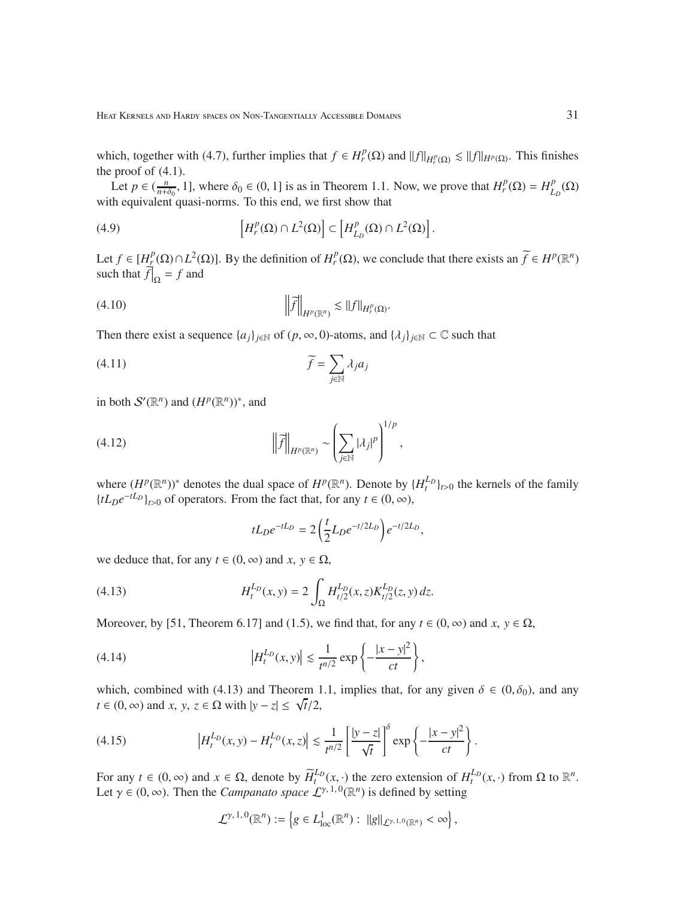which, together with (4.7), further implies that  $f \in H_r^p(\Omega)$  and  $||f||_{H_r^p(\Omega)} \le ||f||_{H^p(\Omega)}$ . This finishes the proof of  $(4.1)$ .

Let  $p \in (\frac{n}{n+\delta_0}, 1]$ , where  $\delta_0 \in (0, 1]$  is as in Theorem 1.1. Now, we prove that  $H_r^p(\Omega) = H_L^p$  $_{L_{D}}^{p}(\Omega)$ with equivalent quasi-norms. To this end, we first show that

(4.9) 
$$
\left[H_r^p(\Omega) \cap L^2(\Omega)\right] \subset \left[H_{L_p}^p(\Omega) \cap L^2(\Omega)\right].
$$

Let  $f \in [H^p_{\mathcal{I}}(\Omega) \cap L^2(\Omega)]$ . By the definition of  $H^p_{r}(\Omega)$ , we conclude that there exists an  $\widetilde{f} \in H^p(\mathbb{R}^n)$ such that  $\hat{f}|_{\Omega} = f$  and

.

(4.10) e*f H<sup>p</sup>* (R*<sup>n</sup>* ) . <sup>k</sup> *<sup>f</sup>* <sup>k</sup>*<sup>H</sup> p r* (Ω)

Then there exist a sequence  $\{a_j\}_{j\in\mathbb{N}}$  of  $(p, \infty, 0)$ -atoms, and  $\{\lambda_j\}_{j\in\mathbb{N}} \subset \mathbb{C}$  such that

$$
\widetilde{f} = \sum_{j \in \mathbb{N}} \lambda_j a_j
$$

in both  $S'(\mathbb{R}^n)$  and  $(H^p(\mathbb{R}^n))^*$ , and

(4.12) 
$$
\left\|\widetilde{f}\right\|_{H^p(\mathbb{R}^n)} \sim \left(\sum_{j\in\mathbb{N}}|\lambda_j|^p\right)^{1/p},
$$

where  $(H^p(\mathbb{R}^n))^*$  denotes the dual space of  $H^p(\mathbb{R}^n)$ . Denote by  $\{H_t^{L_p}\}_{t>0}$  the kernels of the family  ${tL_De^{-tL_D}}_{t>0}$  of operators. From the fact that, for any  $t \in (0, \infty)$ ,

$$
tL_D e^{-tL_D} = 2\left(\frac{t}{2}L_D e^{-t/2L_D}\right) e^{-t/2L_D},
$$

we deduce that, for any  $t \in (0, \infty)$  and  $x, y \in \Omega$ ,

(4.13) 
$$
H_t^{L_D}(x,y) = 2 \int_{\Omega} H_{t/2}^{L_D}(x,z) K_{t/2}^{L_D}(z,y) dz.
$$

Moreover, by [51, Theorem 6.17] and (1.5), we find that, for any  $t \in (0, \infty)$  and  $x, y \in \Omega$ ,

(4.14) 
$$
\left| H_t^{L_D}(x, y) \right| \lesssim \frac{1}{t^{n/2}} \exp \left\{ -\frac{|x - y|^2}{ct} \right\},
$$

which, combined with (4.13) and Theorem 1.1, implies that, for any given  $\delta \in (0, \delta_0)$ , and any  $t \in (0, \infty)$  and *x*, *y*,  $z \in \Omega$  with  $|y - z| \le \sqrt{t/2}$ ,

(4.15) 
$$
\left| H_t^{L_D}(x, y) - H_t^{L_D}(x, z) \right| \lesssim \frac{1}{t^{n/2}} \left[ \frac{|y - z|}{\sqrt{t}} \right]^\delta \exp \left\{ - \frac{|x - y|^2}{ct} \right\}.
$$

For any  $t \in (0, \infty)$  and  $x \in \Omega$ , denote by  $\widetilde{H}_t^{L_p}(x, \cdot)$  the zero extension of  $H_t^{L_p}(x, \cdot)$  from  $\Omega$  to  $\mathbb{R}^n$ . Let  $\gamma \in (0, \infty)$ . Then the *Campanato space*  $\mathcal{L}^{\gamma, 1, 0}(\mathbb{R}^n)$  is defined by setting

$$
\mathcal{L}^{\gamma,1,0}(\mathbb{R}^n) := \left\{ g \in L^1_{loc}(\mathbb{R}^n) : ||g||_{\mathcal{L}^{\gamma,1,0}(\mathbb{R}^n)} < \infty \right\},\
$$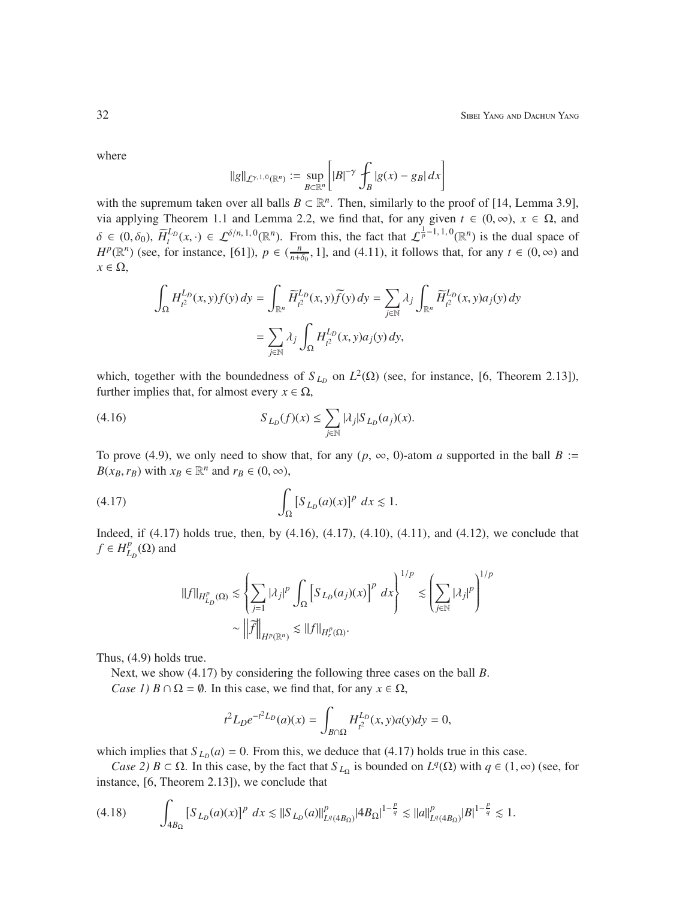where

$$
||g||_{\mathcal{L}^{\gamma,1,0}(\mathbb{R}^n)} := \sup_{B \subset \mathbb{R}^n} \left[ |B|^{-\gamma} \int_B |g(x) - g_B| \, dx \right]
$$

with the supremum taken over all balls  $B \subset \mathbb{R}^n$ . Then, similarly to the proof of [14, Lemma 3.9], via applying Theorem 1.1 and Lemma 2.2, we find that, for any given  $t \in (0, \infty)$ ,  $x \in \Omega$ , and  $\delta \in (0, \delta_0)$ ,  $\widetilde{H}_t^{L_p}(x, \cdot) \in \mathcal{L}^{\delta/n, 1, 0}(\mathbb{R}^n)$ . From this, the fact that  $\mathcal{L}_p^{\frac{1}{p}-1, 1, 0}(\mathbb{R}^n)$  is the dual space of  $H^p(\mathbb{R}^n)$  (see, for instance, [61]),  $p \in (\frac{n}{n+\delta_0}, 1]$ , and (4.11), it follows that, for any  $t \in (0, \infty)$  and  $x \in \Omega$ ,

$$
\begin{aligned} \int_{\Omega} H^{L_D}_{t^2}(x,y)f(y) \, dy & = \int_{\mathbb{R}^n} \widetilde{H}^{L_D}_{t^2}(x,y) \widetilde{f}(y) \, dy = \sum_{j \in \mathbb{N}} \lambda_j \int_{\mathbb{R}^n} \widetilde{H}^{L_D}_{t^2}(x,y) a_j(y) \, dy \\ & = \sum_{j \in \mathbb{N}} \lambda_j \int_{\Omega} H^{L_D}_{t^2}(x,y) a_j(y) \, dy, \end{aligned}
$$

which, together with the boundedness of  $S_{L_D}$  on  $L^2(\Omega)$  (see, for instance, [6, Theorem 2.13]), further implies that, for almost every  $x \in \Omega$ ,

(4.16) 
$$
S_{L_D}(f)(x) \leq \sum_{j \in \mathbb{N}} |\lambda_j| S_{L_D}(a_j)(x).
$$

To prove (4.9), we only need to show that, for any  $(p, \infty, 0)$ -atom *a* supported in the ball *B* :=  $B(x_B, r_B)$  with  $x_B \in \mathbb{R}^n$  and  $r_B \in (0, \infty)$ ,

$$
(4.17)\qquad \qquad \int_{\Omega} \left[S_{L_D}(a)(x)\right]^p dx \lesssim 1.
$$

Indeed, if (4.17) holds true, then, by (4.16), (4.17), (4.10), (4.11), and (4.12), we conclude that  $f \in H_{L}^p$  $_{L_{D}}^{p}(\Omega)$  and

$$
\|f\|_{H^p_{L_D}(\Omega)} \lesssim \left\{ \sum_{j=1}^n |\lambda_j|^p \int_{\Omega} \left[ S_{L_D}(a_j)(x) \right]^p dx \right\}^{1/p} \lesssim \left( \sum_{j\in \mathbb{N}} |\lambda_j|^p \right)^{1/p}
$$

$$
\sim \left\| \widetilde{f} \right\|_{H^p(\mathbb{R}^n)} \lesssim \|f\|_{H^p(\Omega)}.
$$

Thus, (4.9) holds true.

Next, we show (4.17) by considering the following three cases on the ball *B*.

*Case 1)*  $B \cap \Omega = \emptyset$ . In this case, we find that, for any  $x \in \Omega$ ,

$$
t^2L_D e^{-t^2L_D}(a)(x)=\int_{B\cap\Omega}H^{L_D}_{t^2}(x,y)a(y)dy=0,
$$

which implies that  $S_{L_D}(a) = 0$ . From this, we deduce that (4.17) holds true in this case.

*Case 2)*  $B \subset \Omega$ . In this case, by the fact that  $S_{L_{\Omega}}$  is bounded on  $L^{q}(\Omega)$  with  $q \in (1, \infty)$  (see, for instance, [6, Theorem 2.13]), we conclude that

$$
(4.18) \qquad \int_{4B_{\Omega}}\left[S_{L_{D}}(a)(x)\right]^{p}\,dx \lesssim \left\|S_{L_{D}}(a)\right\|^{p}_{L^{q}(4B_{\Omega})}\left|4B_{\Omega}\right|^{1-\frac{p}{q}} \lesssim \left\|a\right\|^{p}_{L^{q}(4B_{\Omega})}\left|B\right|^{1-\frac{p}{q}} \lesssim 1.
$$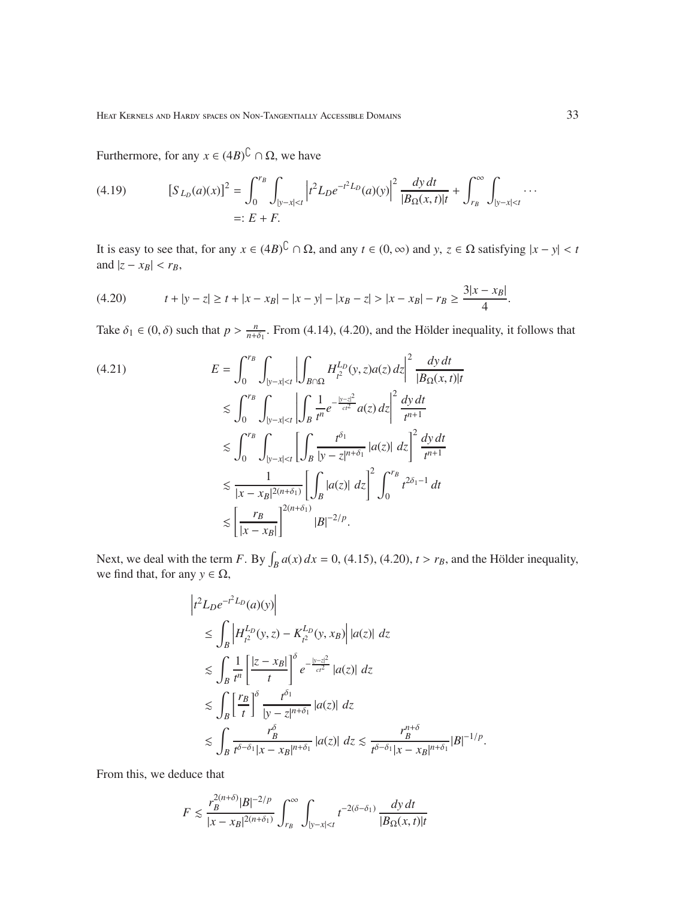Furthermore, for any  $x \in (4B)^{\mathbb{C}} \cap \Omega$ , we have

(4.19) 
$$
[S_{L_D}(a)(x)]^2 = \int_0^{r_B} \int_{|y-x| < t} \left| t^2 L_D e^{-t^2 L_D}(a)(y) \right|^2 \frac{dy dt}{|B_{\Omega}(x,t)|t} + \int_{r_B}^{\infty} \int_{|y-x| < t} \cdots
$$
  
=:  $E + F$ .

It is easy to see that, for any  $x \in (4B)^{\mathbb{C}} \cap \Omega$ , and any  $t \in (0, \infty)$  and *y*,  $z \in \Omega$  satisfying  $|x - y| < t$ and  $|z - x_B| < r_B$ ,

$$
(4.20) \t t + |y - z| \ge t + |x - x_B| - |x - y| - |x_B - z| > |x - x_B| - r_B \ge \frac{3|x - x_B|}{4}.
$$

Take  $\delta_1 \in (0, \delta)$  such that  $p > \frac{n}{n+\delta_1}$ . From (4.14), (4.20), and the Hölder inequality, it follows that

$$
(4.21) \tE = \int_0^{r_B} \int_{|y-x| < t} \left| \int_{B \cap \Omega} H_{t^2}^{L_D}(y, z) a(z) \, dz \right|^2 \frac{dy \, dt}{|B_{\Omega}(x, t)|t}
$$
  
\n
$$
\lesssim \int_0^{r_B} \int_{|y-x| < t} \left| \int_B \frac{1}{t^n} e^{-\frac{|y-z|^2}{ct^2}} a(z) \, dz \right|^2 \frac{dy \, dt}{t^{n+1}}
$$
  
\n
$$
\lesssim \int_0^{r_B} \int_{|y-x| < t} \left[ \int_B \frac{t^{\delta_1}}{|y-z|^{n+\delta_1}} |a(z)| \, dz \right]^2 \frac{dy \, dt}{t^{n+1}}
$$
  
\n
$$
\lesssim \frac{1}{|x-x_B|^{2(n+\delta_1)}} \left[ \int_B |a(z)| \, dz \right]^2 \int_0^{r_B} t^{2\delta_1 - 1} \, dt
$$
  
\n
$$
\lesssim \left[ \frac{r_B}{|x-x_B|} \right]^{2(n+\delta_1)} |B|^{-2/p}.
$$

Next, we deal with the term *F*. By  $\int_B a(x) dx = 0$ , (4.15), (4.20),  $t > r_B$ , and the Hölder inequality, we find that, for any  $y \in \Omega$ ,

$$
\begin{split}\n&\left|t^2 L_D e^{-t^2 L_D}(a)(y)\right| \\
&\leq \int_B \left|H_{t^2}^{L_D}(y,z) - K_{t^2}^{L_D}(y,x_B)\right| |a(z)| \, dz \\
&\lesssim \int_B \frac{1}{t^n} \left|\frac{|z-x_B|}{t}\right|^\delta e^{-\frac{|y-z|^2}{ct^2}} |a(z)| \, dz \\
&\lesssim \int_B \left[\frac{r_B}{t}\right]^\delta \frac{t^{\delta_1}}{|y-z|^{n+\delta_1}} |a(z)| \, dz \\
&\lesssim \int_B \frac{r_B^\delta}{t^{\delta-\delta_1}|x-x_B|^{n+\delta_1}} |a(z)| \, dz \lesssim \frac{r_B^{n+\delta}}{t^{\delta-\delta_1}|x-x_B|^{n+\delta_1}} |B|^{-1/p}.\n\end{split}
$$

From this, we deduce that

$$
F \lesssim \frac{r_B^{2(n+\delta)}|B|^{-2/p}}{|x - x_B|^{2(n+\delta_1)}} \int_{r_B}^{\infty} \int_{|y - x| < t} t^{-2(\delta - \delta_1)} \frac{dy \, dt}{|B_{\Omega}(x, t)|t}
$$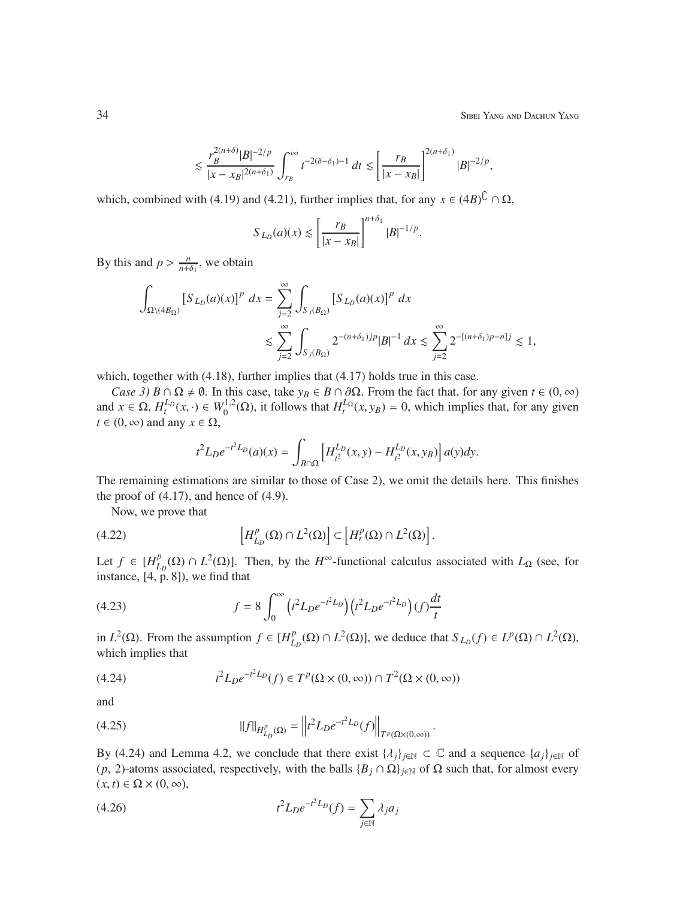34 Sibei Yang and Dachun Yang

$$
\lesssim \frac{r_B^{2(n+\delta)}|B|^{-2/p}}{|x-x_B|^{2(n+\delta_1)}}\int_{r_B}^\infty t^{-2(\delta-\delta_1)-1}\;dt\lesssim \left[\frac{r_B}{|x-x_B|}\right]^{2(n+\delta_1)}|B|^{-2/p},
$$

which, combined with (4.19) and (4.21), further implies that, for any  $x \in (4B)^{\mathbb{C}} \cap \Omega$ ,

$$
S_{L_D}(a)(x) \lesssim \left[\frac{r_B}{|x - x_B|}\right]^{n + \delta_1} |B|^{-1/p}.
$$

By this and  $p > \frac{n}{n+\delta_1}$ , we obtain

$$
\int_{\Omega \setminus (4B_{\Omega})} [S_{L_D}(a)(x)]^p dx = \sum_{j=2}^{\infty} \int_{S_j(B_{\Omega})} [S_{L_D}(a)(x)]^p dx
$$
  
\$\lesssim \sum\_{j=2}^{\infty} \int\_{S\_j(B\_{\Omega})} 2^{-(n+\delta\_1)jp} |B|^{-1} dx \lesssim \sum\_{j=2}^{\infty} 2^{-[(n+\delta\_1)p-n]j} \lesssim 1,

which, together with  $(4.18)$ , further implies that  $(4.17)$  holds true in this case.

*Case 3)*  $B \cap \Omega \neq \emptyset$ . In this case, take  $y_B \in B \cap \partial \Omega$ . From the fact that, for any given  $t \in (0, \infty)$ and  $x \in \Omega$ ,  $H_t^{L_p}(x, \cdot) \in W_0^{1,2}$  $U_0^{1,2}(\Omega)$ , it follows that  $H_t^{L}(\Omega, y_B) = 0$ , which implies that, for any given  $t \in (0, \infty)$  and any  $x \in \Omega$ ,

$$
t^{2}L_{D}e^{-t^{2}L_{D}}(a)(x) = \int_{B \cap \Omega} \left[ H_{t^{2}}^{L_{D}}(x, y) - H_{t^{2}}^{L_{D}}(x, y_{B}) \right] a(y) dy.
$$

The remaining estimations are similar to those of Case 2), we omit the details here. This finishes the proof of  $(4.17)$ , and hence of  $(4.9)$ .

Now, we prove that

(4.22) 
$$
\left[H_{L_D}^p(\Omega)\cap L^2(\Omega)\right] \subset \left[H_r^p(\Omega)\cap L^2(\Omega)\right].
$$

Let  $f \in [H_{L}^p]$  $L_{L_D}^p$ (Ω) ∩ *L*<sup>2</sup>(Ω)]. Then, by the *H*<sup>∞</sup>-functional calculus associated with *L*<sub>Ω</sub> (see, for instance,  $[4, p. 8]$ , we find that

(4.23) 
$$
f = 8 \int_0^{\infty} (t^2 L_D e^{-t^2 L_D}) (t^2 L_D e^{-t^2 L_D}) (f) \frac{dt}{t}
$$

in  $L^2(\Omega)$ . From the assumption  $f \in [H_L^p]$  $L_D^p(\Omega) \cap L^2(\Omega)$ , we deduce that  $S_{L_D}(f) \in L^p(\Omega) \cap L^2(\Omega)$ , which implies that

(4.24) 
$$
t^{2}L_{D}e^{-t^{2}L_{D}}(f) \in T^{p}(\Omega \times (0, \infty)) \cap T^{2}(\Omega \times (0, \infty))
$$

and

(4.25) 
$$
||f||_{H_{L_D}^p(\Omega)} = ||t^2 L_D e^{-t^2 L_D}(f)||_{T^p(\Omega \times (0,\infty))}.
$$

By (4.24) and Lemma 4.2, we conclude that there exist  $\{\lambda_j\}_{j\in\mathbb{N}} \subset \mathbb{C}$  and a sequence  $\{a_j\}_{j\in\mathbb{N}}$  of (*p*, 2)-atoms associated, respectively, with the balls  ${B_j \cap \Omega}$  *j*∈N of Ω such that, for almost every  $(x, t) \in \Omega \times (0, \infty),$ 

(4.26) 
$$
t^2 L_D e^{-t^2 L_D}(f) = \sum_{j \in \mathbb{N}} \lambda_j a_j
$$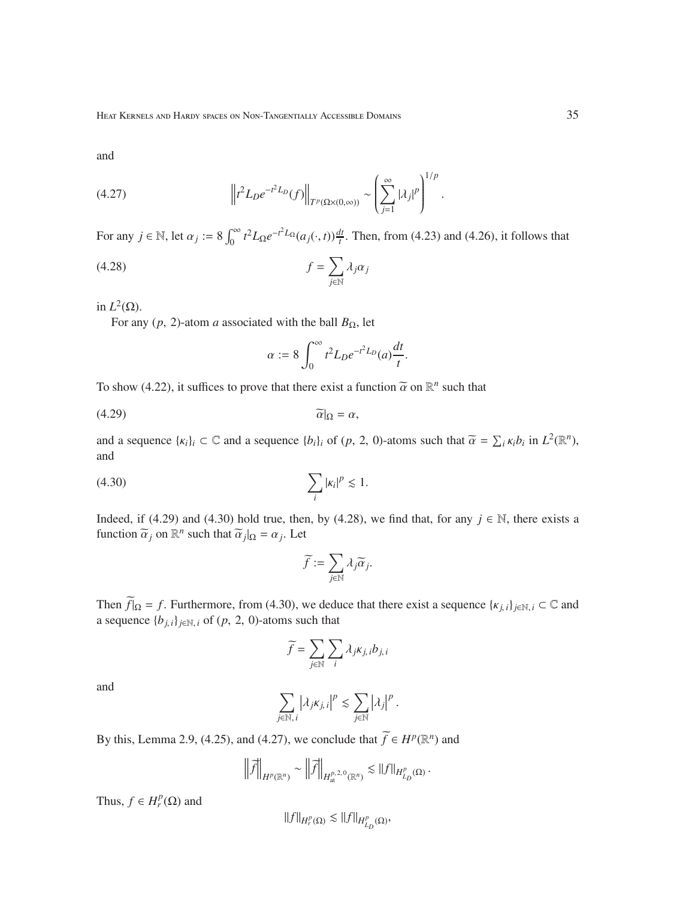and

(4.27) 
$$
\left\|t^2 L_D e^{-t^2 L_D}(f)\right\|_{T^p(\Omega \times (0,\infty))} \sim \left(\sum_{j=1}^{\infty} |\lambda_j|^p\right)^{1/p}.
$$

For any  $j \in \mathbb{N}$ , let  $\alpha_j := 8 \int_0^\infty t^2 L_\Omega e^{-t^2 L_\Omega} (a_j(\cdot, t)) \frac{dt}{t}$ . Then, from (4.23) and (4.26), it follows that

$$
(4.28)\t\t\t f = \sum_{j \in \mathbb{N}} \lambda_j \alpha_j
$$

in  $L^2(\Omega)$ .

For any  $(p, 2)$ -atom *a* associated with the ball  $B_{\Omega}$ , let

$$
\alpha := 8 \int_0^\infty t^2 L_D e^{-t^2 L_D}(a) \frac{dt}{t}.
$$

To show (4.22), it suffices to prove that there exist a function  $\tilde{\alpha}$  on  $\mathbb{R}^n$  such that

$$
\widetilde{\alpha}|_{\Omega} = \alpha,
$$

and a sequence  $\{\kappa_i\}_i \subset \mathbb{C}$  and a sequence  $\{b_i\}_i$  of  $(p, 2, 0)$ -atoms such that  $\widetilde{\alpha} = \sum_i \kappa_i b_i$  in  $L^2(\mathbb{R}^n)$ , and

$$
\sum_{i} |\kappa_i|^p \lesssim 1.
$$

Indeed, if (4.29) and (4.30) hold true, then, by (4.28), we find that, for any  $j \in \mathbb{N}$ , there exists a function  $\tilde{\alpha}_j$  on  $\mathbb{R}^n$  such that  $\tilde{\alpha}_j|_{\Omega} = \alpha_j$ . Let

$$
\widetilde{f}:=\sum_{j\in\mathbb{N}}\lambda_j\widetilde{\alpha}_j.
$$

Then  $\widetilde{f}|_{\Omega} = f$ . Furthermore, from (4.30), we deduce that there exist a sequence  $\{\kappa_{j,i}\}_{j\in\mathbb{N},i} \subset \mathbb{C}$  and a sequence  ${b_{j,i}}_{j \in \mathbb{N}, i}$  of  $(p, 2, 0)$ -atoms such that

$$
\widetilde{f} = \sum_{j \in \mathbb{N}} \sum_{i} \lambda_j \kappa_{j,i} b_{j,i}
$$

and

$$
\sum_{j\in\mathbb{N}, i} \left|\lambda_j \kappa_{j,i}\right|^p \lesssim \sum_{j\in\mathbb{N}} \left|\lambda_j\right|^p.
$$

By this, Lemma 2.9, (4.25), and (4.27), we conclude that  $\widetilde{f} \in H^p(\mathbb{R}^n)$  and

$$
\left\|\widetilde{f}\right\|_{H^p(\mathbb{R}^n)} \sim \left\|\widetilde{f}\right\|_{H^{p,2,0}_{\rm at}(\mathbb{R}^n)} \lesssim \|f\|_{H^p_{L_D}(\Omega)}.
$$

Thus,  $f \in H_r^p(\Omega)$  and

$$
\|f\|_{H_r^p(\Omega)}\lesssim \|f\|_{H_{L_D}^p(\Omega)},
$$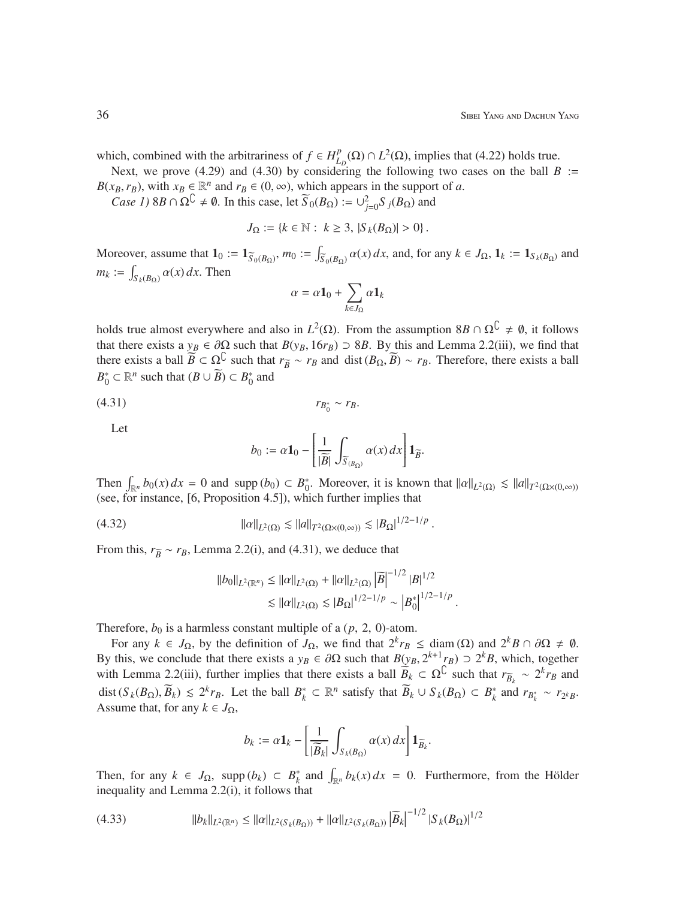which, combined with the arbitrariness of  $f \in H_L^p$  $L_D^p(\Omega) \cap L^2(\Omega)$ , implies that (4.22) holds true.

Next, we prove (4.29) and (4.30) by considering the following two cases on the ball  $B :=$  $B(x_B, r_B)$ , with  $x_B \in \mathbb{R}^n$  and  $r_B \in (0, \infty)$ , which appears in the support of *a*.

*Case 1*) 8*B*  $\cap \Omega^{\mathbb{C}} \neq \emptyset$ . In this case, let  $\widetilde{S}_0(B_{\Omega}) := \bigcup_{j=0}^2 S_j(B_{\Omega})$  and

$$
J_{\Omega} := \{ k \in \mathbb{N} : k \geq 3, |S_k(B_{\Omega})| > 0 \}.
$$

Moreover, assume that  $\mathbf{1}_0 := \mathbf{1}_{\widetilde{S}_0(B_\Omega)}, m_0 := \int$  $\int_{S_0(B_\Omega)} \alpha(x) dx$ , and, for any  $k \in J_\Omega$ ,  $\mathbf{1}_k := \mathbf{1}_{S_k(B_\Omega)}$  and  $m_k := \int$  $\int_{S_k(B_\Omega)} \alpha(x) dx$ . Then

$$
\alpha = \alpha \mathbf{1}_0 + \sum_{k \in J_\Omega} \alpha \mathbf{1}_k
$$

holds true almost everywhere and also in  $L^2(\Omega)$ . From the assumption  $8B \cap \Omega^C \neq \emptyset$ , it follows that there exists a  $y_B \in \partial \Omega$  such that  $B(y_B, 16r_B) \supset 8B$ . By this and Lemma 2.2(iii), we find that there exists a ball  $\overline{B} \subset \Omega^{\mathbb{C}}$  such that  $r_{\overline{B}} \sim r_B$  and dist  $(B_{\Omega}, \overline{B}) \sim r_B$ . Therefore, there exists a ball  $B_0^* \subset \mathbb{R}^n$  such that  $(B \cup \widetilde{B}) \subset B_0^*$  and

$$
(4.31) \t\t\t r_{B_0^*} \sim r_B.
$$

Let

$$
b_0 := \alpha \mathbf{1}_0 - \left[ \frac{1}{|\widetilde{B}|} \int_{\widetilde{S}(B_\Omega)} \alpha(x) \, dx \right] \mathbf{1}_{\widetilde{B}}.
$$

Then  $\int_{\mathbb{R}^n} b_0(x) dx = 0$  and supp  $(b_0) \subset B_0^*$ . Moreover, it is known that  $||\alpha||_{L^2(\Omega)} \le ||a||_{T^2(\Omega \times (0,\infty))}$ (see, for instance, [6, Proposition 4.5]), which further implies that

(4.32) 
$$
\| \alpha \|_{L^2(\Omega)} \lesssim \| \alpha \|_{T^2(\Omega \times (0,\infty))} \lesssim |B_{\Omega}|^{1/2 - 1/p}.
$$

From this,  $r_{\tilde{B}} \sim r_B$ , Lemma 2.2(i), and (4.31), we deduce that

$$
||b_0||_{L^2(\mathbb{R}^n)} \le ||\alpha||_{L^2(\Omega)} + ||\alpha||_{L^2(\Omega)} |\widetilde{B}|^{-1/2} |B|^{1/2}
$$
  
\$\le ||\alpha||\_{L^2(\Omega)} \lesssim |B\_{\Omega}|^{1/2-1/p} \sim |B\_0^\*|^{1/2-1/p} .

Therefore,  $b_0$  is a harmless constant multiple of a  $(p, 2, 0)$ -atom.

For any  $k \in J_{\Omega}$ , by the definition of  $J_{\Omega}$ , we find that  $2^{k}r_{B} \leq \text{diam}(\Omega)$  and  $2^{k}B \cap \partial \Omega \neq \emptyset$ . By this, we conclude that there exists a  $y_B \in \partial\Omega$  such that  $B(y_B, 2^{k+1}r_B) \supset 2^k B$ , which, together with Lemma 2.2(iii), further implies that there exists a ball  $\widetilde{B}_k \subset \Omega^{\complement}$  such that  $r_{\widetilde{B}_k} \sim 2^k r_B$  and dist  $(S_k(B_{\Omega}), \overline{B}_k) \le 2^k r_B$ . Let the ball  $B_k^* \subset \mathbb{R}^n$  satisfy that  $\overline{B}_k \cup S_k(B_{\Omega}) \subset B_k^*$  and  $r_{B_k^*} \sim r_{2^k}$ . Assume that, for any  $k \in J_{\Omega}$ ,

$$
b_k := \alpha \mathbf{1}_k - \left[ \frac{1}{|\widetilde{B}_k|} \int_{S_k(B_{\Omega})} \alpha(x) \, dx \right] \mathbf{1}_{\widetilde{B}_k}.
$$

Then, for any  $k \in J_{\Omega}$ , supp  $(b_k) \subset B_k^*$  and  $\int_{\mathbb{R}^n} b_k(x) dx = 0$ . Furthermore, from the Hölder inequality and Lemma 2.2(i), it follows that

$$
(4.33) \t\t ||b_k||_{L^2(\mathbb{R}^n)} \le ||\alpha||_{L^2(S_k(B_{\Omega}))} + ||\alpha||_{L^2(S_k(B_{\Omega}))} \left|\widetilde{B}_k\right|^{-1/2} |S_k(B_{\Omega})|^{1/2}
$$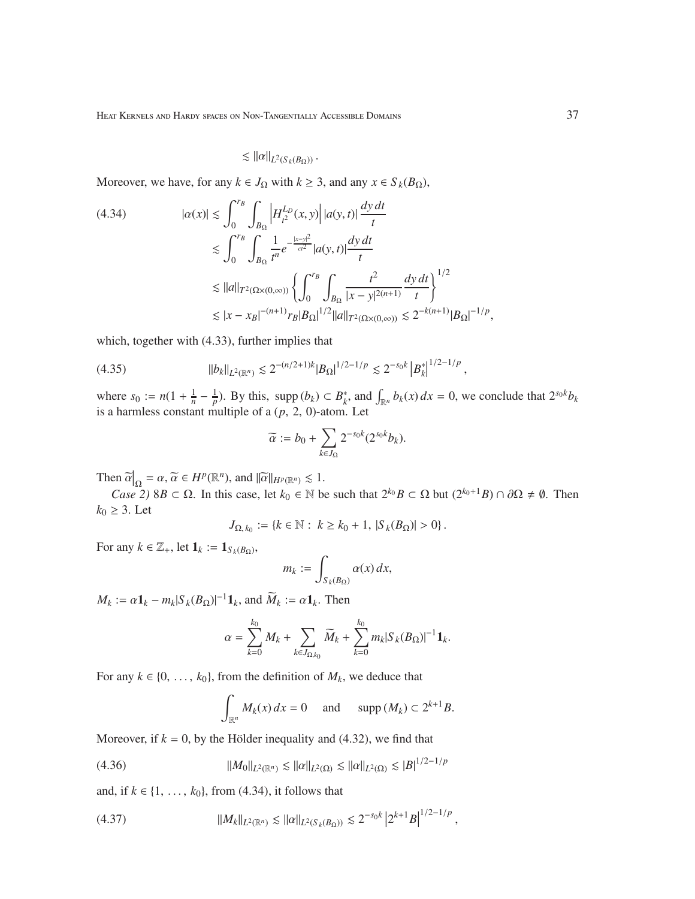# $\lesssim$   $||\alpha||_{L^2(S_k(B_\Omega))}$ .

Moreover, we have, for any  $k \in J_\Omega$  with  $k \geq 3$ , and any  $x \in S_k(B_\Omega)$ ,

$$
(4.34) \t| \alpha(x)| \lesssim \int_0^{r_B} \int_{B_{\Omega}} \left| H_{t^2}^{L_D}(x, y) \right| |a(y, t)| \frac{dy \, dt}{t}
$$
  
\t
$$
\lesssim \int_0^{r_B} \int_{B_{\Omega}} \frac{1}{t^n} e^{-\frac{|x - y|^2}{ct^2}} |a(y, t)| \frac{dy \, dt}{t}
$$
  
\t
$$
\lesssim ||a||_{T^2(\Omega \times (0, \infty))} \left\{ \int_0^{r_B} \int_{B_{\Omega}} \frac{t^2}{|x - y|^{2(n+1)}} \frac{dy \, dt}{t} \right\}^{1/2}
$$
  
\t
$$
\lesssim |x - x_B|^{-(n+1)} r_B |B_{\Omega}|^{1/2} ||a||_{T^2(\Omega \times (0, \infty))} \lesssim 2^{-k(n+1)} |B_{\Omega}|^{-1/p},
$$

which, together with (4.33), further implies that

$$
(4.35) \t\t\t ||b_k||_{L^2(\mathbb{R}^n)} \lesssim 2^{-(n/2+1)k} |B_{\Omega}|^{1/2-1/p} \lesssim 2^{-s_0k} |B_k^*|^{1/2-1/p},
$$

where  $s_0 := n(1 + \frac{1}{n} - \frac{1}{p})$ . By this, supp  $(b_k) \subset B_k^*$ , and  $\int_{\mathbb{R}^n} b_k(x) dx = 0$ , we conclude that  $2^{s_0 k} b_k$ is a harmless constant multiple of a  $(p, 2, 0)$ -atom. Let

$$
\widetilde{\alpha} := b_0 + \sum_{k \in J_{\Omega}} 2^{-s_0 k} (2^{s_0 k} b_k).
$$

Then  $\widetilde{\alpha}|_{\Omega} = \alpha$ ,  $\widetilde{\alpha} \in H^p(\mathbb{R}^n)$ , and  $\|\widetilde{\alpha}\|_{H^p(\mathbb{R}^n)} \lesssim 1$ .

*Case 2)* 8*B* ⊂ Ω. In this case, let  $k_0 \in \mathbb{N}$  be such that  $2^{k_0}B \subset \Omega$  but  $(2^{k_0+1}B) \cap \partial\Omega \neq \emptyset$ . Then  $k_0 \geq 3$ . Let

$$
J_{\Omega,k_0} := \{k \in \mathbb{N} : k \ge k_0 + 1, |S_k(B_{\Omega})| > 0\}.
$$

For any  $k \in \mathbb{Z}_+$ , let  $\mathbf{1}_k := \mathbf{1}_{S_k(B_\Omega)}$ ,

$$
m_k := \int_{S_k(B_\Omega)} \alpha(x) \, dx,
$$

 $M_k := \alpha \mathbf{1}_k - m_k |S_k(B_{\Omega})|^{-1} \mathbf{1}_k$ , and  $\widetilde{M}_k := \alpha \mathbf{1}_k$ . Then

$$
\alpha = \sum_{k=0}^{k_0} M_k + \sum_{k \in J_{\Omega,k_0}} \widetilde{M}_k + \sum_{k=0}^{k_0} m_k |S_k(B_{\Omega})|^{-1} \mathbf{1}_k.
$$

For any  $k \in \{0, \ldots, k_0\}$ , from the definition of  $M_k$ , we deduce that

$$
\int_{\mathbb{R}^n} M_k(x) dx = 0 \quad \text{and} \quad \text{supp}(M_k) \subset 2^{k+1} B.
$$

Moreover, if  $k = 0$ , by the Hölder inequality and (4.32), we find that

(4.36) 
$$
||M_0||_{L^2(\mathbb{R}^n)} \lesssim ||\alpha||_{L^2(\Omega)} \lesssim ||\alpha||_{L^2(\Omega)} \lesssim |B|^{1/2-1/p}
$$

and, if *k* ∈ {1, ...,  $k_0$ }, from (4.34), it follows that

$$
(4.37) \t\t ||M_k||_{L^2(\mathbb{R}^n)} \lesssim ||\alpha||_{L^2(S_k(B_{\Omega}))} \lesssim 2^{-s_0k} |2^{k+1}B|^{1/2-1/p},
$$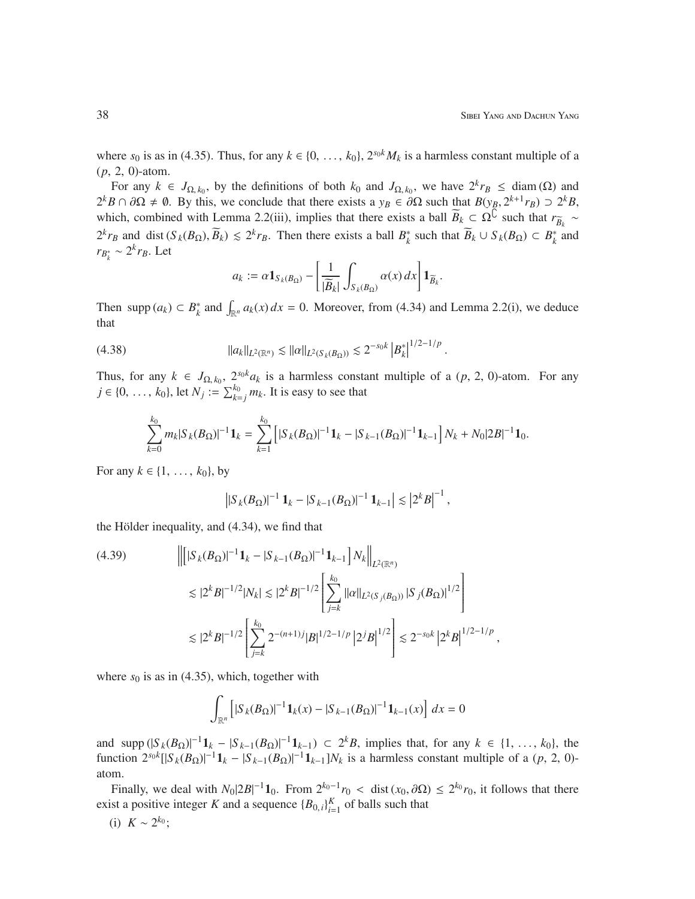,

where  $s_0$  is as in (4.35). Thus, for any  $k \in \{0, \ldots, k_0\}$ ,  $2^{s_0 k} M_k$  is a harmless constant multiple of a (*p*, 2, 0)-atom.

For any  $k \in J_{\Omega,k_0}$ , by the definitions of both  $k_0$  and  $J_{\Omega,k_0}$ , we have  $2^k r_B \leq \text{diam}(\Omega)$  and  $2^k B \cap \partial \Omega \neq \emptyset$ . By this, we conclude that there exists a  $y_B \in \partial \Omega$  such that  $B(y_B, 2^{k+1}r_B) \supset 2^k B$ , which, combined with Lemma 2.2(iii), implies that there exists a ball  $\widetilde{B}_k \subset \Omega^{\mathbb{C}}$  such that  $r_{\widetilde{B}_k} \sim$  $B_k$  $2^k r_B$  and dist  $(S_k(B_{\Omega}), \overline{B}_k) \leq 2^k r_B$ . Then there exists a ball  $B_k^*$  such that  $\overline{B}_k \cup S_k(B_{\Omega}) \subset B_k^*$  and  $r_{B_k^*}$  ∼ 2<sup>*k*</sup> $r_B$ . Let

$$
a_k := \alpha \mathbf{1}_{S_k(B_\Omega)} - \left[ \frac{1}{|\widetilde{B}_k|} \int_{S_k(B_\Omega)} \alpha(x) \, dx \right] \mathbf{1}_{\widetilde{B}_k}.
$$

Then supp  $(a_k) \subset B_k^*$  and  $\int_{\mathbb{R}^n} a_k(x) dx = 0$ . Moreover, from (4.34) and Lemma 2.2(i), we deduce that

$$
(4.38) \t\t ||a_k||_{L^2(\mathbb{R}^n)} \lesssim ||\alpha||_{L^2(S_k(B_{\Omega}))} \lesssim 2^{-s_0k} |B_k^*|^{1/2-1/p}.
$$

Thus, for any  $k \in J_{\Omega,k_0}$ ,  $2^{s_0k}a_k$  is a harmless constant multiple of a  $(p, 2, 0)$ -atom. For any *j* ∈ {0, ..., *k*<sub>0</sub>}, let *N*<sub>*j*</sub> :=  $\sum_{k=1}^{k_0} m_k$ . It is easy to see that

$$
\sum_{k=0}^{k_0} m_k |S_k(B_{\Omega})|^{-1} \mathbf{1}_k = \sum_{k=1}^{k_0} \left[ |S_k(B_{\Omega})|^{-1} \mathbf{1}_k - |S_{k-1}(B_{\Omega})|^{-1} \mathbf{1}_{k-1} \right] N_k + N_0 |2B|^{-1} \mathbf{1}_0.
$$

For any  $k \in \{1, ..., k_0\}$ , by

$$
\left| |S_k(B_\Omega)|^{-1} \mathbf{1}_k - |S_{k-1}(B_\Omega)|^{-1} \mathbf{1}_{k-1} \right| \lesssim \left| 2^k B \right|^{-1},
$$

the Hölder inequality, and  $(4.34)$ , we find that

$$
(4.39) \qquad \left\| \left[ |S_k(B_{\Omega})|^{-1} \mathbf{1}_k - |S_{k-1}(B_{\Omega})|^{-1} \mathbf{1}_{k-1} \right] N_k \right\|_{L^2(\mathbb{R}^n)} \right\|_{L^2(\mathbb{R}^n)} \leq |2^k B|^{-1/2} |N_k| \leq |2^k B|^{-1/2} \left[ \sum_{j=k}^{k_0} ||\alpha||_{L^2(S_j(B_{\Omega}))} |S_j(B_{\Omega})|^{1/2} \right] \leq |2^k B|^{-1/2} \left[ \sum_{j=k}^{k_0} 2^{-(n+1)j} |B|^{1/2-1/p} |2^j B|^{1/2} \right] \leq 2^{-s_0 k} |2^k B|^{1/2-1/p}
$$

where  $s_0$  is as in (4.35), which, together with

$$
\int_{\mathbb{R}^n} \left[ |S_k(B_{\Omega})|^{-1} \mathbf{1}_k(x) - |S_{k-1}(B_{\Omega})|^{-1} \mathbf{1}_{k-1}(x) \right] dx = 0
$$

and supp  $(|S_k(B_{\Omega})|^{-1}1_k - |S_{k-1}(B_{\Omega})|^{-1}1_{k-1}) \subset 2^k B$ , implies that, for any  $k \in \{1, ..., k_0\}$ , the function  $2^{s_0 k} [|S_k(B_{\Omega})|^{-1} 1_k - |S_{k-1}(B_{\Omega})|^{-1} 1_{k-1}] N_k$  is a harmless constant multiple of a  $(p, 2, 0)$ atom.

Finally, we deal with  $N_0|2B|^{-1}\mathbf{1}_0$ . From  $2^{k_0-1}r_0 <$  dist  $(x_0, \partial\Omega) \leq 2^{k_0}r_0$ , it follows that there exist a positive integer *K* and a sequence  ${B_{0,i}}_{i=1}^K$  of balls such that

$$
(i) K \sim 2^{k_0};
$$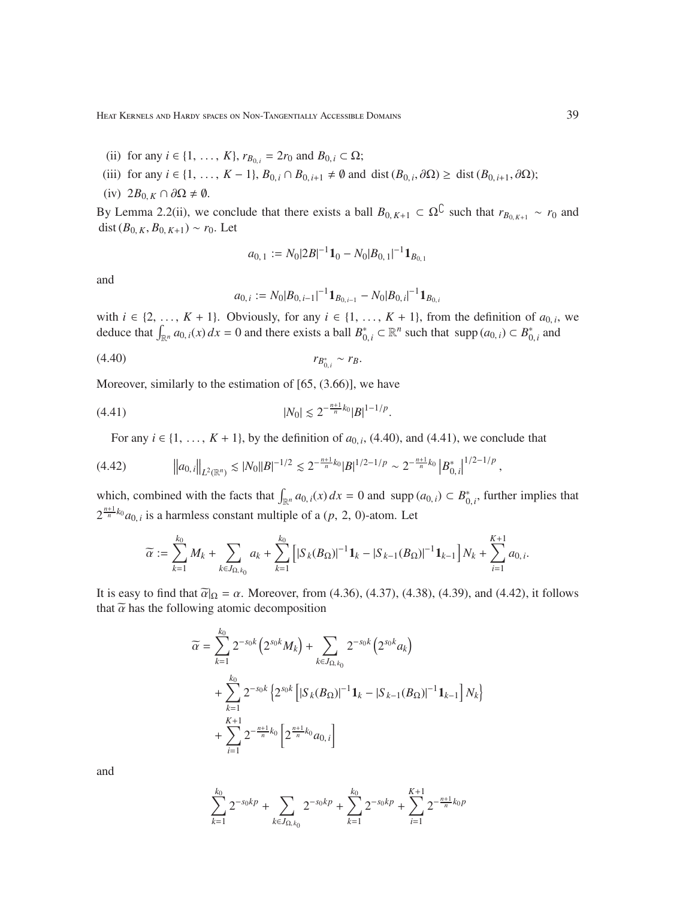- (ii) for any  $i \in \{1, ..., K\}$ ,  $r_{B_{0,i}} = 2r_0$  and  $B_{0,i} \subset \Omega$ ;
- (iii) for any *i* ∈ {1, ..., *K* − 1}, *B*<sub>0,*i*</sub> ∩ *B*<sub>0,*i*+1</sub> ≠  $\emptyset$  and dist (*B*<sub>0,*i*</sub>,  $\partial$ Ω) ≥ dist (*B*<sub>0,*i*+1</sub>,  $\partial$ Ω);
- (iv)  $2B_{0,K} \cap \partial\Omega \neq \emptyset$ .

By Lemma 2.2(ii), we conclude that there exists a ball  $B_{0,K+1} \subset \Omega^{\mathbb{C}}$  such that  $r_{B_{0,K+1}} \sim r_0$  and dist  $(B_{0,K}, B_{0,K+1})$  ∼  $r_0$ . Let

$$
a_{0,1} := N_0 |2B|^{-1} \mathbf{1}_0 - N_0 |B_{0,1}|^{-1} \mathbf{1}_{B_{0,1}}
$$

and

$$
a_{0,i} := N_0|B_{0,i-1}|^{-1}1_{B_{0,i-1}} - N_0|B_{0,i}|^{-1}1_{B_{0,i}}
$$

with  $i \in \{2, \ldots, K + 1\}$ . Obviously, for any  $i \in \{1, \ldots, K + 1\}$ , from the definition of  $a_{0,i}$ , we deduce that  $\int_{\mathbb{R}^n} a_{0,i}(x) dx = 0$  and there exists a ball  $B_{0,i}^* \subset \mathbb{R}^n$  such that  $\text{supp}(a_{0,i}) \subset B_{0,i}^*$  and

$$
(4.40) \t\t\t r_{B_{0,i}^*} \sim r_B.
$$

Moreover, similarly to the estimation of [65, (3.66)], we have

$$
|N_0| \lesssim 2^{-\frac{n+1}{n}k_0} |B|^{1-1/p}.
$$

For any  $i \in \{1, \ldots, K + 1\}$ , by the definition of  $a_{0,i}$ , (4.40), and (4.41), we conclude that

$$
(4.42) \t\t ||a_{0,i}||_{L^{2}(\mathbb{R}^{n})} \lesssim |N_{0}| |B|^{-1/2} \lesssim 2^{-\frac{n+1}{n}k_{0}} |B|^{1/2-1/p} \sim 2^{-\frac{n+1}{n}k_{0}} |B_{0,i}^{*}|^{1/2-1/p}
$$

which, combined with the facts that  $\int_{\mathbb{R}^n} a_{0,i}(x) dx = 0$  and supp  $(a_{0,i}) \subset B^*_{0,i}$ , further implies that  $2^{\frac{n+1}{n}k_0} a_{0,i}$  is a harmless constant multiple of a  $(p, 2, 0)$ -atom. Let

$$
\widetilde{\alpha}:=\sum_{k=1}^{k_0}M_k+\sum_{k\in J_{\Omega,k_0}}a_k+\sum_{k=1}^{k_0}\left[|S_k(B_\Omega)|^{-1}{\bf 1}_k-|S_{k-1}(B_\Omega)|^{-1}{\bf 1}_{k-1}\right]N_k+\sum_{i=1}^{K+1}a_{0,i}.
$$

It is easy to find that  $\tilde{\alpha}|_{\Omega} = \alpha$ . Moreover, from (4.36), (4.37), (4.38), (4.39), and (4.42), it follows that  $\tilde{\alpha}$  has the following atomic decomposition

$$
\widetilde{\alpha} = \sum_{k=1}^{k_0} 2^{-s_0 k} \left( 2^{s_0 k} M_k \right) + \sum_{k \in J_{\Omega, k_0}} 2^{-s_0 k} \left( 2^{s_0 k} a_k \right)
$$
  
+ 
$$
\sum_{k=1}^{k_0} 2^{-s_0 k} \left\{ 2^{s_0 k} \left[ |S_k (B_{\Omega})|^{-1} \mathbf{1}_k - |S_{k-1} (B_{\Omega})|^{-1} \mathbf{1}_{k-1} \right] N_k \right\}
$$
  
+ 
$$
\sum_{i=1}^{K+1} 2^{-\frac{n+1}{n} k_0} \left[ 2^{\frac{n+1}{n} k_0} a_{0, i} \right]
$$

and

$$
\sum_{k=1}^{k_0} 2^{-s_0kp} + \sum_{k \in J_{\Omega,k_0}} 2^{-s_0kp} + \sum_{k=1}^{k_0} 2^{-s_0kp} + \sum_{i=1}^{K+1} 2^{-\frac{n+1}{n}k_0p}
$$

,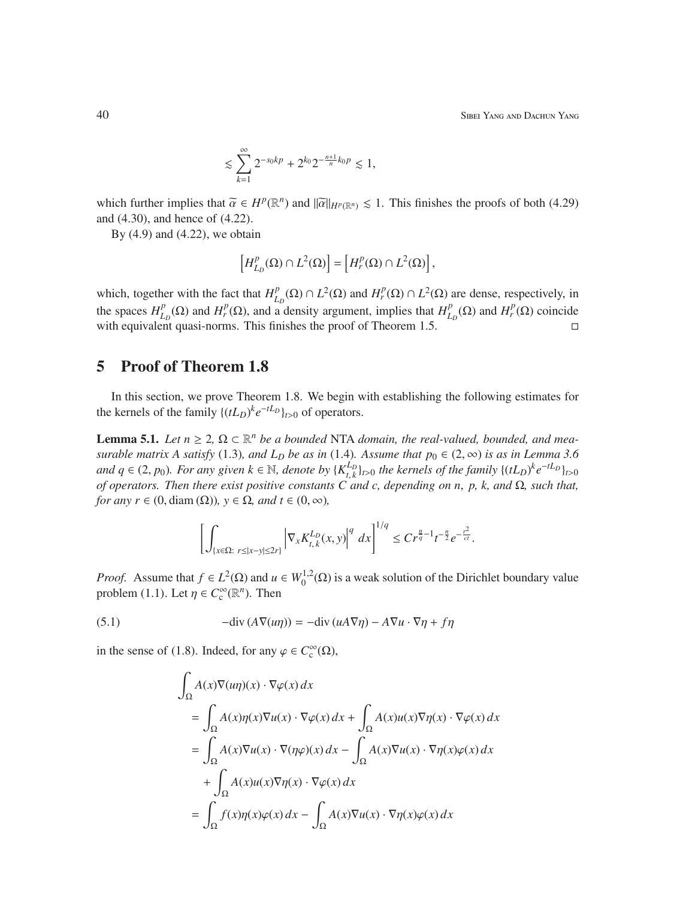40 Sibei Yang and Dachun Yang

$$
\lesssim \sum_{k=1}^{\infty} 2^{-s_0kp} + 2^{k_0}2^{-\frac{n+1}{n}k_0p} \lesssim 1,
$$

which further implies that  $\tilde{\alpha} \in H^p(\mathbb{R}^n)$  and  $\|\tilde{\alpha}\|_{H^p(\mathbb{R}^n)} \leq 1$ . This finishes the proofs of both (4.29) and (4.30), and hence of (4.22).

By  $(4.9)$  and  $(4.22)$ , we obtain

$$
\left[H_{L_D}^p(\Omega)\cap L^2(\Omega)\right]=\left[H_r^p(\Omega)\cap L^2(\Omega)\right],
$$

which, together with the fact that  $H_I^p$  $L_D^p(\Omega) \cap L^2(\Omega)$  and  $H_r^p(\Omega) \cap L^2(\Omega)$  are dense, respectively, in the spaces  $H_I^p$  $L_D^p(\Omega)$  and *H*<sup>*p*</sup><sub>*l*</sub><sup>*D*</sup><sub>*l*</sub><sub>*D*</sub><sup>*D*</sup><sub>*D*</sub><sup>*n*</sup><sub>*D*</sub><sup>*n*</sup><sub>*D*</sub><sup>*n*</sup><sub>*D*</sub><sup>*n*</sup><sub>*D*</sub><sup>*n*</sup><sub>*D*</sub><sup>*n*</sup><sub>*D*</sub><sup>*n*</sup><sub>*D*</sub><sup>*n*</sup><sub>*D*</sub><sup>*n*</sup><sub>*D*</sub><sup>*n*</sup><sub>*D*</sub><sup>*n*</sup><sub>*D*</sub><sup>*n*</sup><sub>*D*</sub><sup>*n*</sup><sub>*n*</sub><sup>*n*</sup><sub>*n*</sub><sup>*n*</sup><sub>*n*</sub><sup>*n*</sup></sup>*n*<sup>*n*</sup><sub>*n*</sub>  $L_D$ <sup>*p*</sup>(Ω) and *H<sup>p</sup>*</sup>(Ω) coincide with equivalent quasi-norms. This finishes the proof of Theorem 1.5.

### 5 Proof of Theorem 1.8

In this section, we prove Theorem 1.8. We begin with establishing the following estimates for the kernels of the family  $\{(tL_D)^k e^{-tL_D}\}_{t>0}$  of operators.

**Lemma 5.1.** *Let*  $n \geq 2$ ,  $\Omega \subset \mathbb{R}^n$  *be a bounded* NTA *domain, the real-valued, bounded, and measurable matrix A satisfy* (1.3)*, and L<sub>D</sub> be as in* (1.4)*. Assume that*  $p_0 \in (2, \infty)$  *is as in Lemma 3.6 and*  $q \in (2, p_0)$ *. For any given*  $k \in \mathbb{N}$ *, denote by*  $\{K_{t,k}^{L_D}\}$  $\{t_{L,k}\}_{t>0}$  the kernels of the family  $\{(tL_D)^ke^{-tL_D}\}_{t>0}$ *of operators. Then there exist positive constants C and c, depending on n*, *p, k, and* Ω*, such that, for any r*  $\in$  (0, diam ( $\Omega$ ))*, y*  $\in$   $\Omega$ *, and t*  $\in$  (0,  $\infty$ )*,* 

$$
\left[\int_{\{x\in\Omega:\ r\leq |x-y|\leq 2r\}} \left|\nabla_x K_{t,k}^{L_D}(x,y)\right|^q\,dx\right]^{1/q}\leq Cr^{\frac{n}{q}-1}t^{-\frac{n}{2}}e^{-\frac{r^2}{ct}}.
$$

*Proof.* Assume that  $f \in L^2(\Omega)$  and  $u \in W_0^{1,2}$  $0^{1,2}(\Omega)$  is a weak solution of the Dirichlet boundary value problem (1.1). Let  $\eta \in C_c^{\infty}(\mathbb{R}^n)$ . Then

(5.1) 
$$
- \text{div} (A \nabla (u\eta)) = - \text{div} (u A \nabla \eta) - A \nabla u \cdot \nabla \eta + f \eta
$$

in the sense of (1.8). Indeed, for any  $\varphi \in C_c^{\infty}(\Omega)$ ,

$$
\int_{\Omega} A(x) \nabla(u\eta)(x) \cdot \nabla \varphi(x) dx
$$
\n
$$
= \int_{\Omega} A(x) \eta(x) \nabla u(x) \cdot \nabla \varphi(x) dx + \int_{\Omega} A(x) u(x) \nabla \eta(x) \cdot \nabla \varphi(x) dx
$$
\n
$$
= \int_{\Omega} A(x) \nabla u(x) \cdot \nabla(\eta \varphi)(x) dx - \int_{\Omega} A(x) \nabla u(x) \cdot \nabla \eta(x) \varphi(x) dx
$$
\n
$$
+ \int_{\Omega} A(x) u(x) \nabla \eta(x) \cdot \nabla \varphi(x) dx
$$
\n
$$
= \int_{\Omega} f(x) \eta(x) \varphi(x) dx - \int_{\Omega} A(x) \nabla u(x) \cdot \nabla \eta(x) \varphi(x) dx
$$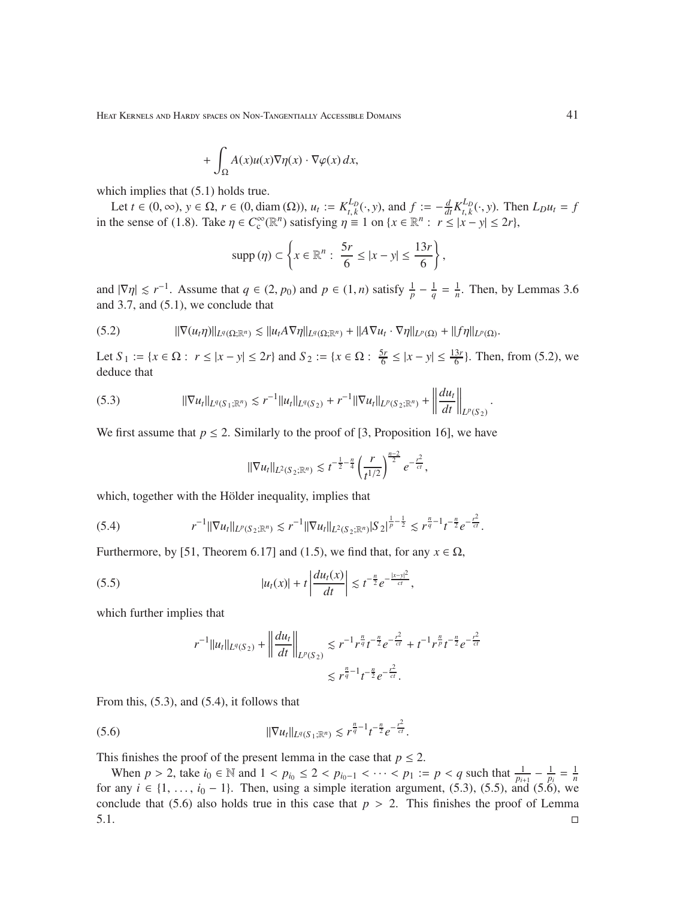$$
+ \int_{\Omega} A(x)u(x)\nabla \eta(x) \cdot \nabla \varphi(x) \, dx,
$$

which implies that  $(5.1)$  holds true.

Let  $t \in (0, \infty)$ ,  $y \in \Omega$ ,  $r \in (0, \text{diam}(\Omega))$ ,  $u_t := K_{t,k}^{L_D}$ *t*<sub>*t*</sub>,*k*</sub>(⋅, *y*), and *f* :=  $-\frac{d}{dt}K_{t,k}^{L_D}$  $\sum_{t,k}^{L_D} (\cdot, y)$ . Then  $L_D u_t = f$ in the sense of (1.8). Take  $\eta \in C_c^{\infty}(\mathbb{R}^n)$  satisfying  $\eta \equiv 1$  on  $\{x \in \mathbb{R}^n : r \le |x - y| \le 2r\}$ ,

$$
\operatorname{supp}\left(\eta\right) \subset \left\{x \in \mathbb{R}^n: \; \frac{5r}{6} \leq |x-y| \leq \frac{13r}{6}\right\},\;
$$

and  $|\nabla \eta| \leq r^{-1}$ . Assume that  $q \in (2, p_0)$  and  $p \in (1, n)$  satisfy  $\frac{1}{p} - \frac{1}{q}$  $\frac{1}{q} = \frac{1}{n}$  $\frac{1}{n}$ . Then, by Lemmas 3.6 and 3.7, and (5.1), we conclude that

$$
(5.2) \t\t ||\nabla(u_t\eta)||_{L^q(\Omega;\mathbb{R}^n)} \lesssim ||u_t A \nabla \eta||_{L^q(\Omega;\mathbb{R}^n)} + ||A \nabla u_t \cdot \nabla \eta||_{L^p(\Omega)} + ||f\eta||_{L^p(\Omega)}.
$$

Let  $S_1 := \{x \in \Omega : r \le |x - y| \le 2r\}$  and  $S_2 := \{x \in \Omega : \frac{5r}{6}$  $\frac{5r}{6} \le |x - y| \le \frac{13r}{6}$ . Then, from (5.2), we deduce that

$$
(5.3) \t\t ||\nabla u_t||_{L^q(S_1;\mathbb{R}^n)} \lesssim r^{-1}||u_t||_{L^q(S_2)} + r^{-1}||\nabla u_t||_{L^p(S_2;\mathbb{R}^n)} + \left\|\frac{du_t}{dt}\right\|_{L^p(S_2)}
$$

We first assume that  $p \le 2$ . Similarly to the proof of [3, Proposition 16], we have

$$
\|\nabla u_t\|_{L^2(S_2;\mathbb{R}^n)} \lesssim t^{-\frac{1}{2}-\frac{n}{4}} \left(\frac{r}{t^{1/2}}\right)^{\frac{n-2}{2}} e^{-\frac{r^2}{ct}},
$$

which, together with the Hölder inequality, implies that

$$
(5.4) \t\t\t r^{-1} \|\nabla u_t\|_{L^p(S_2;\mathbb{R}^n)} \lesssim r^{-1} \|\nabla u_t\|_{L^2(S_2;\mathbb{R}^n)} |S_2|^{\frac{1}{p}-\frac{1}{2}} \lesssim r^{\frac{n}{q}-1} t^{-\frac{n}{2}} e^{-\frac{t^2}{ct}}.
$$

Furthermore, by [51, Theorem 6.17] and (1.5), we find that, for any  $x \in \Omega$ ,

(5.5) 
$$
|u_t(x)| + t \left| \frac{du_t(x)}{dt} \right| \lesssim t^{-\frac{n}{2}} e^{-\frac{|x-y|^2}{ct}},
$$

which further implies that

$$
r^{-1}||u_t||_{L^q(S_2)} + \left\|\frac{du_t}{dt}\right\|_{L^p(S_2)} \lesssim r^{-1}r^{\frac{n}{q}}t^{-\frac{n}{2}}e^{-\frac{r^2}{ct}} + t^{-1}r^{\frac{n}{p}}t^{-\frac{n}{2}}e^{-\frac{r^2}{ct}} \leq r^{\frac{n}{q}-1}t^{-\frac{n}{2}}e^{-\frac{r^2}{ct}}.
$$

From this, (5.3), and (5.4), it follows that

(5.6) 
$$
\|\nabla u_t\|_{L^q(S_1;\mathbb{R}^n)} \lesssim r^{\frac{n}{q}-1}t^{-\frac{n}{2}}e^{-\frac{t^2}{ct}}.
$$

This finishes the proof of the present lemma in the case that  $p \le 2$ .

When  $p > 2$ , take  $i_0 \in \mathbb{N}$  and  $1 < p_{i_0} \le 2 < p_{i_0-1} < \cdots < p_1 := p < q$  such that  $\frac{1}{p_{i+1}} - \frac{1}{p_i} = \frac{1}{n}$ for any *i* ∈ {1, ..., *i*<sub>0</sub> − 1}. Then, using a simple iteration argument, (5.3), (5.5), and (5.6), we conclude that (5.6) also holds true in this case that  $p > 2$ . This finishes the proof of Lemma  $5.1.$ 

.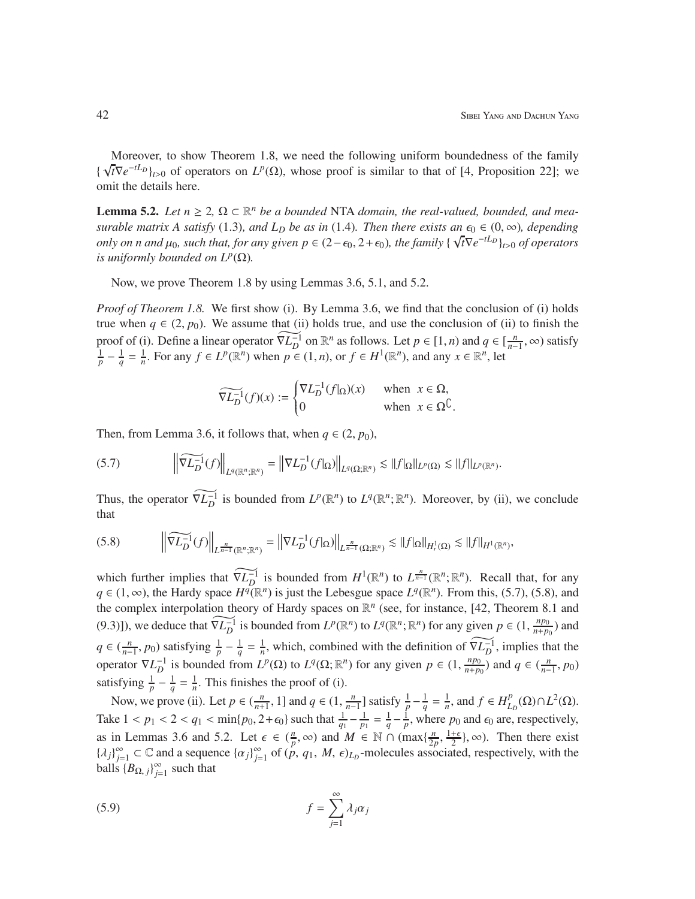Moreover, to show Theorem 1.8, we need the following uniform boundedness of the family {  $\sqrt{t}\nabla e^{-tL_D}$ <sub>*t*>0</sub> of operators on  $L^p(\Omega)$ , whose proof is similar to that of [4, Proposition 22]; we omit the details here.

**Lemma 5.2.** Let  $n \geq 2$ ,  $\Omega \subset \mathbb{R}^n$  be a bounded NTA domain, the real-valued, bounded, and mea*surable matrix A satisfy* (1.3)*, and L<sub>D</sub> be as in* (1.4)*. Then there exists an*  $\epsilon_0 \in (0, \infty)$ *, depending only on n and*  $\mu_0$ *, such that, for any given*  $p \in (2 - \epsilon_0, 2 + \epsilon_0)$ *, the family {* $\sqrt{t} \nabla e^{-tL_D}$ }<sup>*t*</sup><sub>1</sub>, *of operators is uniformly bounded on*  $L^p(\Omega)$ *.* 

Now, we prove Theorem 1.8 by using Lemmas 3.6, 5.1, and 5.2.

*Proof of Theorem 1.8.* We first show (i). By Lemma 3.6, we find that the conclusion of (i) holds true when  $q \in (2, p_0)$ . We assume that (ii) holds true, and use the conclusion of (ii) to finish the proof of (i). Define a linear operator  $\widetilde{\nabla L_D^{-1}}$  on  $\mathbb{R}^n$  as follows. Let  $p \in [1, n)$  and  $q \in [\frac{n}{n-1}]$  $\frac{n}{n-1}$ , ∞) satisfy  $\frac{1}{p} - \frac{1}{q} = \frac{1}{n}$ . For any  $f \in L^p(\mathbb{R}^n)$  when  $p \in (1, n)$ , or  $f \in H^1(\mathbb{R}^n)$ , and any  $x \in \mathbb{R}^n$ , let

$$
\widetilde{\nabla L_D^{-1}}(f)(x) := \begin{cases} \nabla L_D^{-1}(f|_{\Omega})(x) & \text{when } x \in \Omega, \\ 0 & \text{when } x \in \Omega^{\complement}. \end{cases}
$$

Then, from Lemma 3.6, it follows that, when  $q \in (2, p_0)$ ,

$$
(5.7) \qquad \left\|\widetilde{\nabla L_D^{-1}}(f)\right\|_{L^q(\mathbb{R}^n;\mathbb{R}^n)} = \left\|\nabla L_D^{-1}(f|_{\Omega})\right\|_{L^q(\Omega;\mathbb{R}^n)} \lesssim \|f|_{\Omega}\|_{L^p(\Omega)} \lesssim \|f\|_{L^p(\mathbb{R}^n)}.
$$

Thus, the operator  $\widetilde{\nabla L_D^{-1}}$  is bounded from  $L^p(\mathbb{R}^n)$  to  $L^q(\mathbb{R}^n;\mathbb{R}^n)$ . Moreover, by (ii), we conclude that

$$
(5.8)\qquad \qquad \left\|\widetilde{\nabla L_D^{-1}}(f)\right\|_{L^{\frac{n}{n-1}}(\mathbb{R}^n;\mathbb{R}^n)}=\left\|\nabla L_D^{-1}(f|_{\Omega})\right\|_{L^{\frac{n}{n-1}}(\Omega;\mathbb{R}^n)}\lesssim\|f|_{\Omega}\|_{H^1(\Omega)}\lesssim\|f\|_{H^1(\mathbb{R}^n)},
$$

which further implies that  $\widetilde{\nabla L_D^{-1}}$  is bounded from  $H^1(\mathbb{R}^n)$  to  $L^{\frac{n}{n-1}}(\mathbb{R}^n;\mathbb{R}^n)$ . Recall that, for any *q* ∈ (1, ∞), the Hardy space *H*<sup>*q*</sup>( $\mathbb{R}^n$ ) is just the Lebesgue space *L*<sup>*q*</sup>( $\mathbb{R}^n$ ). From this, (5.7), (5.8), and the complex interpolation theory of Hardy spaces on  $\mathbb{R}^n$  (see, for instance, [42, Theorem 8.1 and (9.3)]), we deduce that  $\widetilde{\nabla L_D^{-1}}$  is bounded from  $L^p(\mathbb{R}^n)$  to  $L^q(\mathbb{R}^n; \mathbb{R}^n)$  for any given  $p \in (1, \frac{np_0}{n+p_0})$  $\frac{np_0}{n+p_0}$ ) and  $q \in (\frac{n}{n-1})$  $\frac{n}{p-1}$ , *p*<sub>0</sub>) satisfying  $\frac{1}{p} - \frac{1}{q}$  $\frac{1}{q} = \frac{1}{n}$  $\frac{1}{n}$ , which, combined with the definition of  $\widetilde{\nabla L_D^{-1}}$ , implies that the operator  $\nabla L_D^{-1}$  is bounded from  $L^p(\Omega)$  to  $L^q(\Omega; \mathbb{R}^n)$  for any given  $p \in (1, \frac{np_0}{n+p_0})$  $\frac{np_0}{n+p_0}$ ) and  $q \in (\frac{n}{n-p_0})$  $\frac{n}{n-1}, p_0)$ satisfying  $\frac{1}{p} - \frac{1}{q} = \frac{1}{n}$ . This finishes the proof of (i).

Now, we prove (ii). Let  $p \in (\frac{n}{n+1}, 1]$  and  $q \in (1, \frac{n}{n-1}]$  $\frac{n}{n-1}$ ] satisfy  $\frac{1}{p} - \frac{1}{q} = \frac{1}{n}$ , and  $f \in H_L^p$  $L_D^p(\Omega) \cap L^2(\Omega)$ . Take  $1 < p_1 < 2 < q_1 < \min\{p_0, 2 + \epsilon_0\}$  such that  $\frac{1}{q_1} - \frac{1}{p_1} = \frac{1}{q} - \frac{1}{p}$ , where  $p_0$  and  $\epsilon_0$  are, respectively, as in Lemmas 3.6 and 5.2. Let  $\epsilon \in (\frac{n}{p})$  $\frac{n}{p}$ , ∞) and *M* ∈ N ∩ (max $\{\frac{n}{2p}\}$  $\frac{n}{2p}$ ,  $\frac{1+\epsilon}{2}$  $\frac{1}{2}$ ,  $\infty$ ). Then there exist  $\{\lambda_j\}_{j=1}^{\infty} \subset \mathbb{C}$  and a sequence  $\{\alpha_j\}_{j=1}^{\infty}$  of  $(p, q_1, M, \epsilon)_{L_p}$ -molecules associated, respectively, with the balls  ${B_{\Omega, j}}_{j=1}^{\infty}$  such that

$$
(5.9) \t\t f = \sum_{j=1}^{\infty} \lambda_j \alpha_j
$$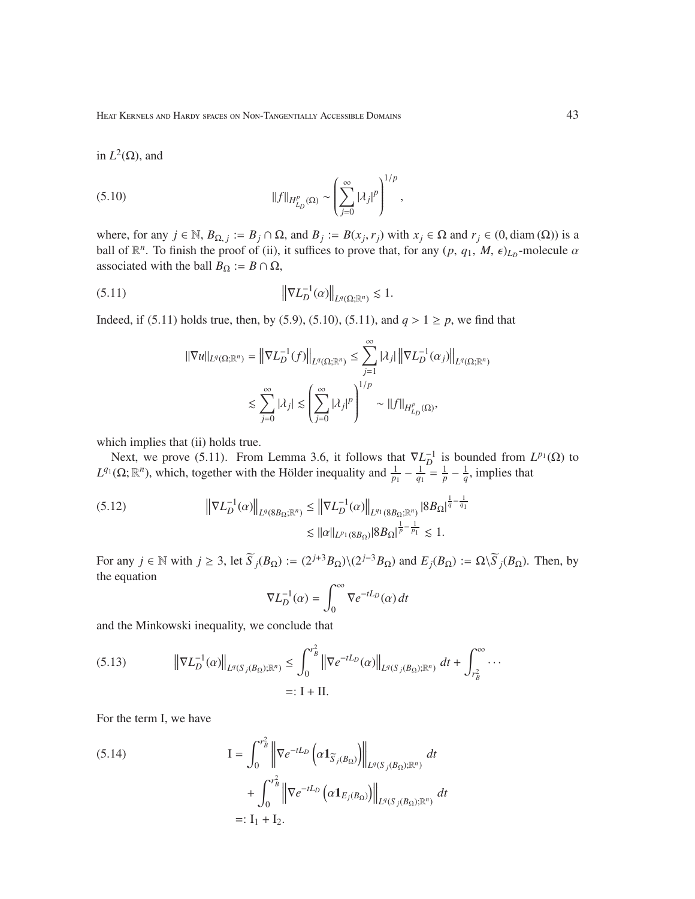in  $L^2(\Omega)$ , and

(5.10) 
$$
||f||_{H_{L_p}^p(\Omega)} \sim \left(\sum_{j=0}^{\infty} |\lambda_j|^p\right)^{1/p},
$$

where, for any  $j \in \mathbb{N}$ ,  $B_{\Omega, j} := B_j \cap \Omega$ , and  $B_j := B(x_j, r_j)$  with  $x_j \in \Omega$  and  $r_j \in (0, \text{diam}(\Omega))$  is a ball of  $\mathbb{R}^n$ . To finish the proof of (ii), it suffices to prove that, for any  $(p, q_1, M, \epsilon)_{L_p}$ -molecule  $\alpha$ associated with the ball  $B_{\Omega} := B \cap \Omega$ ,

(5.11) 
$$
\|\nabla L_D^{-1}(\alpha)\|_{L^q(\Omega;\mathbb{R}^n)} \lesssim 1.
$$

Indeed, if (5.11) holds true, then, by (5.9), (5.10), (5.11), and  $q > 1 \ge p$ , we find that

$$
\begin{aligned} \|\nabla u\|_{L^q(\Omega;\mathbb{R}^n)}&=\left\|\nabla L_D^{-1}(f)\right\|_{L^q(\Omega;\mathbb{R}^n)}\leq \sum_{j=1}^\infty |\lambda_j|\left\|\nabla L_D^{-1}(\alpha_j)\right\|_{L^q(\Omega;\mathbb{R}^n)}\\ &\lesssim \sum_{j=0}^\infty |\lambda_j|\lesssim \left(\sum_{j=0}^\infty |\lambda_j|^p\right)^{1/p}\sim \|f\|_{H_{L_D}^p(\Omega)}, \end{aligned}
$$

which implies that (ii) holds true.

Next, we prove (5.11). From Lemma 3.6, it follows that  $\nabla L_D^{-1}$  is bounded from  $L^{p_1}(\Omega)$  to  $L^{q_1}(\Omega; \mathbb{R}^n)$ , which, together with the Hölder inequality and  $\frac{1}{p_1} - \frac{1}{q_1} = \frac{1}{p} - \frac{1}{q}$ , implies that

$$
(5.12) \t\t \|\nabla L_D^{-1}(\alpha)\|_{L^q(8B_{\Omega};\mathbb{R}^n)} \leq \|\nabla L_D^{-1}(\alpha)\|_{L^{q_1}(8B_{\Omega};\mathbb{R}^n)} |8B_{\Omega}|^{\frac{1}{q} - \frac{1}{q_1}} \leq 1.
$$

For any  $j \in \mathbb{N}$  with  $j \geq 3$ , let  $\widetilde{S}_j(B_\Omega) := (2^{j+3}B_\Omega)\setminus(2^{j-3}B_\Omega)$  and  $E_j(B_\Omega) := \Omega\setminus\widetilde{S}_j(B_\Omega)$ . Then, by the equation

$$
\nabla L_D^{-1}(\alpha) = \int_0^\infty \nabla e^{-tL_D}(\alpha) dt
$$

and the Minkowski inequality, we conclude that

(5.13) 
$$
\left\| \nabla L_D^{-1}(\alpha) \right\|_{L^q(S_j(B_{\Omega});\mathbb{R}^n)} \leq \int_0^{r_B^2} \left\| \nabla e^{-tL_D}(\alpha) \right\|_{L^q(S_j(B_{\Omega});\mathbb{R}^n)} dt + \int_{r_B^2}^{\infty} \cdots
$$
  
=: I + II.

For the term I, we have

(5.14) 
$$
I = \int_0^{r_B^2} \left\| \nabla e^{-tL_D} \left( \alpha \mathbf{1}_{\overline{S}_j(B_{\Omega})} \right) \right\|_{L^q(S_j(B_{\Omega});\mathbb{R}^n)} dt + \int_0^{r_B^2} \left\| \nabla e^{-tL_D} \left( \alpha \mathbf{1}_{E_j(B_{\Omega})} \right) \right\|_{L^q(S_j(B_{\Omega});\mathbb{R}^n)} dt =: I_1 + I_2.
$$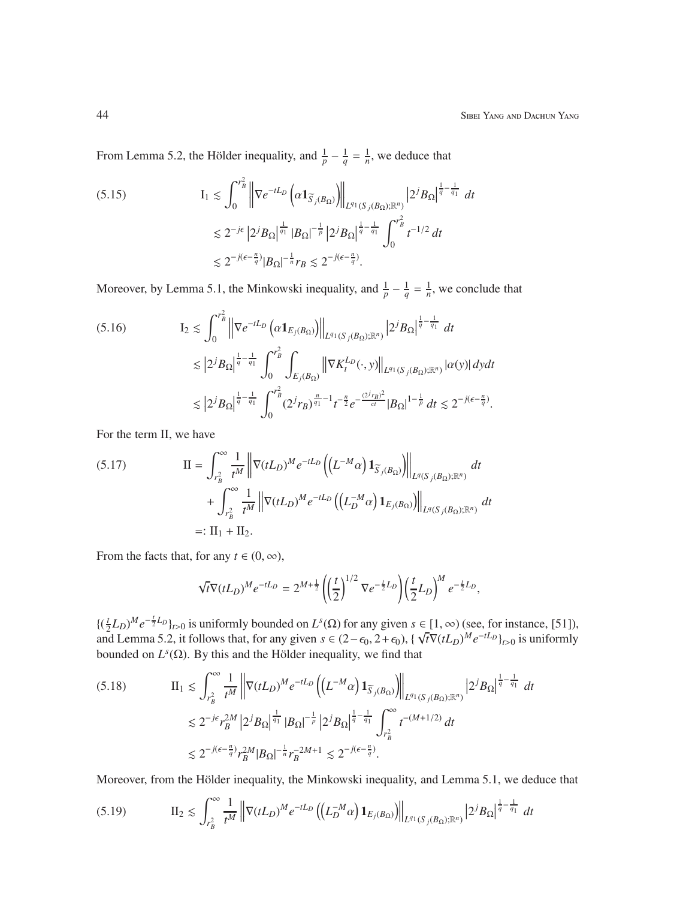From Lemma 5.2, the Hölder inequality, and  $\frac{1}{p} - \frac{1}{q} = \frac{1}{n}$ , we deduce that

$$
(5.15) \tI1 \lesssim \int_0^{r_B^2} \left\| \nabla e^{-tL_D} \left( \alpha \mathbf{1}_{\widetilde{S}_j(B_{\Omega})} \right) \right\|_{L^{q_1}(S_j(B_{\Omega});\mathbb{R}^n)} |2^j B_{\Omega}|^{\frac{1}{q} - \frac{1}{q_1}} dt
$$
  

$$
\lesssim 2^{-j\epsilon} |2^j B_{\Omega}|^{\frac{1}{q_1}} |B_{\Omega}|^{-\frac{1}{p}} |2^j B_{\Omega}|^{\frac{1}{q} - \frac{1}{q_1}} \int_0^{r_B^2} t^{-1/2} dt
$$
  

$$
\lesssim 2^{-j(\epsilon - \frac{n}{q})} |B_{\Omega}|^{-\frac{1}{n}} r_B \lesssim 2^{-j(\epsilon - \frac{n}{q})}.
$$

Moreover, by Lemma 5.1, the Minkowski inequality, and  $\frac{1}{p} - \frac{1}{q} = \frac{1}{n}$ , we conclude that

$$
(5.16) \tI_2 \lesssim \int_0^{r_B^2} \left\| \nabla e^{-tL_D} \left( \alpha \mathbf{1}_{E_j(B_{\Omega})} \right) \right\|_{L^{q_1}(S_j(B_{\Omega});\mathbb{R}^n)} \left| 2^j B_{\Omega} \right|^{\frac{1}{q} - \frac{1}{q_1}} dt \n\lesssim \left| 2^j B_{\Omega} \right|^{\frac{1}{q} - \frac{1}{q_1}} \int_0^{r_B^2} \int_{E_j(B_{\Omega})} \left\| \nabla K_t^{L_D}(\cdot, y) \right\|_{L^{q_1}(S_j(B_{\Omega});\mathbb{R}^n)} | \alpha(y) | \, dy dt \n\lesssim \left| 2^j B_{\Omega} \right|^{\frac{1}{q} - \frac{1}{q_1}} \int_0^{r_B^2} (2^j r_B)^{\frac{n}{q_1} - 1} t^{-\frac{n}{2}} e^{-\frac{(2^j r_B)^2}{ct}} |B_{\Omega}|^{1 - \frac{1}{p}} dt \lesssim 2^{-j(\epsilon - \frac{n}{q})}.
$$

For the term II, we have

$$
(5.17) \qquad \qquad \Pi = \int_{r_B^2}^{\infty} \frac{1}{t^M} \left\| \nabla (tL_D)^M e^{-tL_D} \left( \left( L^{-M} \alpha \right) \mathbf{1}_{\widetilde{S}_j(B_{\Omega})} \right) \right\|_{L^q(S_j(B_{\Omega});\mathbb{R}^n)} dt
$$
\n
$$
+ \int_{r_B^2}^{\infty} \frac{1}{t^M} \left\| \nabla (tL_D)^M e^{-tL_D} \left( \left( L_D^{-M} \alpha \right) \mathbf{1}_{E_j(B_{\Omega})} \right) \right\|_{L^q(S_j(B_{\Omega});\mathbb{R}^n)} dt
$$
\n
$$
=: \Pi_1 + \Pi_2.
$$

From the facts that, for any  $t \in (0, \infty)$ ,

$$
\sqrt{t}\nabla(tL_D)^M e^{-tL_D} = 2^{M+\frac{1}{2}} \left( \left(\frac{t}{2}\right)^{1/2} \nabla e^{-\frac{t}{2}L_D} \right) \left(\frac{t}{2}L_D\right)^M e^{-\frac{t}{2}L_D},
$$

 $\left\{ \left( \frac{t}{2} \right)$  $\frac{1}{2}L_D$ )<sup>*M*</sup> $e^{-\frac{1}{2}L_D}$ <sub>*t*</sub>>0</sub> is uniformly bounded on  $L^s(\Omega)$  for any given  $s \in [1, \infty)$  (see, for instance, [51]), and Lemma 5.2, it follows that, for any given  $s \in (2-\epsilon_0, 2+\epsilon_0)$ , { $\sqrt{t}\nabla (tL_D)^M e^{-tL_D}$ }<sub>t>0</sub> is uniformly bounded on  $L^s(\Omega)$ . By this and the Hölder inequality, we find that

II<sup>1</sup> . Z ∞ *r* 2 *B* 1 *tM* ∇(*tLD*) *Me* −*tL<sup>D</sup> L* <sup>−</sup>*M*α <sup>1</sup>*S*e*j*(*B*Ω) *L <sup>q</sup>*<sup>1</sup> (*S <sup>j</sup>*(*B*Ω);R*<sup>n</sup>* ) 2 *<sup>j</sup>B*<sup>Ω</sup> 1 *q* − 1 *q* (5.18) <sup>1</sup> *dt* . 2 −*j*ǫ *r* 2*M B* 2 *<sup>j</sup>B*<sup>Ω</sup> 1 *<sup>q</sup>*<sup>1</sup> |*B*Ω| − 1 *p* 2 *<sup>j</sup>B*<sup>Ω</sup> 1 *q* − 1 *q*1 Z ∞ *r* 2 *B t* <sup>−</sup>(*M*+1/2) *dt* . 2 −*j*(ǫ− *n q* ) *r* 2*M B* |*B*Ω| − 1 *n r* −2*M*+1 *<sup>B</sup>* . 2 −*j*(ǫ− *n q* ) .

Moreover, from the Hölder inequality, the Minkowski inequality, and Lemma 5.1, we deduce that

$$
(5.19) \t\t \t\t \mathcal{H}_2 \lesssim \int_{r_B^2}^{\infty} \frac{1}{t^M} \left\| \nabla (tL_D)^M e^{-tL_D} \left( \left( L_D^{-M} \alpha \right) \mathbf{1}_{E_j(B_{\Omega})} \right) \right\|_{L^{q_1}(S_j(B_{\Omega});\mathbb{R}^n)} \left| 2^j B_{\Omega} \right|^{\frac{1}{q} - \frac{1}{q_1}} dt
$$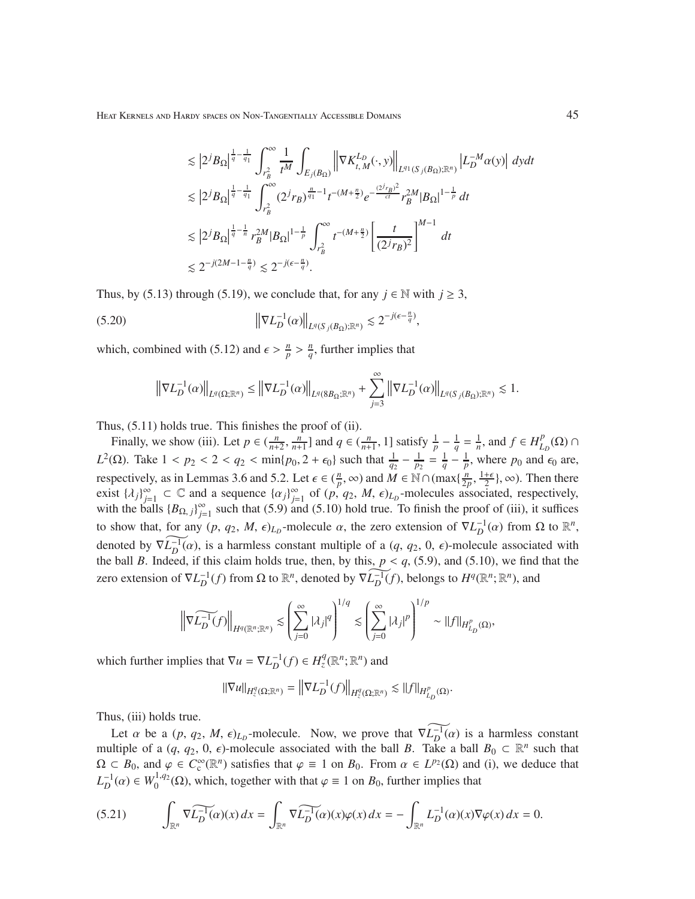$$
\begin{aligned} &\lesssim \left|2^{j}B_{\Omega}\right|^{\frac{1}{q}-\frac{1}{q_{1}}}\int_{r_{B}^{2}}^{\infty}\frac{1}{t^{M}}\int_{E_{j}(B_{\Omega})}\left\|\nabla K_{t,M}^{L_{D}}(\cdot,y)\right\|_{L^{q_{1}}(S_{j}(B_{\Omega});\mathbb{R}^{n})}\left|L_{D}^{-M}\alpha(y)\right|\,dydt\\ &\lesssim \left|2^{j}B_{\Omega}\right|^{\frac{1}{q}-\frac{1}{q_{1}}}\int_{r_{B}^{2}}^{\infty}(2^{j}r_{B})^{\frac{n}{q_{1}}-1}t^{-(M+\frac{n}{2})}e^{-\frac{(2^{j}r_{B})^{2}}{\epsilon t}}r_{B}^{2M}|B_{\Omega}|^{1-\frac{1}{p}}\,dt\\ &\lesssim \left|2^{j}B_{\Omega}\right|^{\frac{1}{q}-\frac{1}{n}}r_{B}^{2M}|B_{\Omega}|^{1-\frac{1}{p}}\int_{r_{B}^{2}}^{\infty}t^{-(M+\frac{n}{2})}\left[\frac{t}{(2^{j}r_{B})^{2}}\right]^{M-1}\,dt\\ &\lesssim 2^{-j(2M-1-\frac{n}{q})}\lesssim 2^{-j(\epsilon-\frac{n}{q})}. \end{aligned}
$$

Thus, by (5.13) through (5.19), we conclude that, for any  $j \in \mathbb{N}$  with  $j \ge 3$ ,

$$
||\nabla L_D^{-1}(\alpha)||_{L^q(S_j(B_\Omega);\mathbb{R}^n)} \lesssim 2^{-j(\epsilon - \frac{n}{q})},
$$

which, combined with (5.12) and  $\epsilon > \frac{n}{p} > \frac{n}{q}$  $\frac{n}{q}$ , further implies that

$$
\left\|\nabla L_D^{-1}(\alpha)\right\|_{L^q(\Omega;\mathbb{R}^n)} \le \left\|\nabla L_D^{-1}(\alpha)\right\|_{L^q(8B_{\Omega};\mathbb{R}^n)} + \sum_{j=3}^{\infty} \left\|\nabla L_D^{-1}(\alpha)\right\|_{L^q(S_j(B_{\Omega});\mathbb{R}^n)} \lesssim 1.
$$

Thus, (5.11) holds true. This finishes the proof of (ii).

Finally, we show (iii). Let  $p \in (\frac{n}{n+2}, \frac{n}{n+1}]$  and  $q \in (\frac{n}{n+1}, 1]$  satisfy  $\frac{1}{p} - \frac{1}{q} = \frac{1}{n}$ , and  $f \in H_L^p$  $^p_{{L_D}}(\Omega)$  ∩ *L*<sup>2</sup>(Ω). Take 1 < *p*<sub>2</sub> < 2 < *q*<sub>2</sub> < min{*p*<sub>0</sub>, 2 +  $\epsilon$ <sub>0</sub>} such that  $\frac{1}{q_2} - \frac{1}{p_2} = \frac{1}{q} - \frac{1}{p}$ , where *p*<sub>0</sub> and  $\epsilon$ <sub>0</sub> are, respectively, as in Lemmas 3.6 and 5.2. Let  $\epsilon \in (\frac{n}{p})$  $\frac{n}{p}$ , ∞) and *M* ∈ N∩(max $\{\frac{n}{2p}\}$  $\frac{\dot{n}}{2p}$ ,  $\frac{1+\epsilon}{2}$  $\frac{1}{2}$ ,  $\infty$ ). Then there exist  $\{\lambda_j\}_{j=1}^{\infty} \subset \mathbb{C}$  and a sequence  $\{\alpha_j\}_{j=1}^{\infty}$  of  $(p, q_2, M, \epsilon)_{L_p}$ -molecules associated, respectively, with the balls  ${B_{\Omega,j}}_{j=1}^{\infty}$  such that (5.9) and (5.10) hold true. To finish the proof of (iii), it suffices to show that, for any  $(p, q_2, M, \epsilon)_{L_p}$ -molecule  $\alpha$ , the zero extension of  $\nabla L_D^{-1}(\alpha)$  from  $\Omega$  to  $\mathbb{R}^n$ , denoted by  $\widehat{\nabla L_D^{-1}(\alpha)}$ , is a harmless constant multiple of a  $(q, q_2, 0, \epsilon)$ -molecule associated with the ball *B*. Indeed, if this claim holds true, then, by this,  $p < q$ , (5.9), and (5.10), we find that the zero extension of  $\nabla L_D^{-1}(f)$  from Ω to  $\mathbb{R}^n$ , denoted by  $\widehat{\nabla L_D^{-1}(f)}$ , belongs to  $H^q(\mathbb{R}^n; \mathbb{R}^n)$ , and

$$
\left\| \nabla \widetilde{L_D^{-1}(f)} \right\|_{H^q(\mathbb{R}^n;\mathbb{R}^n)} \lesssim \left( \sum_{j=0}^{\infty} |\lambda_j|^q \right)^{1/q} \lesssim \left( \sum_{j=0}^{\infty} |\lambda_j|^p \right)^{1/p} \sim ||f||_{H^p_{L_D}(\Omega)},
$$

which further implies that  $\nabla u = \nabla L_D^{-1}(f) \in H_z^q(\mathbb{R}^n; \mathbb{R}^n)$  and

$$
\|\nabla u\|_{H^q_2(\Omega;\mathbb{R}^n)} = \left\|\nabla L_D^{-1}(f)\right\|_{H^q_2(\Omega;\mathbb{R}^n)} \lesssim \|f\|_{H^p_{L_D}(\Omega)}.
$$

Thus, (iii) holds true.

Let  $\alpha$  be a  $(p, q_2, M, \epsilon)_{L_p}$ -molecule. Now, we prove that  $\nabla \widetilde{L_p}(a)$  is a harmless constant multiple of a  $(q, q_2, 0, \epsilon)$ -molecule associated with the ball *B*. Take a ball  $B_0 \subset \mathbb{R}^n$  such that  $\Omega \subset B_0$ , and  $\varphi \in C_c^{\infty}(\mathbb{R}^n)$  satisfies that  $\varphi \equiv 1$  on  $B_0$ . From  $\alpha \in L^{p_2}(\Omega)$  and (i), we deduce that  $L_D^{-1}(\alpha) \in W_0^{1,q_2}$  $0^{1,q_2}(\Omega)$ , which, together with that  $\varphi \equiv 1$  on  $B_0$ , further implies that

$$
(5.21) \qquad \int_{\mathbb{R}^n} \widehat{\nabla L_D^{-1}(\alpha)}(x) dx = \int_{\mathbb{R}^n} \widehat{\nabla L_D^{-1}(\alpha)}(x) \varphi(x) dx = - \int_{\mathbb{R}^n} L_D^{-1}(\alpha)(x) \nabla \varphi(x) dx = 0.
$$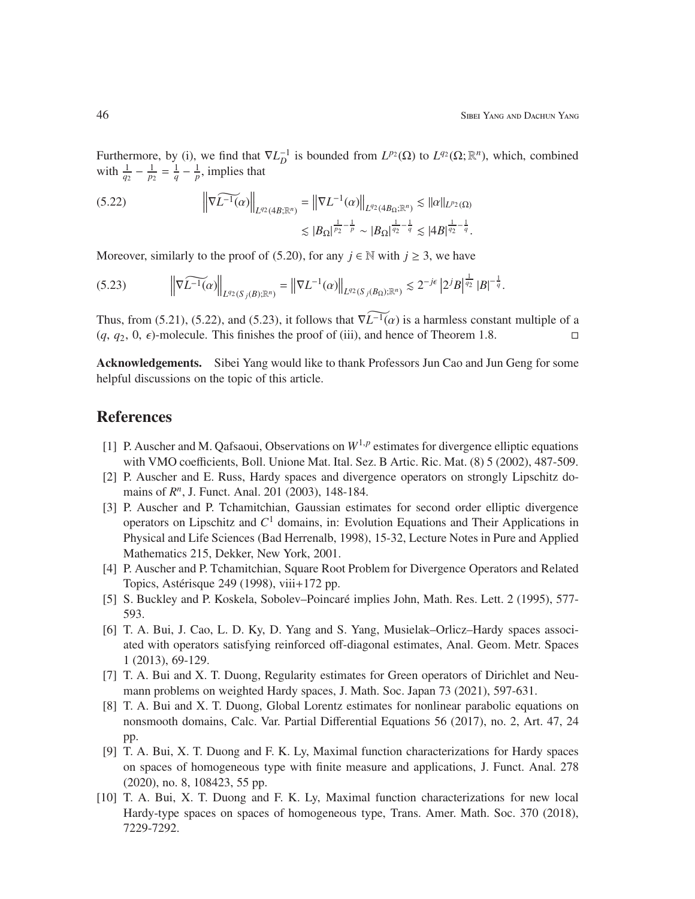Furthermore, by (i), we find that  $\nabla L_D^{-1}$  is bounded from  $L^{p_2}(\Omega)$  to  $L^{q_2}(\Omega; \mathbb{R}^n)$ , which, combined with  $\frac{1}{q_2} - \frac{1}{p_2} = \frac{1}{q} - \frac{1}{p}$ , implies that

$$
(5.22) \t\t \|\nabla \widetilde{L^{-1}(\alpha)}\|_{L^{q_2}(4B;\mathbb{R}^n)} = \|\nabla L^{-1}(\alpha)\|_{L^{q_2}(4B_{\Omega};\mathbb{R}^n)} \lesssim \|\alpha\|_{L^{p_2}(\Omega)} \leq |B_{\Omega}|^{\frac{1}{p_2} - \frac{1}{p}} \sim |B_{\Omega}|^{\frac{1}{q_2} - \frac{1}{q}} \lesssim |4B|^{\frac{1}{q_2} - \frac{1}{q}}.
$$

Moreover, similarly to the proof of (5.20), for any  $j \in \mathbb{N}$  with  $j \geq 3$ , we have

$$
(5.23) \qquad \left\| \nabla \widetilde{L^{-1}(\alpha)} \right\|_{L^{q_2}(S_j(B); \mathbb{R}^n)} = \left\| \nabla L^{-1}(\alpha) \right\|_{L^{q_2}(S_j(B_{\Omega}); \mathbb{R}^n)} \lesssim 2^{-j\epsilon} \left| 2^j B \right|^{\frac{1}{q_2}} |B|^{-\frac{1}{q}}.
$$

Thus, from (5.21), (5.22), and (5.23), it follows that  $\widehat{\nabla L^{-1}(\alpha)}$  is a harmless constant multiple of a  $(q, q_2, 0, \epsilon)$ -molecule. This finishes the proof of (iii), and hence of Theorem 1.8.

Acknowledgements. Sibei Yang would like to thank Professors Jun Cao and Jun Geng for some helpful discussions on the topic of this article.

## References

- [1] P. Auscher and M. Qafsaoui, Observations on  $W^{1,p}$  estimates for divergence elliptic equations with VMO coefficients, Boll. Unione Mat. Ital. Sez. B Artic. Ric. Mat. (8) 5 (2002), 487-509.
- [2] P. Auscher and E. Russ, Hardy spaces and divergence operators on strongly Lipschitz domains of  $R<sup>n</sup>$ , J. Funct. Anal. 201 (2003), 148-184.
- [3] P. Auscher and P. Tchamitchian, Gaussian estimates for second order elliptic divergence operators on Lipschitz and *C* <sup>1</sup> domains, in: Evolution Equations and Their Applications in Physical and Life Sciences (Bad Herrenalb, 1998), 15-32, Lecture Notes in Pure and Applied Mathematics 215, Dekker, New York, 2001.
- [4] P. Auscher and P. Tchamitchian, Square Root Problem for Divergence Operators and Related Topics, Astérisque 249 (1998), viii $+172$  pp.
- [5] S. Buckley and P. Koskela, Sobolev–Poincaré implies John, Math. Res. Lett. 2 (1995), 577-593.
- [6] T. A. Bui, J. Cao, L. D. Ky, D. Yang and S. Yang, Musielak–Orlicz–Hardy spaces associated with operators satisfying reinforced off-diagonal estimates, Anal. Geom. Metr. Spaces 1 (2013), 69-129.
- [7] T. A. Bui and X. T. Duong, Regularity estimates for Green operators of Dirichlet and Neumann problems on weighted Hardy spaces, J. Math. Soc. Japan 73 (2021), 597-631.
- [8] T. A. Bui and X. T. Duong, Global Lorentz estimates for nonlinear parabolic equations on nonsmooth domains, Calc. Var. Partial Differential Equations 56 (2017), no. 2, Art. 47, 24 pp.
- [9] T. A. Bui, X. T. Duong and F. K. Ly, Maximal function characterizations for Hardy spaces on spaces of homogeneous type with finite measure and applications, J. Funct. Anal. 278 (2020), no. 8, 108423, 55 pp.
- [10] T. A. Bui, X. T. Duong and F. K. Ly, Maximal function characterizations for new local Hardy-type spaces on spaces of homogeneous type, Trans. Amer. Math. Soc. 370 (2018), 7229-7292.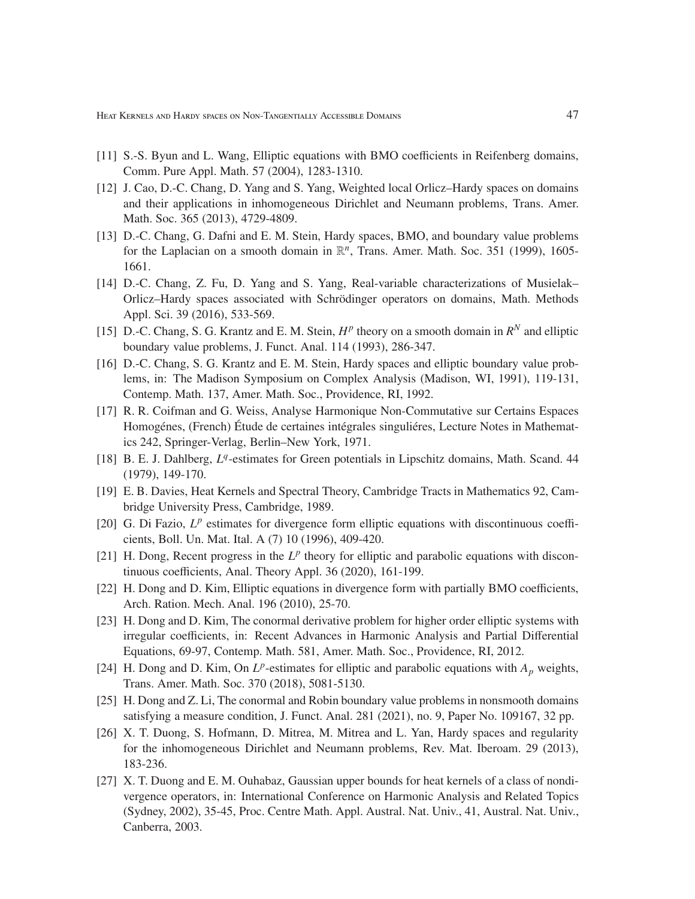- [11] S.-S. Byun and L. Wang, Elliptic equations with BMO coefficients in Reifenberg domains, Comm. Pure Appl. Math. 57 (2004), 1283-1310.
- [12] J. Cao, D.-C. Chang, D. Yang and S. Yang, Weighted local Orlicz–Hardy spaces on domains and their applications in inhomogeneous Dirichlet and Neumann problems, Trans. Amer. Math. Soc. 365 (2013), 4729-4809.
- [13] D.-C. Chang, G. Dafni and E. M. Stein, Hardy spaces, BMO, and boundary value problems for the Laplacian on a smooth domain in  $\mathbb{R}^n$ , Trans. Amer. Math. Soc. 351 (1999), 1605-1661.
- [14] D.-C. Chang, Z. Fu, D. Yang and S. Yang, Real-variable characterizations of Musielak– Orlicz–Hardy spaces associated with Schrödinger operators on domains, Math. Methods Appl. Sci. 39 (2016), 533-569.
- [15] D.-C. Chang, S. G. Krantz and E. M. Stein,  $H^p$  theory on a smooth domain in  $R^N$  and elliptic boundary value problems, J. Funct. Anal. 114 (1993), 286-347.
- [16] D.-C. Chang, S. G. Krantz and E. M. Stein, Hardy spaces and elliptic boundary value problems, in: The Madison Symposium on Complex Analysis (Madison, WI, 1991), 119-131, Contemp. Math. 137, Amer. Math. Soc., Providence, RI, 1992.
- [17] R. R. Coifman and G. Weiss, Analyse Harmonique Non-Commutative sur Certains Espaces Homogénes, (French) Étude de certaines intégrales singulières, Lecture Notes in Mathematics 242, Springer-Verlag, Berlin–New York, 1971.
- [18] B. E. J. Dahlberg,  $L^q$ -estimates for Green potentials in Lipschitz domains, Math. Scand. 44 (1979), 149-170.
- [19] E. B. Davies, Heat Kernels and Spectral Theory, Cambridge Tracts in Mathematics 92, Cambridge University Press, Cambridge, 1989.
- [20] G. Di Fazio,  $L^p$  estimates for divergence form elliptic equations with discontinuous coefficients, Boll. Un. Mat. Ital. A (7) 10 (1996), 409-420.
- [21] H. Dong, Recent progress in the  $L^p$  theory for elliptic and parabolic equations with discontinuous coefficients, Anal. Theory Appl. 36 (2020), 161-199.
- [22] H. Dong and D. Kim, Elliptic equations in divergence form with partially BMO coefficients, Arch. Ration. Mech. Anal. 196 (2010), 25-70.
- [23] H. Dong and D. Kim, The conormal derivative problem for higher order elliptic systems with irregular coefficients, in: Recent Advances in Harmonic Analysis and Partial Differential Equations, 69-97, Contemp. Math. 581, Amer. Math. Soc., Providence, RI, 2012.
- [24] H. Dong and D. Kim, On  $L^p$ -estimates for elliptic and parabolic equations with  $A_p$  weights, Trans. Amer. Math. Soc. 370 (2018), 5081-5130.
- [25] H. Dong and Z. Li, The conormal and Robin boundary value problems in nonsmooth domains satisfying a measure condition, J. Funct. Anal. 281 (2021), no. 9, Paper No. 109167, 32 pp.
- [26] X. T. Duong, S. Hofmann, D. Mitrea, M. Mitrea and L. Yan, Hardy spaces and regularity for the inhomogeneous Dirichlet and Neumann problems, Rev. Mat. Iberoam. 29 (2013), 183-236.
- [27] X. T. Duong and E. M. Ouhabaz, Gaussian upper bounds for heat kernels of a class of nondivergence operators, in: International Conference on Harmonic Analysis and Related Topics (Sydney, 2002), 35-45, Proc. Centre Math. Appl. Austral. Nat. Univ., 41, Austral. Nat. Univ., Canberra, 2003.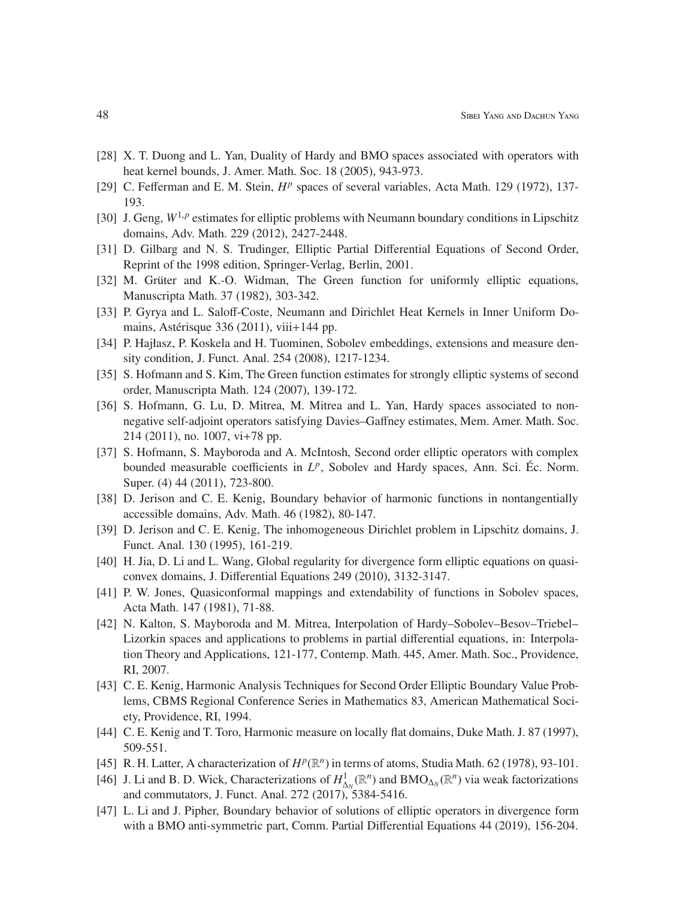- [28] X. T. Duong and L. Yan, Duality of Hardy and BMO spaces associated with operators with heat kernel bounds, J. Amer. Math. Soc. 18 (2005), 943-973.
- [29] C. Fefferman and E. M. Stein,  $H^p$  spaces of several variables, Acta Math. 129 (1972), 137-193.
- [30] J. Geng,  $W^{1,p}$  estimates for elliptic problems with Neumann boundary conditions in Lipschitz domains, Adv. Math. 229 (2012), 2427-2448.
- [31] D. Gilbarg and N. S. Trudinger, Elliptic Partial Differential Equations of Second Order, Reprint of the 1998 edition, Springer-Verlag, Berlin, 2001.
- [32] M. Grüter and K.-O. Widman, The Green function for uniformly elliptic equations, Manuscripta Math. 37 (1982), 303-342.
- [33] P. Gyrya and L. Saloff-Coste, Neumann and Dirichlet Heat Kernels in Inner Uniform Domains, Astérisque 336 (2011), viii+144 pp.
- [34] P. Hajłasz, P. Koskela and H. Tuominen, Sobolev embeddings, extensions and measure density condition, J. Funct. Anal. 254 (2008), 1217-1234.
- [35] S. Hofmann and S. Kim, The Green function estimates for strongly elliptic systems of second order, Manuscripta Math. 124 (2007), 139-172.
- [36] S. Hofmann, G. Lu, D. Mitrea, M. Mitrea and L. Yan, Hardy spaces associated to nonnegative self-adjoint operators satisfying Davies–Gaffney estimates, Mem. Amer. Math. Soc. 214 (2011), no. 1007, vi+78 pp.
- [37] S. Hofmann, S. Mayboroda and A. McIntosh, Second order elliptic operators with complex bounded measurable coefficients in  $L^p$ , Sobolev and Hardy spaces, Ann. Sci. Éc. Norm. Super. (4) 44 (2011), 723-800.
- [38] D. Jerison and C. E. Kenig, Boundary behavior of harmonic functions in nontangentially accessible domains, Adv. Math. 46 (1982), 80-147.
- [39] D. Jerison and C. E. Kenig, The inhomogeneous Dirichlet problem in Lipschitz domains, J. Funct. Anal. 130 (1995), 161-219.
- [40] H. Jia, D. Li and L. Wang, Global regularity for divergence form elliptic equations on quasiconvex domains, J. Differential Equations 249 (2010), 3132-3147.
- [41] P. W. Jones, Quasiconformal mappings and extendability of functions in Sobolev spaces, Acta Math. 147 (1981), 71-88.
- [42] N. Kalton, S. Mayboroda and M. Mitrea, Interpolation of Hardy–Sobolev–Besov–Triebel– Lizorkin spaces and applications to problems in partial differential equations, in: Interpolation Theory and Applications, 121-177, Contemp. Math. 445, Amer. Math. Soc., Providence, RI, 2007.
- [43] C. E. Kenig, Harmonic Analysis Techniques for Second Order Elliptic Boundary Value Problems, CBMS Regional Conference Series in Mathematics 83, American Mathematical Society, Providence, RI, 1994.
- [44] C. E. Kenig and T. Toro, Harmonic measure on locally flat domains, Duke Math. J. 87 (1997), 509-551.
- [45] R. H. Latter, A characterization of  $H^p(\mathbb{R}^n)$  in terms of atoms, Studia Math. 62 (1978), 93-101.
- [46] J. Li and B. D. Wick, Characterizations of  $H^1_{\Delta_N}(\mathbb{R}^n)$  and  $BMO_{\Delta_N}(\mathbb{R}^n)$  via weak factorizations and commutators, J. Funct. Anal. 272 (2017), 5384-5416.
- [47] L. Li and J. Pipher, Boundary behavior of solutions of elliptic operators in divergence form with a BMO anti-symmetric part, Comm. Partial Differential Equations 44 (2019), 156-204.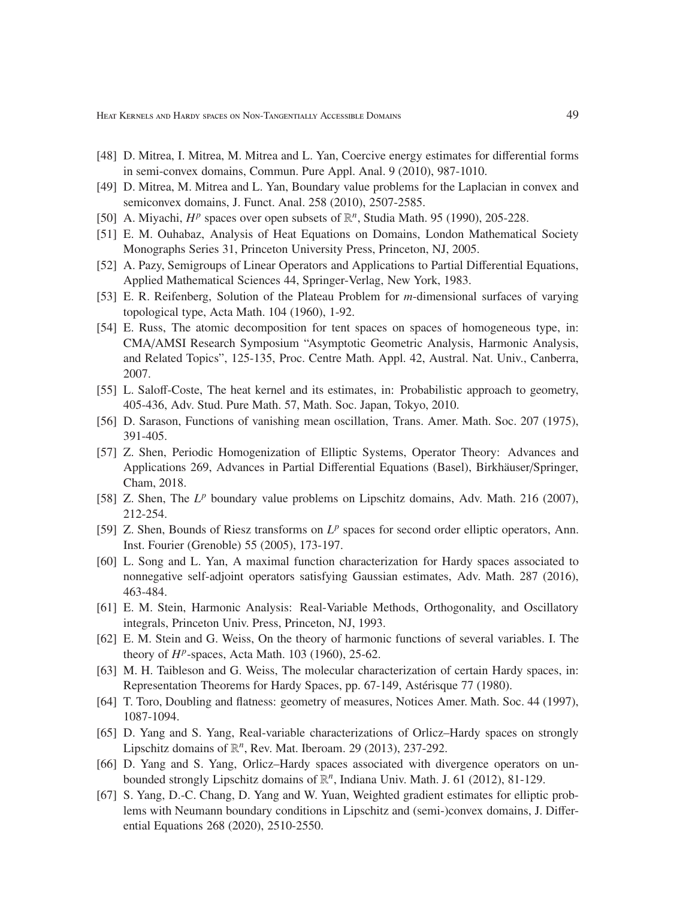- [48] D. Mitrea, I. Mitrea, M. Mitrea and L. Yan, Coercive energy estimates for differential forms in semi-convex domains, Commun. Pure Appl. Anal. 9 (2010), 987-1010.
- [49] D. Mitrea, M. Mitrea and L. Yan, Boundary value problems for the Laplacian in convex and semiconvex domains, J. Funct. Anal. 258 (2010), 2507-2585.
- [50] A. Miyachi,  $H^p$  spaces over open subsets of  $\mathbb{R}^n$ , Studia Math. 95 (1990), 205-228.
- [51] E. M. Ouhabaz, Analysis of Heat Equations on Domains, London Mathematical Society Monographs Series 31, Princeton University Press, Princeton, NJ, 2005.
- [52] A. Pazy, Semigroups of Linear Operators and Applications to Partial Differential Equations, Applied Mathematical Sciences 44, Springer-Verlag, New York, 1983.
- [53] E. R. Reifenberg, Solution of the Plateau Problem for *m*-dimensional surfaces of varying topological type, Acta Math. 104 (1960), 1-92.
- [54] E. Russ, The atomic decomposition for tent spaces on spaces of homogeneous type, in: CMA/AMSI Research Symposium "Asymptotic Geometric Analysis, Harmonic Analysis, and Related Topics", 125-135, Proc. Centre Math. Appl. 42, Austral. Nat. Univ., Canberra, 2007.
- [55] L. Saloff-Coste, The heat kernel and its estimates, in: Probabilistic approach to geometry, 405-436, Adv. Stud. Pure Math. 57, Math. Soc. Japan, Tokyo, 2010.
- [56] D. Sarason, Functions of vanishing mean oscillation, Trans. Amer. Math. Soc. 207 (1975), 391-405.
- [57] Z. Shen, Periodic Homogenization of Elliptic Systems, Operator Theory: Advances and Applications 269, Advances in Partial Differential Equations (Basel), Birkhäuser/Springer, Cham, 2018.
- [58] Z. Shen, The L<sup>p</sup> boundary value problems on Lipschitz domains, Adv. Math. 216 (2007), 212-254.
- [59] Z. Shen, Bounds of Riesz transforms on  $L^p$  spaces for second order elliptic operators, Ann. Inst. Fourier (Grenoble) 55 (2005), 173-197.
- [60] L. Song and L. Yan, A maximal function characterization for Hardy spaces associated to nonnegative self-adjoint operators satisfying Gaussian estimates, Adv. Math. 287 (2016), 463-484.
- [61] E. M. Stein, Harmonic Analysis: Real-Variable Methods, Orthogonality, and Oscillatory integrals, Princeton Univ. Press, Princeton, NJ, 1993.
- [62] E. M. Stein and G. Weiss, On the theory of harmonic functions of several variables. I. The theory of  $H^p$ -spaces, Acta Math. 103 (1960), 25-62.
- [63] M. H. Taibleson and G. Weiss, The molecular characterization of certain Hardy spaces, in: Representation Theorems for Hardy Spaces, pp. 67-149, Astérisque 77 (1980).
- [64] T. Toro, Doubling and flatness: geometry of measures, Notices Amer. Math. Soc. 44 (1997), 1087-1094.
- [65] D. Yang and S. Yang, Real-variable characterizations of Orlicz–Hardy spaces on strongly Lipschitz domains of R *n* , Rev. Mat. Iberoam. 29 (2013), 237-292.
- [66] D. Yang and S. Yang, Orlicz–Hardy spaces associated with divergence operators on unbounded strongly Lipschitz domains of  $\mathbb{R}^n$ , Indiana Univ. Math. J. 61 (2012), 81-129.
- [67] S. Yang, D.-C. Chang, D. Yang and W. Yuan, Weighted gradient estimates for elliptic problems with Neumann boundary conditions in Lipschitz and (semi-)convex domains, J. Differential Equations 268 (2020), 2510-2550.